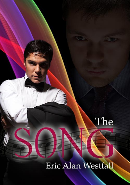

# Eric Alan Westfall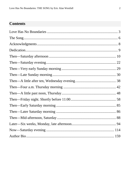### **Contents**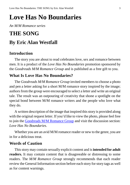# <span id="page-2-0"></span>**Love Has No Boundaries**

*An M/M Romance series*

# **THE SONG By Eric Alan Westfall**

#### **Introduction**

The story you are about to read celebrates love, sex and romance between men. It is a product of the *Love Has No Boundaries* promotion sponsored by the *Goodreads M/M Romance Group* and is published as a free gift to you.

#### **What Is Love Has No Boundaries?**

The *Goodreads M/M Romance Group* invited members to choose a photo and pen a letter asking for a short M/M romance story inspired by the image; authors from the group were encouraged to select a letter and write an original tale. The result was an outpouring of creativity that shone a spotlight on the special bond between M/M romance writers and the people who love what they do.

A written description of the image that inspired this story is provided along with the original request letter. If you'd like to view the photo, please feel free to join the [Goodreads M/M Romance Group](http://www.goodreads.com/group/show/20149-m-m-romance) and visit the discussion section: *Love Has No Boundaries*.

Whether you are an avid M/M romance reader or new to the genre, you are in for a delicious treat.

#### **Words of Caution**

This story may contain sexually explicit content and is **intended for adult readers.** It may contain content that is disagreeable or distressing to some readers. The *M/M Romance Group* strongly recommends that each reader review the General Information section before each story for story tags as well as for content warnings.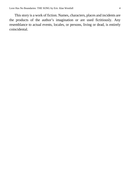This story is a work of fiction. Names, characters, places and incidents are the products of the author's imagination or are used fictitiously. Any resemblance to actual events, locales, or persons, living or dead, is entirely coincidental.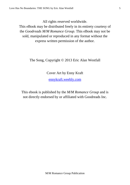All rights reserved worldwide.

This eBook may be distributed freely in its entirety courtesy of the *Goodreads M/M Romance Group*. This eBook may not be sold, manipulated or reproduced in any format without the express written permission of the author.

The Song, Copyright © 2013 Eric Alan Westfall

Cover Art by Enny Kraft

[ennykraft.weebly.com](http://ennykraft.weebly.com/)

This ebook is published by the *M/M Romance Group* and is not directly endorsed by or affiliated with Goodreads Inc.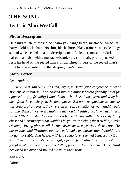# <span id="page-5-0"></span>**THE SONG**

### **By Eric Alan Westfall**

#### **Photo Description**

He's mid to late thirties; black hair/eyes; fringe beard, mustache. Muscular, hairy. Gold neck chain. No shirt, black shorts, black trainers, no socks. Legs spread wide, seated on a nondescript couch. A slender, muscular, darkhaired man, also with a mustache/beard, very short hair, possibly naked, rests his head on the seated man's thigh. Three fingers of the seated man's right hand are curled into the sleeping man's mouth.

#### **Story Letter**

#### *Dear Author,*

*Here I was: thirty-six, closeted, virgin, in Berlin for a conference. In what moment of craziness I had booked into the hippest hetero-friendly hotel (as opposed to gay-friendly) I don't know… but here I was, surrounded by hot men, from the concierge to the hotel guests. But none tempted me as much as this couple: From Paris, they were on a week's vacation as well, and I would run into them almost every night, at the hotel's health club. One was shy and spoke little English. The other was a hunky doctor with a deliciously hairy chest and piercing eyes that wouldn't let you go. Watching them cuddle, nuzzle, exchange loving glances all the time drove me to voyeuristic distraction. His husky voice and flirtatious banter would make me harder than I would have thought possible. And he knew it! His young lover seemed bemused by it all. And then on my last-but-one night, after a frustratingly erotic display of foreplay at the rooftop jacuzzi (all apparently for my benefit) the Hunk beckoned me over and invited me up to their room…*

*Sincerely,*

*Dilton*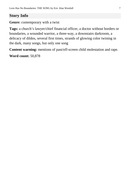### **Story Info**

#### **Genre:** contemporary with a twist

**Tags:** a church's lawyer/chief financial officer, a doctor without borders or boundaries, a wounded warrior, a three-way, a downstairs darkroom, a delicacy of dildos, several first times, strands of glowing color twining in the dark, many songs, but only one song

**Content warning:** mentions of past/off-screen child molestation and rape.

**Word count:** 50,878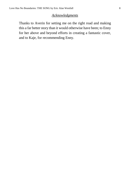#### *Acknowledgments*

<span id="page-7-0"></span>Thanks to Averin for setting me on the right road and making this a far better story than it would otherwise have been; to Enny for her above and beyond efforts in creating a fantastic cover, and to Kaje, for recommending Enny.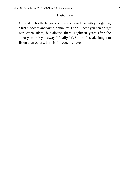#### *Dedication*

<span id="page-8-0"></span>Off and on for thirty years, you encouraged me with your gentle, "Just sit down and write, damn it!" The "I know you can do it," was often silent, but always there. Eighteen years after the aneurysm took you away, I finally did. Some of us take longer to listen than others. This is for you, my love.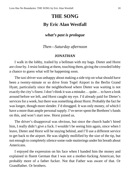## **THE SONG By Eric Alan Westfall**

#### *what's past is prologue*

*Then—Saturday afternoon*

#### **JONATHAN**

<span id="page-9-0"></span>I walk in the lobby, trailed by a bellman with my bags. Dieter and Horst are close by. I resist looking at them, touching them, giving the crowded lobby a chance to guess what will be happening soon.

The taxi driver was unhappy about making a side trip on what should have been a twenty-minute or so drive from Tegel Airport to the Berlin Grand Hyatt, particularly since the neighborhood where Dieter was waiting is not exactly the city's finest. I don't think it was a mistake… quite… to have a look around before we left, and Horst caught my eye. I'd already paid for Dieter's services for a week, but there was something about Horst. Probably the fact he was longer, though more slender. I'd shrugged. It was only money, of which I have a more than ample personal supply. I've never spent the Brethren's funds on this, and won't start now. Horst joined us.

The driver's disapproval was obvious, but since the church hadn't hired him, I really didn't give a fuck. I wouldn't be seeing him again, since when I leave, Dieter and Horst will be staying behind, and I'll use a different service to get back to the airport. He was slightly mollified by the size of the tip, but not enough to completely silence some rude mutterings under his breath about Americans.

I enjoyed the expression on his face when I handed him the money and explained in fluent German that I was not a mother-fucking American, but probably more of a father fucker. Not that Father was aware of that. Or Grandfather. Or brothers.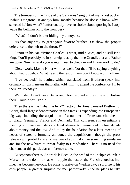The trumpets of the "Ride of the Valkyries" sing out of my jacket pocket. Joshua's ringtone. It annoys him, mostly because he doesn't know why I selected it. Now what? I unfortunately have no choice about ignoring it. I stop, wave the bellman on to the front desk.

"What?" I don't bother hiding my annoyance.

"Is that any way to greet your favorite brother? Or show the proper deference to the heir to the throne?"

I snort in his ear. "Prince Charles is what, mid-sixties, and he still isn't king. You'll probably be in your eighties by the time Grandfather and Father are gone. Now, what do you want? I need to check in and I have work to do."

Dieter work. Maybe Horst work as well. Not that I'll be saying anything about that to Joshua. What he and the rest of them don't know won't kill me.

"I've decided," he begins, which, translated from Brethren-speak into ordinary English, means that Father told him, "to attend the conference. I'll be there on Tuesday."

Well, shit. I can't have Dieter and Horst around in the suite with Joshua there. Double shit. Triple.

Then there is the "what the fuck?" factor. The Amalgamated Brethren of Christ, third-largest denomination in the States, is expanding into Europe in a big way, including the acquisition of a number of Protestant churches in England, Germany, France and Denmark. This conference is essentially a meeting of finance ministers and legal advisers to hammer out the final details about money and the law. And to lay the foundation for a later meeting of heads of state, to formally announce the acquisitions—though the press releases will probably refer to mergers of spiritual kin or something similar and for the new hires to swear fealty to Grandfather. There is no need for charisma at this particular conference table.

Except now there is. Andre de le Becque, the head of the linchpin church in Marseilles, the domino that will topple the rest of the French churches into line, has become nervous. He plans to arrive on Wednesday, a surprise to his own people, a greater surprise for me, particularly since he plans to take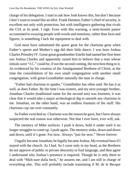charge of his delegation. I start to ask how Josh knows this, but don't because I don't want to sound like an idiot. Frank Harmon, Father's chief of security, is excellent not only with protection, but with intelligence gathering that rivals the CIA at its peak. I sigh. Even with this warning, a semi-hostile pastor accustomed to swaying people with words and emotions, rather than facts and figures, is something I lack the equipment to deal with.

God must have substituted the queer gene for the charisma gene when Father's sperm and Mother's egg did their little dance. I was born Joshua Charles Priestley IV. Great-great grandmother Estelle had named her first-born son Joshua Charles and apparently raised him to believe that a man whose initials were "J.C." could be, if not the second coming, the next best thing to it. As evidenced by his creation of the Amalgamated Brethren of Christ, at the time the consolidation of his own small congregation with another small congregation, with great-Grandfather naturally the man in charge.

"Father had charisma in spades," Grandfather has often said. He has it as well, as does Father. By the time I was sixteen, and my next younger brother, Jonathan Charles (traditional name for the second son) was fourteen, it was clear that it would take a major archeological dig to unearth any charisma in me. Jonathan, on the other hand, was an endless fountain of the stuff. His charisma cup ran over constantly.

So Father switched us. Charisma was the reason he gave, but I have always suspected the real reason was otherwise. Not that I ever have, ever will, ask.

The memory of Mike surfaces. I push it down, hold it under until it no longer struggles to come up. I push again. The memory sinks, down and down and down, until it's gone. For now. Always "just for now." Never forever.

I legally became Jonathan; he legally became Joshua. My eventual boss if I stayed with the church. As I had. So I curse only in my head, as the Brethren do not approve of public or private obscenity or foul language, and then agree I understand why Joshua's presence is required. Though he is only there to deal with "Muh-sure dulla beck," he assures me, and I am still in charge of everything else. This will probably include translating if M. de le Becque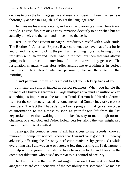decides to play the language game and insists on speaking French when he is thoroughly at ease in English. I also got the language gene.

He gives me his arrival details, and asks me to arrange a limo. Heirs travel in style. I agree, flip him off (a consummation devoutly to be wished but not actually done), end the call, and move on to the desk.

Herr Adler, the assistant manager, introduces himself with a wide smile. The Brethren's American Express Black card tends to have that effect for its authorized users. As I pick up the pen, I am resigning myself to having only a few days with Dieter and Horst. And no refunds, but then that was always going to be the case, no matter how often or how well they get used. The resignation changes when Herr Adler assures me everything is in perfect readiness. In fact, Herr Gunter had personally checked the suite just that morning.

It isn't paranoia if they really are out to get you. Or keep track of you.

I am sure the suite is indeed in perfect readiness. When you handle the finances of a business that rakes in large multiples of a hundred million a year, something as important as the fact that Frank Harmon had hired a German team for the conference, headed by someone named Gunter, inevitably crosses your desk. The fact that I have designed some programs that get certain types of information to me almost as soon as your fingers lift from the last keystroke, rather than waiting until it makes its way to me through normal channels, or even, God and Father forbid, gets lost along the way, might also have something to do with it.

I also got the computer gene. Frank has access to my records, knows I minored in computer science, knows that I wasn't very good at it, thereby adversely affecting the Priestley perfection statistics by getting Cs while everything else I did was an A or better. A few times asking the IT department for help with programming I should have been able to do, and I became the computer dilettante who posed no threat to his control of security.

He doesn't know that, as Picard might have said, I made it so. And the arrogant bastard can't conceive of the possibility that someone like me has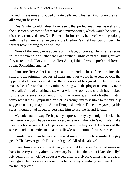hacked his systems and added private bells and whistles. And so are they all, all arrogant bastards.

Yes, Gunter would indeed have seen to that perfect readiness, as well as to the discreet placement of cameras and microphones, which would be equally discreetly removed later. Did Father or Joshua really believe I would go along with this? I am merely a lawyer and the Brethren's chief financial officer. The threats have nothing to do with me.

None of the annoyance appears on my face, of course. The Priestley sons follow the example of Father and Grandfather. Public calm at all times, private fury as required. "Do you know, Herr Adler, I think I would prefer a different room. Something smaller."

I am sure Herr Adler is annoyed at the impending loss of income since the suite and the originally requested extra amenities would have been beyond the upper end of their price list, but there is no visible sign of it. He of course makes the effort to change my mind, starting with the ploy of uncertainty over the availability of anything else, what with the rooms the church has booked for the conference, a convention, summer tourists, a charity football match tomorrow at the Olympiastadion that has brought many visitors to the city. My suggestion that perhaps the Adlon Kempinski, where Father always enjoys his stays, though I had hoped to persuade him to use the Grand Hyatt…

My voice trails away. Perhaps, my expression says, you might check to be very sure you don't have a room, a very nice room, the hotel's equivalent of a theatre's house seats. His fingers dance over the keyboard. He looks at the screen, and then smiles in an almost flawless imitation of true surprise.

I smile back. I am better than he is at imitations of a true smile. The gay gene? The lawyer gene? The church gene? All of the above?

I hand him a personal credit card, an account I am sure Frank had someone hack into very shortly after my secretary found it in the wallet I "accidentally" left behind in my office about a week after it arrived. Gunter has probably been given temporary access in order to track my spending over here. I don't particularly care.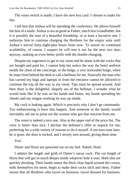The room switch is made; I have the new key card. I choose to make his day.

I tell him that Joshua will be attending the conference. He allows himself the hint of a smile. Joshua is not as good as Father, much less Grandfather, but it is possibly the start of a beautiful friendship, or at least a lucrative one. I authorize him to continue charging the Brethren for the empty suite until Joshua's arrival forty-eight-plus hours from now. To assure its continued availability, of course. I suspect he will rent it out for the next two days anyway, making an even better profit with the double-charging.

Despite my eagerness to get to my room and be alone with the cocks that are bought and paid for, I cannot help but notice the way the hotel uniform molds the chest of the concierge, or the bulge, a very noticeable bulge, when he steps from behind the desk to call a bellman for me. Naturally the man who has carried my bags and laptops in from the entrance cannot be allowed to continue the trip all the way to my room. Tips must be spread around. And then there is the delightful, shapely ass of the bellman. I wonder what he would taste like if he was on his hands and knees, my hands spreading his cheeks and my tongue working its way up inside.

My cock is leaking again. Which is precisely why I don't go commando. Too embarrassing to have that happen. And someone in the family would inevitably ask me to point out the woman who got that reaction from me.

The room is indeed a nice one. Also at the upper end of the price list. The view is better than nice. I decline the bellman's offer to unpack for me, preferring for a wide variety of reasons to do it myself. A ten euro note later, he is gone, the door is locked, and I slowly turn around, giving them time.

Yes!

Dieter and Horst are sprawled out on my bed. Naked. Hard.

I admire the length and girth of Dieter's uncut cock. The cut length of Horst that will get so much deeper inside whatever hole it uses. Both slits are quickly drooling. Their hands smear the thick clear liquid around the crown, milk themselves for more, begin to make their cocks slick and shiny. Father insists that all Brethren who travel on business, travel dressed for business.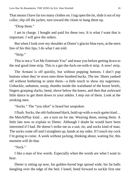That means I have far too many clothes on. I tug open the tie, slide it out of my collar, slip off the jacket, turn toward the closet to hang them up.

"Drop them."

I am in charge. I bought and paid for these two. It is what *I* want that is important. *I* will give the orders.

But when I look over my shoulder at Dieter's glacier blue eyes, at the stern line of his thin lips, I do what I am told.

"Strip."

This is not a "Let Me Entertain You" and tease you before getting down to the real good time strip. This is a get-the-fuck-on-with-it strip. A now! strip.

The Armani is off quickly, but without popping buttons. I don't pop buttons when they're sewn onto three hundred bucks. The tee. Shoes yanked off without bothering to untie them—a little touch to show my eagerness. Unbuckle, unbutton, unzip, thumbs inside the waistband of the boxer briefs, fingers grasping slacks, bend, shove below the knees, and then that awkward little dance to get them down to your ankles. I step out of them. Look at the stroking men.

"Socks." The "you idiot" is heard but unspoken.

I flush. Socks, the old-fashioned black, hold-up-with-a-sock-garter kind… the MenAtPlay kind… are a turn on for me. Wearing them, seeing them. A little late now to explain to Dieter. Although I doubt he would have been interested if I had. He doesn't strike me as a suit, tie, and socks kind of man. The socks come off and I straighten up, hands at my sides. If I touch my cock I'm going to come. A week without jacking, thinking about, waiting for, this moment will do that.

"Suck."

I like a man of few words. Especially when the words are what I want to hear.

Dieter is sitting up now, his golden-furred legs spread wide, his fat balls dangling over the edge of the bed. I kneel, bend forward to suckle first one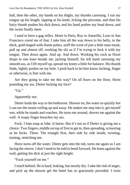ball, then the other, my hands on his thighs, my thumbs caressing. I run my tongue up his length, lapping at his knob, licking the precome, and then his hairy thumb pushes his dick down, and his hand pushes my head down, and the twain finally meet.

I used to have a gag reflex. Henri in Paris, Roy in Amarillo, Leon in San Francisco cured me of that. I take him all the way down to his belly, to the thick, gold-tinged-with-flame pubes, sniff the scent of just a little man-musk, pull up and almost off, working his slit as if I'm trying to fuck it with my tongue. Then down again. And up. And down. Working his cock as Horst drops to one knee beside me, jacking himself, his left hand caressing my smooth ass, as I lift myself up, spread my knees a little for balance. His thumb finds, lightly pushes on my hole. I push back to let him know fucking, finger or otherwise, is fine with me.

Are they going to take me this way? On all fours on the floor, Horst pounding my ass, Dieter fucking my face?

"Up."

Apparently not.

Dieter leads the way to the bathroom. Shower on, the water so quickly hot I can see the steam curling up and away. He makes me step into it, get myself wet, while he stands and watches. He turns me around, shoves me against the wall. A soapy finger breaches my ass.

Fuck. I hate soap as lube. It burns. But it's not as if Dieter is giving me a choice. Two fingers, middle on top of first to get in, then spreading, scissoring as he fucks. Three. The triangle first, then side by side inside, twisting, turning, stretching me.

Horst turns off the water. Dieter gets into the tub, turns me again so I am facing the mirror. I don't need to be told to bend forward. He leans against the wall, getting his dick at just the right height.

"Fuck yourself on me."

I reach behind. He is hard, leaking, but mostly dry. I take the risk of anger, and pick up the shower gel the hotel has so graciously provided. I twist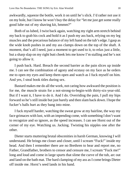awkwardly, squeeze the bottle, work it on until he's slick. I'd rather not use it on my hole, but I know he won't buy the delay for "let me just get some really good lube out of my shaving kit, hmmm?"

Both of us lubed, I twist back again, watching my right arm stretch behind my back to grab his cock and hold it as I push my ass back, relying on my leg muscles and the precarious balance of my left hand on the tub's edge. I gasp as the wide knob pushes in and my ass clamps down on the top of the shaft. A moment, that's all I need, just a moment to get used to it, to relax just a little, but a sharp slap on my right butt cheek lets me know I'm stalling and he's not going to allow it.

I push back. Hard. Breach the second barrier as the pain slices up inside me. I can see the combination of agony and ecstasy on my face as he orders me to open my eyes and keep them open and watch as I fuck myself on him. And yes, I steal book titles during sex.

Bastard makes me do all the work, not caring how awkward the position is for me, the muscle strain for a not-strong-to-begin-with thirty-six-year-old. But if I want it, I have to do it. And I do. Overriding the pain, I pull my hips forward so he's still inside but just barely and then slam back down. I hope the fucker's balls hurt as they bang into mine.

I fuck myself harder, watching the sweat grow at my hairline, the way my face grimaces with lust, with an impending come, with something I don't want to recognize and so ignore, as the speed increases. I can see Horst out of the corner of my eye. Watching us. Jacking. Twisting his nipples one after the other.

Dieter starts muttering brutal obscenities in harsh German, knowing I will understand. He brings me closer and closer, until I scream "Fuck!" inside my head. And then I remember there are no Brethren to hear and report me, no Father, Grandfather, brothers to censor and censure me, I scream "Fuck me!" long and loud and come in large spurts that slime the curve of the tub, arc out and land on the bath mat. The hard clamping of my ass as I come brings Dieter off inside me. Horst's seed lands in his hand.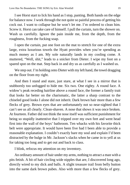I see Horst start to lick his hand as I stop, panting. Both hands on the edge for balance now. I work through the not quite so painful process of getting his cock out. I want to collapse but he won't let me. I'm ordered to clean him. Screw it. Horst can take care of himself. I pull the curtain, turn the shower on. Wash us carefully. Ignore the pain inside me, from the depth, from the roughness, from the fucking soap.

I open the curtain, put one foot on the mat to stretch for one of the extra large, extra luxurious towels the Hyatt provides when you're spending as much money as I am. My sole naturally lands in my cooling come. A muttered, "Well, shit," leads to a snicker from Dieter. I wipe my foot on a spared spot on the mat. Step back in and dry us as carefully as I washed us.

We step out. I'm holding onto Dieter with my left hand, the towel dragging on the floor from my right.

And then I stand and stare, just stare, at what I see in a mirror that is stubbornly too unfogged to hide me. Six two. One eighty. A round face. A widow's peak receding hairline above a round face, the former a family trait that looks far better on the charismatic, the latter a sharp contrast to the chiseled good looks I alone did not inherit. Dark brown hair more than a few flecks of grey. Brown eyes that are unfortunately not so near-sighted that I can't see us all clearly. Clean-shaven. A nose that shows it was once broken. At fourteen. Father did not think the nose itself was sufficient punishment for being so stupidly inattentive that I tripped over my own feet and went head first into the wall of the boys' bathroom. Ten whacks with his favorite thick belt were appropriate. It would have been five had I been able to provide a reasonable explanation. I couldn't exactly bare my soul and explain I'd been distracted by the bulge in Mr. Jackson's slacks when he came in to yell at us for taking too long and to get out and back to class.

I blink, refocus my attention on my inventory.

An ordinary amount of hair under my arms, nothing to attract a man with a pits fetish. A bit of hair circling wide nipples that are, I discovered long ago, directly wired to my dick and balls. A slight treasure trail from belly button into the same dark brown pubes. Also with more than a few flecks of grey.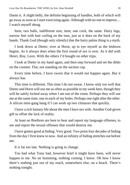Damn it. A slight belly, the definite beginning of handles, both of which will go away as soon as I start exercising again. Although with no one to impress… I watch myself shrug.

Item, two balls, indifferent size; item, one cock, the same. Hairy legs, narrow feet with hair curling on the toes, just as it does on the back of my hands. Thank God (though only silently) that the hairy palms thing is a myth.

I look down at Dieter, over at Horst, up to eye myself as the letdown begins. As it always does when the first round of sex is over. As it did with Henri, Roy, Leon. With the others I'd bought on other trips.

I look at Dieter in my hand again, and then step forward and set the dildo on the counter. Flat, not standing on the suction cup.

Every time before, I have sworn that it would not happen again. But it always has.

This time is different. This time I do not swear. I know only too well that Dieter and Horst will use me as often as possible in my week here, though they will be safely locked away when I am out of the room. Perhaps they will use me at the same time, one in each of my holes. Perhaps one right after the other. A silicon mini-gang bang if I can work up two climaxes that quickly.

I have a rich fantasy life about the men I have sex with. Another God-given gift to offset the lack of reality.

At least no Brethren are here to hear and report my language offenses, to see and report the sexual offenses that would destroy me.

I have gotten good at hiding. Very good. Two point four decades of hiding from the day I first knew to now. And an infinity of hiding stretches out before me.

It is far too late. Nothing is going to change.

Too bad what Tony had, however brief it might have been, will never happen to me. No air humming, nothing coming. I know. Oh how I know there's nothing just out of my reach, somewhere else, on a beach. There's nothing tonight.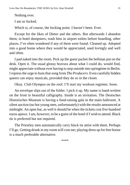Nothing ever.

I am so fucked.

Which is, of course, the fucking point. I haven't been. Ever.

Except for the likes of Dieter and the others. But afterwards I abandon them, in hotel dumpsters, trash bins in airport toilets before boarding, other places. I've often wondered if any of them were found. Cleaned up. Adopted into a good home where they would be appreciated, used lovingly and well and often.

I pad naked into the room. Pick up the guest packet the bellman put on the desk. Open it. The usual glossy bravura about what I could do, would find, might appreciate without ever having to step outside into springtime in Berlin. I repress the urge to hum that song from *The Producers*. Even carefully hidden queers can enjoy musicals, provided they do so in the closet.

Okay. Club Olympus on the roof. I'll start my workout regimen. Soon.

An envelope slips out of the folder. I pick it up. My name is hand-written on the front in beautiful calligraphy. Inside is an invitation. The Deutsches Historisches Museum is having a fund-raising gala in the main ballroom. A silent auction (no hot young men, unfortunately) with the results announced at midnight. An open bar, as well it should be when the tickets cost five hundred euros apiece. I am, however, to be a guest of the hotel if I wish to attend. Black tie is preferred but not required.

The Priestley men automatically carry black tie attire with them. Perhaps I'll go. Getting drunk in my room will cost me; playing dress up for free booze is a much preferable alternative.

\*\*\*\*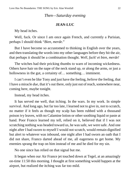#### *Then—Saturday evening*

#### **JEAN-LUC**

<span id="page-21-0"></span>My head itches.

Well, fuck. Or since I am once again French, and currently a Parisian, perhaps I should think "*Bien, merde*."

But I have become so accustomed to thinking in English over the years, and then translating the words into my other languages before they hit the air, that perhaps it should be a combination thought. *Well, fuck! et bien, merde!*

The witches had their pricking thumbs to warn of incoming wickedness. Others have hair on the nape of the neck stand up, or along the arms, or just a hollowness in the gut, a certainty of ... something... imminent.

I can't even be like Tony and just have the feeling, *believe* the feeling, that I have a miracle *due*, that it's out there, only just out of reach, somewhere near, coming here, maybe tonight.

Instead, my head itches.

It has served me well, that itching. In the wars. In my work. In simple survival. And long ago, but far too late, I learned not to give in, not to scratch, no matter if it feels as though my scalp has been rubbed with a thousand poison ivy leaves, with no Calamine lotion or other soothing liquid or paste at hand. Poor Franco learned my tell, relied on it, believed that if I was not scratching nothing was headed toward us, he was safe, we were safe. And one night after I had sworn to myself I would not scratch, would remain dignified but alert to whatever was inbound, one night after I had sworn an oath that I did not share, Franco darted ahead of me, all eagerness to get home. My enemies sprang the trap on him instead of me and he died for my sin.

No one since has relied on that signal but me.

It began when our Air France jet touched down at Tegel, at an amazingly on-time 11:50 this morning. I thought at first something would happen at the airport, but realized the itching was far too mild.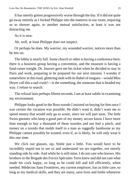It has merely gotten progressively worse through the day. If it did not quite go away entirely as I fucked Philippe into the mattress in our room, requiring us to shower again, to another mutual satisfaction, at least it was not distracting me.

As it is now.

Ah, well, at least Philippe does not suspect.

Or perhaps he does. My warrior, my wounded warrior, notices more than he lets on.

The lobby is nearly full. Some church or other is having a conference here; there is a business group having a convention, and the museum is having a fund-raiser tonight. Dr. Jouvert gave me his ticket when he decided to stay in Paris and work, preparing to be prepared for our next mission. I wonder if somewhere in this loud, glittering mob with its Babel of tongues—would Miss Heyer call this a sad crush?—is the something, the someone that is headed my way. I refuse to search.

The refusal lasts perhaps fifteen seconds. I am at least subtle in examining my environment.

Philippe looks good in the Boss tuxedo I insisted on buying for him once I was certain the vacation was possible. He didn't want it, didn't want me to spend money that would only go to waste, since we will part soon. The little Swiss gnomes who keep a good part of my money secure know I have more than enough to buy a thousand of these tuxedos and not feel a pinch, and money on a tuxedo that molds itself to a man as ruggedly handsome as my Philippe cannot possibly be wasted, even if, as is likely, he will only wear it this one time.

We click our glasses, sip. Smile just a little. You would have to be incredibly stupid not to see us and understand we are together, not merely standing side by side. And while he is still mine, I do not care who knows. His brothers in the Brigade des Forces Spéciales Terre knew and did not care what made his cock happy, so long as he could kill and kill efficiently, when needed. Médecins Sans Frontières, my current employer, has as little care, so long as my medical skills, and they are many, save lives and limbs whenever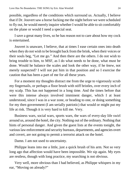possible, regardless of the conditions which surround us. Actually, I believe that if Dr. Jouvert saw a horse fucking me the night before we were scheduled to fly out, he would merely inquire whether I would be able to sit comfortably on the plane or would I need a special seat.

I save a great many lives, so he has reason not to care about how my cock is entertained.

Jouvert is unaware, I believe, that at times I ease certain ones into death when they do not wish to be brought back from the brink, when their voices or their souls beg, "Let me go." And then there are the others. I do not wish to bring trouble to him, to MSF, as I do what needs to be done, what must be done. Would he balance the scales and look the other way, if he *knew*, not merely suspected? I will not put him in that position and so I exercise the caution that has been a part of me for all these years.

For a moment my thoughts distract me from the urge to vigorously scrub my fingernails, or perhaps a floor brush with stiff bristles, over every inch of my scalp. This has not happened in a long time. And the times before that were this intense always involved imminent danger, which I at least understood, since I was in a war zone, or heading to one, or doing something for my then government (I am serially patriotic) that would or might put my life at risk. Though it is very hard to kill me. Very.

Business wars, social wars, sports wars, the wars of every-day life swirl around us, around the hotel, the city. Nothing out of the ordinary. Nothing that hints of personal danger. And given the guest lists at the events tonight, the various law enforcement and security bureaus, departments, and agencies overt and covert, are not going to permit a terrorist attack on the hotel.

Damn. I am not used to uncertainty.

Philippe leans into me a little, just a quick brush of his arm. Not so very long ago that affection would have been impossible. We sip again. My eyes are restless, though with long practice, my searching is not obvious.

Very well, more obvious than I had believed, as Philippe whispers in my ear, "Moving on already?"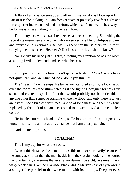A flare of annoyance goes up and off in my mental sky as I look up at him. Part of it is the looking up. I am forever fixed at precisely five feet eight and three-quarter inches, naked and barefoot, which is, of course, the best way to be for measuring anything. Philippe is six four.

The annoyance vanishes as I realize he has seen something. Something the security teams—men and women who are so very visible to Philippe and me, and invisible to everyone else, well, except for the soldiers in uniform, carrying the most recent Heckler & Koch assault rifles—should know?

No. He tilts his head just slightly, directing my attention across the room, assuming I will understand, and see what he sees.

I do.

Philippe murmurs in a tone I don't quite understand, "Yon Cassius has a not-quite lean, and well-fucked look, don't you think?"

The "Cassius" on the steps, his tux as well-tailored as ours, is looking out over the room, his face illuminated as if the lighting designer for this little scene had created a special effect that would probably not be noticeable to anyone other than someone standing where we stood, and only there. For just an instant I see a kind of wistfulness, a kind of loneliness, and then it is gone, replaced by the look of a man accustomed to power, poised and in complete control.

He inhales, turns his head, and stops. He looks at me. I cannot possibly know it is me, not *us*, not at this distance, but I am utterly certain.

And the itching stops.

#### **JONATHAN**

This is my day for what-the-fucks.

Even at this distance, the man is impossible to ignore, primarily because of the contrast. Shorter than the man beside him, the Cassius-looking-one poured into that tux. My starer—is that even a word?—is five eight, five nine. Thick, wavy black hair. From here, a wide, black Magic Marker slash of eyebrows in a straight line parallel to that wide mouth with its thin lips. Deep-set eyes.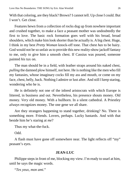With that coloring, are they black? Brown? I cannot tell. Up close I could. But I won't. Get close.

Features hewn from a collection of rocks dug up from nowhere important and crushed together, to make a face a peasant mother was undoubtedly the first to love. The basic rock formation goes well with his broad, broad shoulders, which make him look shorter than he actually is. A big chest. Huge, I think in my best *Pretty Woman* knock-off tone. That chest *has* to be hairy. God would not be so unfair as to provide this new reality-show jackoff fantasy to me, only to give him a smooth chest. If Cassius was poured, someone painted *his* tux on.

The man should be in a field, with leather straps around his naked chest, *pulling* the damned plow himself, not here. He is nothing like the men who fill my fantasies, whose imaginary cocks fill my ass and mouth, or come on my face, chest, belly, back. Nothing I admire or lust after. And still I keep staring, wondering who he is.

He is definitely not one of the inbred aristocrats with which Europe is littered, in business and out. Nevertheless, his presence shouts money. Old money. *Very* old money. With a bullhorn. In a silent cathedral. A Priestley *always* recognizes money. The one gene we all share.

Are they strangers happening to stand together, drinking? No. There is something more. Friends. Lovers, perhaps. Lucky bastards. And with that beside him he's staring at *me*?

Thus my what-the-fuck.

Odd.

A flash must have gone off somewhere near. The light reflects off "my" peasant's eyes.

#### **JEAN-LUC**

Philippe steps in front of me, blocking my view. I'm ready to snarl at him, until he says the magic words.

"*Tes yeux, mon ami.*"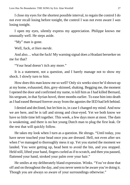I close my eyes for the shortest possible interval, to regain the control I do not ever recall losing before tonight, the control I was not even aware I *was* losing tonight.

I open my eyes, silently express my appreciation. Philippe knows me unusually well. He steps aside.

"My" man is gone.

Well, fuck, *et bien merde*.

And also… what the fuck! My warning signal does a Hradani berserker on me for that?

"Your head doesn't itch any more."

It is a statement, not a question, and I barely manage not to show my shock. I slowly turn to him.

How does this man know me so well? Only six weeks since he'd shown up at my home, exhausted, thin, grey-skinned, shaking. Begging me, the moment I opened the door and confirmed my name, to kill him as I had killed Bernard, his sergeant, in that Syrian hovel, three months earlier. To ease him into death as I had eased Bernard forever away from the agonies the IED had left behind.

I denied and declined, but let him in, in case I changed my mind. And now we are here, and he is tall and strong and clear-eyed. Yet we both know we have so little time left together. This week, a few days more at most. The dam is weakening, and there is no hot young Dutch man to plug the first leak. Or the rest that will quickly follow.

He takes my look when I turn as a question. He shrugs. "Until today, you have never touched your head once you are dressed. Hell, not even after sex when I've managed to thoroughly mess it up. Yet you started the moment we landed. You were getting up, head bent to avoid the bin, and you stopped. Held still, lifted your hand, fingers curled as if to scratch, and then you paused, flattened your hand, stroked your palm over your hair."

He smiles at my deliberately bland expression. Winks. "You've done that off and on throughout the day, and you never seem to be aware you're doing it. Though you are always so aware of your surroundings otherwise."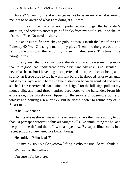Aware? Given my life, it is dangerous *not* to be aware of what is around me, not to be aware of what I am doing at all times.

I shrug as if the matter is no importance, turn to get the bartender's attention, and order us another pair of drinks from my bottle. Philippe shakes his head. Fine. No need to share.

It is an insult to fine whiskey to gulp it down. I insult the last of the Old Pulteney 40 Year Old single malt in my glass. Then hold the glass out for a refill to the brim with the last of my sixteen hundred euros. This time it is a two-gulp insult.

I briefly wish that once, just once, the alcohol would do something more than taste good, bad, indifferent, beyond brilliant. My wish is not granted. It never has been. But I have long since perfected the appearance of being a bit squiffy, as Bertie used to say he was, right before he dropped his drawers and I put it to his royal arse. There is a fine distinction between squiffed and wellsloshed. I have perfected that distinction. I signal for the bill, sign, pull out my money clip, and hand three hundred-euro notes to the bartender. From his expression, I've grossly over tipped for the service of opening a bottle of whisky and pouring a few drinks. But he doesn't offer to refund any of it. Smart man.

"Shall we dance?"

He lifts one eyebrow. Peasants never seem to have the innate ability to do that. Or perhaps aristocratic shits are taught skills like annihilating the hoi and the polloi, the riff and the raff, with an eyebrow. By supercilious cunts in a secret school somewhere, like Luxembourg.

He smirks. "Who leads?"

I do my invisible single eyebrow lifting. "Who the fuck do you think?"

We head to the ballroom.

I'm sure he'll be there.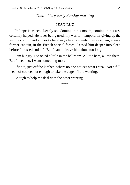#### *Then—Very early Sunday morning*

#### **JEAN-LUC**

<span id="page-28-0"></span>Philippe is asleep. Deeply so. Coming in his mouth, coming in his ass, certainly helped. He loves being used, my warrior, temporarily giving up the visible control and authority he always has to maintain as a captain, even a former captain, in the French special forces. I eased him deeper into sleep before I dressed and left. But I cannot leave him alone too long.

I am hungry. I snacked a little in the ballroom. A little here, a little there. But I need, no, I want something more.

I find it, just off the kitchen, where no one notices what I steal. Not a full meal, of course, but enough to take the edge off the wanting.

Enough to help me deal with the other wanting.

\*\*\*\*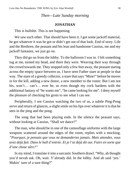#### *Then—Late Sunday morning*

#### **JONATHAN**

<span id="page-29-0"></span>This is bullshit. This is not happening.

We saw each other. That should have been it. I got some jackoff material, he got whatever it was he got or didn't get out of that look. End of story. Life and the Brethren, the peasant and his lean and handsome Cassius, me and my jackoff fantasies, we just go on.

They did go on from the lobby. To the ballroom I was in. I felt something tug at me, turned my head, and there they were. Weaving their way through the crowd towards me. They stopped only a few feet away, the peasant staring across the empty space between us. I have seen Father stare at people in that way. The stare of a greedy collector, a stare that says "Mine!" before he moves in for the kill, adding a new donor, a new member to the roster. But I am not his, won't... can't... ever be, so even though my cock hardens with the additional fantasy of "he wants me", "he came looking for me", I deny myself the pleasure of checking his groin to see what I can see.

Peripherally, I see Cassius watching the two of us, a subtle Ping-Pong serve and return of glances, a slight smile on his lips over whatever it is that he sees in the ping and the pong.

The song that had been playing ends. In the silence the peasant says, without looking at Cassius, "Shall we dance?"

The man, who should be in one of the camouflage uniforms with the large weapons scattered around the edges of the room, replies with a mocking, *"Pourquoi, je pensais que vous ne demanderiez jamais. Mais attendez, vous avez déjà fait. Dans le hall d'entrée. Et je l'ai déjà dit oui. Faire en sorte que d'une chose sûre?"*

In my mind, I translate it into a sarcastic Southern drawl. "Why, ah thought you'd nevah ask. Oh, wait. Y'already did. In the lobby. And ah said 'yes.' Makin' sure of a sure thing?"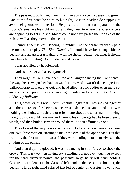The peasant growls like… well, just like you'd expect a peasant to growl. And at the first notes he spins to his right, Cassius neatly side-stepping to avoid being knocked to the floor. He puts his left forearm out, parallel to the floor, Cassius lays his right on top, and they head to where the other dancers are beginning to get in place. Moses could not have parted the Red Sea of the rich so well as they move to the center.

Flaunting themselves. Dancing! In public. And the peasant probably paid the orchestra to play *The Blue Danube*. It should have been laughable. A peasant and an aristocrat waltzing, with the shorter peasant leading. It should have been humiliating. Both to dance and to watch.

I was appalled by it, offended.

And as mesmerized as everyone else.

They might as well have been Fred and Ginger dancing the Continental, the way the crowd pushed back to watch them. And it wasn't that competition ballroom crap with elbows out, and head tilted just so, bodies even more so, and the faces expressionless because rigor mortis has long since set in. Shades of *Strictly Ballroom*.

This, however, this was… *real*. Breathtakingly real. They moved together as if the sole reason for their existence was to dance this dance, and there was nothing the slightest bit absurd or effeminate about the taller man following, though Joshua would have mocked them to his entourage had he been there to watch, and then built a sermon around them. Not an affirmative one.

They looked the way you expect a waltz to look, an easy one-two-three, one-two-three rotation, starting to make the circle of the open space. But that was only the first minute or so, as if they were settling in to themselves, to the rhythm of the pairing.

And then they… exploded. It wasn't dancing just for fun, or to shock the crowd. This was two men having sex, standing up, not even touching except for the three primary points: the peasant's large hairy left hand holding Cassius' more slender right, Cassius' left hand on the peasant's shoulder, the peasant's large right hand splayed just left of center on Cassius' lower back.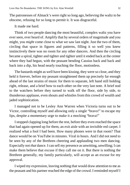The patronesses of Almack's were right so long ago, believing the waltz to be obscene, refusing for so long to permit it. It was disgraceful.

It made me hard.

Think of two people dancing the most beautiful, complex waltz you have ever seen, ever heard of. Amplify that by several orders of magnitude and you might, you *might* come close to what we saw last night. Just the two of them, circling that space in figures and patterns, filling it so well you knew instinctively there was no room for any other dancers. And then the circling became a spiral, tighter and tighter and tighter until it ended back at the center where they had begun, with the peasant bending Cassius back and back and back into a dip, his head nearly touching the floor, motionless.

The bastards might as well have been kissing, they were so close, and they held it forever, before my peasant straightened them up precisely far enough ahead of the last strains of music for them to separate, left hand still holding right, release, and a brief bow to each other on the very last note. A brief nod to the watchers before they turned to walk off the floor, side by side, to thunderous applause, even shouts and whistles from this crowd of wealth and jaded sophistication.

I managed not to be Lesley Ann Warren when Victoria turns out to be Victor, controlling myself and allowing only a single "bravo!" to escape my lips, despite a momentary urge to make it a mocking "brava!"

I stopped clapping long before the rest, before they even reached the space that had again opened up for them, an exit aisle with an invisible red carpet. I realized what a fool I had been. How many phones were in that room? That dance would be on YouTube in minutes. Viral in hours. And I did not need to be seen by any of the Brethren cheering and applauding two men dancing. Especially not *that* dance. I can sell my presence as unwitting, unwilling; I can make them believe that excuse if they call me on it. But there is nothing the Brethren generally, my family particularly, will accept as an excuse for my approval.

I wiped my expression, leaving nothing that would draw attention to me as the peasant and his partner reached the edge of the crowd. I reminded myself I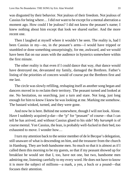was disgusted by their behavior. Not jealous of their freedom. Not jealous of Cassius for being where… I did *not* want to be except for a mental aberration a moment ago. How could I be jealous? I did not know the peasant's name; I knew nothing about him except that look we shared earlier. And the more recent one.

Then I laughed at myself where it wouldn't be seen. The reality is, had I been Cassius in my—no, in *the* peasant's arms—I would have tripped or stumbled or done something unsurprisingly, for me, awkward, and we would have been flat on our asses with the audience in hysterics somewhere within the first minute.

The other reality is that even if I could dance that way, *that* dance would have destroyed me, devastated my family, damaged the Brethren. Father's listing of the priorities of concern would of course put the Brethren first and me last.

The circle was slowly refilling, reshaping itself as another song began and dancers moved in to reclaim their territory. The peasant turned and looked at me. No hesitation, no searching, just a turn and stare. Not long, just long enough for him to know I knew he was looking at me. Marking me somehow. The bastard winked, turned, and they were gone.

And now he is here. Behind me somewhere, though I will not look. Alone. Have I suddenly acquired p-dar—the "p" for "peasant" of course—that I can tell he has arrived, and without Cassius glued to his side? My *harumph* is of course mental. Yon Cassius, the lean, is probably well-fucked in their bed, too exhausted to move. I wonder how…

I turn my attention back to the senior member of de le Becque's delegation, still unaware of what is descending on him, and the treasurer from the church in Hamburg. They are both handsome men. So much so that it is almost as if I called them this morning to be my guests, so that if my peasant showed up for breakfast he would see that I, too, have not one, but two, handsome men admiring me, listening carefully to my every word. He does not have to know it is more the subject of millions—a mark, a yen, a buck or a pound—that focuses their attention.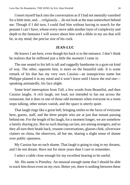I insert myself back into the conversation as if I had not mentally vanished for a little time, and… *religiously*… do not look at the man somewhere behind me. Though if I did turn, I could find him without having to search for the peasant I can't have, whose every move adds another layer of complexity and depth to the fantasies I will weave about him with a dildo in my ass that will be, in my mind, the precise size of his cock.

#### **JEAN-LUC**

He knows I am here, even though his back is to the entrance. I don't think he realizes that he stiffened just a little the moment I came in.

The one seated to his left is tall and ruggedly handsome in a gym-rat kind of way. The other, opposite him, is more on the beautiful side. It is some remark of his that has my very own Cassius—an inauspicious name but Philippe planted it in my mind and it won't leave until I know the real one speaking animatedly, his face alight.

Some brief interruption from Tall, a few words from Beautiful, and then Cassius laughs. A rich laugh, not loud, not intended to fan out across the restaurant, but it does in one of those odd moments when everyone in a room stops talking, other noises vanish, and the space is utterly quiet.

That laugh rings like a great bell, bringing smiles to the faces of everyone here, guests, staff, and the three people who are at just that instant passing behind me. For the length of his laugh, for a moment longer, we are somehow a family sharing joy. But no such sharing can last, not among strangers, and so they all turn their heads back, resume conversations, glasses clink, silverware clatters on china, the observers, all but me, sharing a slight sense of shame over public openness.

My Cassius has no such shame. That laugh is going to sing in my dreams, and I do not dream. Have not for more years than I care to remember.

I select a table close enough for my excellent hearing to be useful.

Ah. His name is Priestley. An unusual enough name that I should be able to track him down even on my own. Better yet, there is nothing between these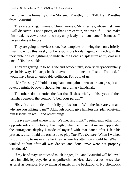men, given the formality of the Monsieur Priestley from Tall; Herr Priestley from Beautiful.

They are talking… money. Church money. My Priestley, whose first name I will discover, is not a priest, of that I am certain, yet even if… I can make him break his vows, become so very un-priestly in all but name. It is not as if I haven't done it before.

They are going to services soon. I contemplate following them only briefly. I want to enjoy this week, not be responsible for damaging a church with the inevitable bolt of lightning to indicate the Lord's displeasure at my crossing one of His thresholds.

They are getting up to go. I rise and accidentally, so very, very accidentally get in his way. He steps back to avoid an imminent collision. Too bad. It would have been an enjoyable collision. For both of us.

"Mr. Priestley." I hold out my hand, not palm down so he can grasp it as a lover, a might-be lover, should, just an ordinary handshake.

The others do not notice the fear that flashes briefly in his eyes and then vanishes beneath the control. "I beg your pardon?"

His voice is a model of an icily professional "Who the fuck are you and why are you talking to me?" Although I could give him lessons, plan on giving him lessons, in ice... and other things.

I leave my hand where it is. "We met last night." Seeing each other from opposite sides of the lobby. Last night, when he looked at me and applauded the outrageous display I made of myself with that dance after I felt his presence, after I paid the orchestra to play *The Blue Danube*. When I walked us up to him, to make sure he knew where his attention should be. When I winked at him after all was danced and done. "We were not properly introduced."

If my hand stays untouched much longer, Tall and Beautiful will believe I have invisible leprosy. He has no polite choice. He shakes it, a business shake, as brief as possible. No swelling of music in the background. No Hitchcock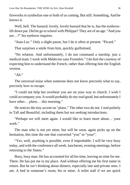fireworks to symbolize one or both of us coming. But still. Something. And he knows it.

Well, hell. The bastard, lovely, lovely bastard that he is, has the eyebrowlift down pat. Did he go to school with Philippe? They are of an age. "And you are…?" his eyebrow inquires.

"Jean-Luc." Only a slight pause, but I do it often at present. "Picard."

That surprises a smile from him, quickly guillotined.

"No relation. And unfortunately, I do not command a starship, just a medical team. I work with Médecins sans Frontière." I do him the courtesy of expecting him to understand the French, rather than offering him the English version.

 $"Ah"$ 

The universal noise when someone does not know precisely what to say, precisely how to escape.

"I could not help but overhear you are on your way to church. I wish I could accompany you. It would probably do my soul good, but unfortunately I have other… *plans*… this morning."

He notices the tiny accent on "plans." The other two do not. I nod politely to Tall and Beautiful, including them but not seeking introductions.

"Perhaps we will meet again. I would like to learn more about… your work."

The man who is not yet mine, but will be soon, again picks up on the hesitation, this time the one that converted "you" to "your".

"Yes, well, anything is possible, even if improbable. I will be very busy today, and with the conference all week, luncheons, evening meetings, before returning to the States."

Busy, busy man. He has accounted for all his time, leaving no time for me. There. He has put me in my place. And without offering me his first name in return. But he isn't thinking about dinners, especially late and private ones. I am. A bed in someone's room, his or mine. A toilet stall if we are quick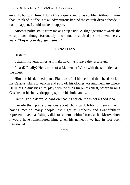enough, but with him, I do not want quick and quasi-public. Although, now that I think of it, if he is at all adventurous behind the church-driven façade, it could happen. I could make it happen.

Another polite smile from me as I step aside. A slight gesture towards the escape hatch, though fortunately he will not be required to slide down, merely walk. "Enjoy your day, gentlemen."

# **JONATHAN**

Bastard!

I chant it several times as I make my… as I leave the restaurant.

Picard? Really? He is more of a Lieutenant Worf, with the shoulders and the chest.

Him and his damned plans. Plans to refuel himself and then head back to his Cassius, plans to walk in and strip off his clothes, tossing them anywhere. He'll let Cassius kiss him, play with the thick fur on his chest, before turning Cassius on his belly, dropping spit on his hole, and…

Damn. Triple damn. A hard-on heading for church is not a good idea.

I evade their polite questions about Dr. Picard, fobbing them off with having met so many people last night as Father's and Grandfather's representative, that I simply did not remember him. I force a chuckle over how I would have remembered him, given his name, if we had in fact been introduced.

\*\*\*\*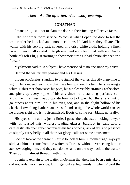*Then—A little after ten, Wednesday evening.*

#### **JONATHAN**

I manage—just—not to slam the door in their fucking collective faces.

I did *not* order room service. Which is what I open the door to tell the waiter after he knocked and announced himself. And here they all are. The waiter with his serving cart, covered in a crisp white cloth, holding a linen napkin, two small crystal flute glasses, and a cooler filled with ice. And a bottle of Stoli Elit, just starting to show moisture as it had obviously been in a freezer.

My favorite vodka. A subject I have mentioned to no one since my arrival.

Behind the waiter, my peasant and his Cassius.

I focus on Cassius, standing to the right of the waiter, directly in my line of sight. He is indeed lean, now that I see him without his tux. He is wearing a white T-shirt that showcases his pecs, his nipples visibly straining at the cloth, and picks up every ripple of his abs since he is standing perfectly still. Muscular in a Cassius-appropriate lean sort of way, but there is a hint of gauntness about him. It's in his eyes, too, and in the slight hollow of his cheeks. Low-slung leather pants so soft and so tight the whole world can see he dresses right and isn't circumcised. Boots of some sort, black, naturally.

His eyes smile at me, just a little. I guess the exhausted-looking lawyer, with his tousled hair, wireless reading glasses, barefoot in jeans with a carelessly left-open robe that reveals his lack of pecs, lack of abs, and presence of slightly furry belly in all their *not* glory, calls for some amusement.

I do not look at the peasant. Refuse to look at him. A moment ago, my eyes slid past him en route from the waiter to Cassius, without ever seeing him or acknowledging him, and they can do the same on the way back to the waiter. They do. I'm almost through with this.

I begin to explain to the waiter in German that there has been a mistake, I did not order room service. But I get only a few words in when Picard the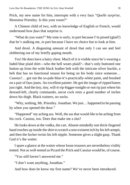Prick, my new name for him, interrupts with a very faux "*Quelle surprise*, Monsieur Priestley. Is this your room?"

A Chinese child of two, with no knowledge of English or French, would understand how *faux* that surprise is.

"What do you want?" My tone is surly, in part because I'm pissed (glad?) that he's stalking me, in part because I have no choice but to look at him.

And drool. A disgusting amount of drool that only I can see and feel slobbering out of my briefly gaping mouth.

Yes! He does have a hairy chest. Much of it is visible since he's wearing a faded blue plaid shirt—who the hell wears plaid?—that's only buttoned one button up from the wide black leather belt with the intricate silver buckle, a belt that has no functional reason for being on his body since someone… Cassius?… got out the so-pale-blue-it's-practically-white paint, and brushed on a pair of faux jeans. An excellent painter. He got the image of ripped knees just right. And the tiny, tiny, will-it-rip-bigger-tonight-or-not rip just where his dressed-left, clearly commando, uncut cock rests a good number of inches down his thigh. Black trainers, no socks.

"Why, nothing, Mr. Priestley. Jonathan. We just… happened to be passing by when you opened the door."

"Happened" my aching ass. Well, the ass that would *like* to be aching from his cock. Cassius, too. Does that make me a slut?

He looks down at the vodka, the cart. Absent-mindedly one thick-fingered hand reaches up inside the shirt to scratch a non-existent itch by his left armpit, and then the fucker twists his left nipple. Someone gives a slight gasp. Thank God it's the waiter.

I spare a glance at the waiter whose loose trousers are nevertheless visibly tented. Not as well-tented as Picard the Prick and Cassius would be, of course.

"You still haven't answered me."

"I don't want anything, Jonathan."

And how does he know my first name? We've never been introduced.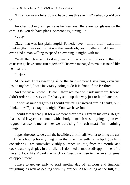"But since we are here, do you have plans this evening? Perhaps you'd care to…"

Another fucking faux pause as he "realizes" there are two glasses on the cart. "Oh, you do have plans. Someone is joining…"

"Yes!"

Okay, that was just plain stupid. Pathetic, even. Like I didn't want him thinking that I was so… what was that word? oh, yes… pathetic that I couldn't even find a man willing to spend an evening, a night, with me.

"Well, then, how about asking him to throw on some clothes and the four of us can go have some fun together?" He even managed to make it sound like he meant it.

Fucker.

At the rate I was swearing since the first moment I saw him, even just inside my head, I was inevitably going to do it in front of the Brethren.

And the fucker knew… *knew*… there was no one inside my room. Knew I didn't order room service. Probably set it up this way just to humiliate me.

So with as much dignity as I could muster, I answered him. "Thanks, but I think… *we'll* just stay in tonight. You two have fun."

I could swear that just for a moment there was regret in his eyes. Regret that a staid lawyer accountant with a body to match wasn't going to join two rugged, handsome men as they went cruising for fresh meat? I'm imagining things.

I open the door wider, tell the bewildered, still-stiff waiter to bring the cart in. If he is hoping for anything other than the indecently large tip I give him, considering I am somewhat visibly plumped up, too, from the mouth- and cock-watering display in the hall, he is doomed to modest disappointment. I'd have to look like Picard the Prick or Cassius to rise to the level of great disappointment.

I have to get up early to start another day of religious and financial infighting, as well as dealing with my brother. As tempting as the full, still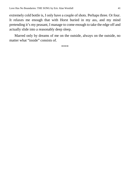extremely cold bottle is, I only have a couple of shots. Perhaps three. Or four. It relaxes me enough that with Horst buried in my ass, and my mind pretending it's my peasant, I manage to come enough to take the edge off and actually slide into a reasonably deep sleep.

Marred only by dreams of me on the outside, always on the outside, no matter what "inside" consists of.

\*\*\*\*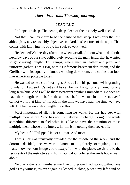## *Then—Four a.m. Thursday morning*

### **JEAN-LUC**

Philippe is asleep. The gentle, deep sleep of the insanely well-fucked.

Not that I can lay claim to be the cause of that sleep. I was only the last, although by any reasonably objective standard, his best fuck of the night. That comes with knowing his body, his soul, so very well.

He decided Wednesday afternoon when we talked about what to do for the next few days of our stay, deliberately avoiding the main issue, that he wanted to go cruising tonight. To Tramps, where men in leather and jeans and uniforms gather; Tom's Bar, with its infamous basement dark room, and the Greifbar with its equally infamous winding dark room, and cabins that look like American portable toilets.

He wanted to be a slut for a night. And as I am his personal wish-granting foundation, I agreed. It's not as if he can be hurt by it, not any more, not any long-term hurt. And I will be there to prevent anything immediate. He does not have the strength he did before the ambush, before we met in the desert, even I cannot work that kind of miracle in the time we have had, the time we have left. But he has enough strength to do this.

Most important of all, it is something he wants. He has had sex with multiple men before. Who has not? But always in charge. Tonight he wants something different, to feel what it is like to have the attention of those multiple men, whose only interest in him is in getting their rocks off.

My beautiful Philippe. He got all that. And more.

Tom's Bar was unusually crowded for the middle of the week, and the doorman decided, since we were unknown to him, clearly not regulars, that no matter how well our images, our *reality*, fit in with the place, we should be the recipients of the restrictive and humiliating door policies the guide books warn about.

No one restricts or humiliates me. Ever. Long ago I had sworn, without any god as my witness, "Never again." I leaned in close, placed my left hand on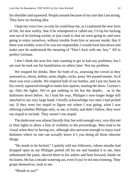his shoulder and squeezed. People assume because of my size that I am strong. They have no fucking idea.

I kept my voice low, so only he could hear me, as I explained the new facts of life, *his* new reality; that if he whimpered or called out, I'd rip his fucking arm out of its fucking socket, or just crush it; that we were going in, and were going to enjoy ourselves, without trouble from him or anyone inside; that if there was trouble, even if he was not responsible, I would track him down and make sure he understood the meaning of "Don't fuck with me, boy." All in perfect German.

I don't think the next few men wanting to get in had any problems, but I am sure he took out his humiliation on others later. Not my problem.

We stopped for drinks. Beer for both of us, assessing the crowd as they assessed us, chests, bellies, arms, thighs, cocks, asses. We passed muster. As if there was ever a doubt. We emptied half of our bottles, and I put my hand on his crotch, squeezed enough to make him squirm, starting the show. Curtain's up. Dim the lights. We've got nothing to hit but the depths… as in the darkroom down below. As I lead the way, Philippe's now-larger bulge still attached to my very large hand, I briefly acknowledge two men I had picked out. If they were too stupid to figure out where I was going, what I was offering (whether Philippe only, or me, or both), and didn't follow, they were too stupid to include. They weren't too stupid.

The darkroom was almost literally that, but with enough very, very dim red or blue lights to allow a hint of visibility to the proceedings. Men tend to be visual when they're having sex, although also perverse enough to enjoy total darkness where no one can actually know it's you doing all those obscene things.

"He needs to be fucked," I quietly told our followers, whose mouths had dropped open as my Philippe peeled off his tee and handed it to me, then unbuttoned the pants, shoved them to his ankles and bent forward, hands on his knees. He has a mouth-watering ass, even if you're not into rimming. They grope themselves, look to me.

"Mouth or ass?"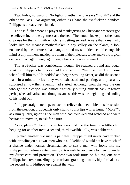Two holes, no waiting. No fighting, either, as one says "mouth" and the other says "ass." No argument, either, as I hand the ass-fucker a condom. Philippe is already well-lubed.

The ass-fucker moans a prayer of thanksgiving to Christ and whatever god he believes in, for the tightness and the heat. The mouth-fucker joins the litany of praise for the skill with which he's getting sucked. Aware that a man who looks like the meanest motherfucker in any valley on the planet, a look enhanced by the darkness than hangs around my shoulders, could change his mind at any moment and deprive them of their pleasures, they make the logical decision that right there, right then, a fast come was required.

The ass-fucker was considerate, though. He reached around and began stroking Philippe's hard cock, but I stopped him. "Just use him. He'll come when I tell him to." He nodded and began stroking faster, as did the second man. In a minute or less they were exhausted and panting, and pleasantly surprised at how their evening had started. Although from the way the one who got the blowjob was almost frantically putting himself back together, perhaps he had had second thoughts, and so this was the beginning and ending of his night out.

Philippe straightened up, twisted to relieve the inevitable muscle tension from the position. I rubbed his only slightly puffy lips with a thumb. "More?" I ask him quietly, ignoring the men who had followed and watched and were hesitant to move in, to ask for a turn.

"Yes, please." The smirk in his eyes told me the tone of a little child begging for another treat, a second, third, twelfth, lolly, was deliberate.

I picked another two men, a pair that Philippe might never have tricked with, prowling on his own, men who in all likelihood would not have much of a chance under normal circumstances to sex a man who looks like my Philippe. I sometimes extend my grant-a-wish benevolence to men not under my direct care and protection. These two took turns on his ass, one with Philippe bent over, nuzzling my crotch and grabbing onto my hips for balance; the second with Philippe up against the wall.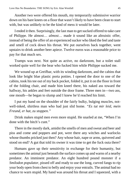Another two were offered his mouth, my temporarily submissive warrior down on his bare knees on a floor that wasn't likely to have been clean to start with, but was unlikely to be the kind of mess it would be later.

I ended it then. Surprisingly, the last man to get sucked offered to take care of Philippe. He almost… *almost*… made it sound like an altruistic offer, instead of being the offer of an experienced sucker who liked the feel and taste and smell of cock down his throat. We put ourselves back together, went upstairs to drink another beer apiece. Twelve euros was a reasonable price to pay for that much sex.

Tramps was next. Not quite as active, no darkroom, but a toilet stall worked quite well for the bear who fucked him while Philippe sucked me.

We wound up at Greifbar, with its winding darkroom, and the cabins that look like bright blue plastic porta potties. I opened the door to one of the cabins, took his tee out of my back pocket, folded it, put it on the floor in front of the folding chair, and made him kneel there, his naked ass toward the hallway, his ankles and feet outside the door frame. Three men in—two ass, one mouth—he began to slump and I knew he'd reached his limit.

I put my hand on the shoulder of the fairly bulky, bulging muscles, notwell-inked, shirtless man who had just slid home. *"Es tut mir leid, mein Freund, er hat, zu stoppen."*

Drink makes stupid men even more stupid. He snarled at me, "When I'm done with the bitch's cunt."

There in the mostly dark, amidst the smells of men and sweat and beer and piss and come and poppers and pot, were there any witches and warlocks whose thumbs pricked just then? Any whose hair, nape or arms, quivered and stood on end? A gut that told its owner it was time to get the fuck outa there?

Humans gave up their sensitivity in exchange for their humanity, but sometimes the animal just beneath the surface comes up and warns of a nearby predator. An imminent predator. An eight hundred pound monster if a *Smilodon populator*, pissed off and ready to use the long, curved fangs to rip your body open from chest to belly and enjoy your entrails. The animal had no chance to warn stupid. My hand was around his throat and I squeezed, with a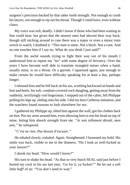surgeon's precision backed by that saber tooth strength. Not enough to crush his larynx, not enough to rip out his throat. Though I could have, even without claws.

My voice was soft, deadly. I didn't know if those who had been waiting in line could hear, but given that the nearest ones had shoved their way back, though still sticking around in case there was a major or even a minor train wreck to watch, I doubted it. "This *man* is mine. Not a bitch. Not a cunt. And no one touches him if I say no. What do you think I just said?"

From the awful sounds trying to fight their way out of his mouth I understood him to repeat my "no" with some degree of fervency. Over the years I have become well able to translate strangled noises when a hand, usually mine, is on a throat. Or a garrote. I squeezed again, just enough to make certain he would have difficulty speaking for at least a day, perhaps longer.

I released him and he fell back on his ass, scuttling backward on hands and butt and heels, his soft, condom-covered cock dangling, getting away from the suddenly, terrifyingly *real* bogeyman. I stepped out of the cabin, felt Philippe pulling his legs up, sliding onto his side. I did my best Cerberus imitation, and the watchers found reasons to look elsewhere for sex.

I gathered my Philippe up, tilted him against the wall, got his clothes back on him. Put my arms around him, even allowing him to rest his head on top of mine, letting him absorb strength from me. *"Je suis tellement désolé, mon ami,"* he whispered.

*"C'est ne rien. Pas besoin d'excuser."*

He inhaled slowly, exhaled. Again. Straightened. I loosened my hold. His smile was back, visible to me in the dimness. "Do I look as well-fucked as your lawyer?"

I shook my head. "How would I know?"

His turn to shake his head. "As that so very butch SEAL said just before I buried my cock in his ass last year, 'Go for it, ya fucker!'" He let out a soft little *huff!* of air. "You don't need to wait."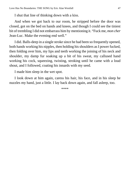I shut that line of thinking down with a kiss.

And when we got back to our room, he stripped before the door was closed, got on the bed on hands and knees, and though I could see the tiniest bit of trembling I did not embarrass him by mentioning it. "Fuck me, *mon cher* Jean-Luc. Make the evening end well."

I did. Balls-deep in a single stroke since he had been so frequently opened, both hands working his nipples, then holding his shoulders as I power fucked, then folding over him, my lips and teeth working the joining of his neck and shoulder, my damp fur soaking up a bit of his sweat, my callused hand working his cock, squeezing, twisting, stroking until he came with a loud shout, and I followed, coating his innards with my seed.

I made him sleep in the wet spot.

I look down at him again, caress his hair, his face, and in his sleep he nuzzles my hand, just a little. I lay back down again, and fall asleep, too.

\*\*\*\*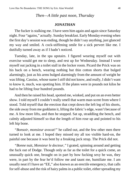# *Then—A little past noon, Thursday*

### **JONATHAN**

The fucker is stalking me. I have seen him again and again since Saturday night. Four "agains," actually. Sunday breakfast. Early Monday evening when the first day's session was ending, though he didn't say anything, just glanced my way and smiled. A cock-stiffening smile for a sick pervert like me. I dutifully turned away as if I hadn't noticed.

Tuesday, late, in the spa upstairs. I figured wearing myself out with exercise would get me to sleep, and rest up for Wednesday. Instead I wore myself out jacking in a toilet stall in the locker room. Picard the Prick was on his back on a bench, wearing nothing but thin cotton shorts that bulged alarmingly, just as his arms bulged alarmingly from the amount of weight he was lifting. Cassius, whose name I *still* did not know, and really, I didn't want to know it, much, was spotting him. If the plates were in pounds not kilos he had to be lifting four hundred pounds.

And then he raised his head, spotted me, winked, and put on an even better show. I told myself I couldn't really smell that warm man-scent from where I stood. Told myself that the erection that crept down the left leg of his shorts, the side away from me goddamn it, lifting the fabric's edge, wasn't because of me. A few more lifts, and then he stopped. Sat up, straddling the bench, and calmly adjusted himself so that the length of him rose up and pointed to his left hip bone.

*"Bonsoir, monsieur avocat!"* he called out, and the few other men there turned to look at me. I hoped they missed my all too visible hard-on, the painful one because it was bent by a freaking jock strap. The Prick did not.

*"Bonne* nuit*, Monsieur le docteur,"* I grated, spinning around and getting the fuck out of Dodge. Though only as far as the toilet for a quick come, an unusually quick one, brought on in part by how fucking sexy he was, they were, in part by the fear he'd follow me and taunt me, humiliate me. I am usually neat if I have an "EE," also known as an erectile emergency, that calls for self-abuse and the risk of hairy palms in a public toilet, either spreading my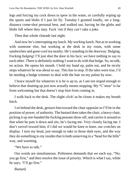legs and forcing my cock down to spew in the water, or carefully wiping up the spurts and blobs if I just let fly. Tuesday I grunted loudly, set a longdistance come-shot personal best, and walked out, having let the globs and blobs fall where they may. Fuck 'em if they can't take a joke.

Then that whole charade last night.

And now he's interrupting my lunch. My *working* lunch. Not as in working with someone else, but working at the desk in my room, with some sandwiches and gone-cool tea nearby. He's standing in the doorway. Bulging. Fucking *bulging*! I'll just shut the door in his face; we have nothing to say to each other. There is definitely nothing I want to do with that bulge. So, no talk, no action. He opens his mouth. I hold my hand up, palm out, and he nicely stops whatever he was about to say. This *has* to stop. If the tales were true, I'd be needing a hedge trimmer to deal with the hair on my palms by now.

I brace myself for whatever it is he is up to, as I am not stupid enough to believe that shutting up just now actually means stopping. My "C'mon" is far from welcoming but that doesn't stop him from coming in.

I walk back to the desk. The slight *click!* as he closes it makes my breath hitch.

I sit behind the desk, gesture him toward the chair opposite so I'll be in the position of power, of authority. The bastard does takes the chair, a heavy chair, picking it up one-handed the fucking peasant show-off, and carries it around so that when he puts it down and sits, he's facing me. Very closely facing me. I don't swivel toward him; if I did we would be knee to knee, our crotches on display. I turn my head, just enough to take in those dark eyes, and the way they do something to my insides that is both unnerving in a "head for the hills" way, and warming.

"We have to talk."

Our words are simultaneous. Politeness demands that we each say, "No, you go first," and then resolve the issue of priority. Which is what I say, while *he* says, "I'll go first."

Bastard.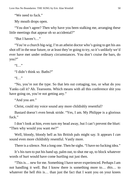"We need to fuck."

My mouth drops open.

"You don't agree? Then why have you been stalking me, arranging these little meetings that appear oh so accidental?"

"But I haven't…"

"You're a church big-wig; I'm an atheist doctor who's going to get his ass shot off in the near future, or at least they're going to try, so it's unlikely we'd ever have met under ordinary circumstances. You don't cruise the bars, do you?"

 $"I"$ 

"I didn't think so. Baths?"

 $"I"$ 

"No, you're not the type. So that lets out cottaging, too, or what do you Yanks call it? Ah. Tearooms. Which means with all this conference shit you have going on, you're not getting any."

"And you are."

Christ, could my voice sound any more childishly resentful?

Bastard doesn't even break stride. "Yes, I am. My Philippe is a glorious fuck."

I don't look at him, even turn my head away, but I can't prevent the blurt: "Then why would you want *me*?"

Well, bloody, bloody hell as his British pals might say. It appears I *can* sound even more childishly resentful. Vastly more.

There is a silence. Not a long one. Then he sighs. "I have no fucking idea."

It's his turn to put his hand up, palm out, to shut me up, to block whatever words of hurt would have come hurtling out just then.

"This is… new for me. Something I have never experienced. Perhaps I am not handling it well. But I know there is something more to… *this*… to whatever the hell *this* is... than just the fact that I want you on your knees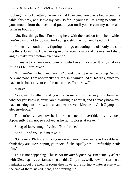sucking my cock, getting me wet so that I can bend you over a bed, a couch, a table, this desk, and shove my cock so far up your ass I'm going to come in your mouth from the back, and pound you until you scream my name and bring us both off.

"So, first things first. I'm sitting here with the hard-on from hell, which you're trying not to look at. And you got stiff the moment I said *fuck*."

I open my mouth to lie, figuring he'll go on cutting me off, only the shit sits there. Grinning. How can a grin on a face of crags and crevices and sharp angles make my erection even worse?

I manage to regain a modicum of control over my voice. It only shakes a little as I tell him, "No."

"No, you're not hard and leaking? Stand up and prove me wrong. No, not here and now? I am not exactly a dumb-shit twink ruled by his dick, since you have to be back at your conference at one. Tomorrow."

"I have…"

"Yes, my Jonathan, and you *are*, somehow, some way, *my* Jonathan, whether you know it, or just aren't willing to admit it, and I already know you have meetings tomorrow and a banquet at seven. Meet us in Club Olympus at eleven-oh-one."

The curiosity over how he knows so much is overridden by my cock. Apparently I am not so evolved as he is. "It closes at eleven."

Smug of face, smug of voice. "Not for me."

"And… and you said meet *us*?"

"Of course. Philippe thinks your ass and mouth are nearly as fuckable as I think they are. He's hoping your cock fucks equally well. Preferably inside him."

This is not happening. This is *not fucking happening*. I'm actually asleep with Dieter up my ass, fantasizing all this. Only now, well, now I'm starting to fantasize about the exercise room, the showers, the hot tub, whatever else, with the two of them, naked, hard, and wanting me.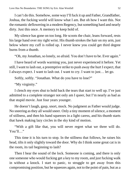I can't do this. Somehow, some way I'll fuck it up and Father, Grandfather, Joshua, the fucking world will know what I am. But oh how I want this. Not the romantic deflowering in a modern Regency, but something hard and nearly dirty. Just this once. A memory to keep hold of.

My silence has gone on too long. He scoots the chair, leans forward, rests his large hand over my right wrist. His thumb strokes the hair on my arm, just below where my cuff is rolled up. I never knew you could get third degree burns from a thumb.

"Oh, my Jonathan, so lonely, so afraid. You don't have to be. Ever again."

I have heard of words warming you, just never experienced it before. Yet still, I want to lash out, a preemptive strike to push away the hurt I expect, that I always expect. I want to lash out. I want to cry. I want to just… let go.

Softly, softly. "Jonathan. What do you have to lose?"

"My virginity."

I clench my eyes shut to hold back the tears that start to well up. I've just admitted to a complete stranger not only am I queer, but I'm nearly as bad as that stupid movie. Just four years younger.

He doesn't laugh, gasp, snort, mock. No judgment as Father would judge. No sneering as they all would sneer. Only a tiny moment of silence, a moment of stillness, and then his hand squeezes in a light caress, and his thumb starts that hawk making lazy circles in the sky kind of motion.

"With a gift like that, you will never regret what we three will do. You'll…"

This time it is his turn to stop. In the stillness that follows, he raises his head, tilts it only slightly toward the door. Why do I think some great cat is in the room, its tail beginning to lash?

Then I hear the sound of the lock. Someone is coming, and there is only one someone who would fucking get a key to my room, and just fucking walk in without a knock. I start to panic, to struggle to get away from this compromising position, but he squeezes again, not to the point of pain, but as a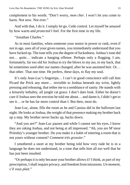complement to his words. "Don't worry, *mon cher*. I won't let you come to harm. Not now. Not ever."

And with that, I do it. I simply let go. Cede control. Let myself be amazed by how warm and *protected* I feel. For the first time in my life.

"Jonathan Charles."

As in most families, when someone your senior in power or rank, even if not in age, uses all of your given names, you immediately understand that you have fucked up. The tone tells you the degree of fuckedness. Joshua's tone did not… *quite*… indicate a hanging offense. Perhaps only a flogging. I am, fortunately, far too old for Joshua to try the blows to my ass, to my back, that he sometimes used after our names changed, after he was anointed heir. Or… that other. That one time. He prefers, these days, to flay my soul.

It's only Jean-Luc's fingertips… I can't in good conscience still call him Picard the Prick any more… invisible to Joshua beneath my wrist, lightly pressing and releasing, that tether me to a semblance of sanity. He stands with a leisurely lethality, all jungle cat grace. I don't dare look. Either he doesn't care if Joshua sees the erection he told me about… and damn it, *I* didn't get to see it… or he has far more control than I. But then, most do.

Jean-Luc, alone, fills the room as he and Cassius did in the ballroom last night. He looks at Joshua, the weight of that presence making my brother back up a step. My brother never backs up, backs down.

"And you are?" Jean-Luc pauses and while I cannot see his eyes, I know they are raking Joshua, and not being at all impressed. "Ah, you are M'sieur Priestley's younger brother. Do you make it a habit of entering a room that is not yours without consent? *Comment très grossier*."

I smothered a snort at my brother being told how very rude he is in a language he does not understand, in a tone that tells him all too well that he has just been insulted.

"Or perhaps it is only because your brother allows it? I think, as part of my prescription, I shall require privacy, and freedom from intrusions. *Un moment, s'il vous plait.*"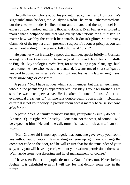He pulls his cell phone out of his pocket. I recognize it, and from Joshua's slight inhalation, he does, too. A Ulysse Nardin Chairman. Father wanted one, but the cheapest model is fifteen thousand dollars, and the top model is in excess of one hundred and thirty thousand dollars. Even Father was forced to realize that a cellphone like that was overly ostentatious for a minister, no matter how wealthy the church he controls. It doesn't glitter, so the many diamonds of the top tier aren't present. I suspect it's about as pricey as you can get without adding in the jewels. Fifty thousand? Sixty?

He punches what is clearly a speed dial number, speaks briefly in German, asking for a Herr Grunewald. The manager of the Grand Hyatt. Jean-Luc shifts to English. "My apologies, *mein Herr*, for not speaking in your language, but I have someone here who needs to understand. It seems one of your staff gave a keycard to Jonathan Priestley's room without his, as his lawyer might say, prior knowledge or consent."

A pause. "No, I have no idea which staff member, but the, ah, gentleman who did the persuading is apparently Mr. Priestley's younger brother. I am sure he was most persuasive. He is, after all, one of those American evangelical preachers…" his tone says double-dealing con artists, "…but I am certain it is not your policy to provide room access merely because someone asks for it."

A pause. "Yes. A family member, but still, your policies surely do not…" A pause. "Quite right. Mr. Priestley—Jonathan, not the other, of course—will be expecting him." He ends the call, turns his head to look at me. I am still sitting.

"Herr Grunewald is most apologetic that someone gave away your room key without authorization. He is sending someone up right now to change the computer code on the door, and he will ensure that for the remainder of your stay, only you will have keycard, without your written permission otherwise. Well, aside from housekeeping and hotel management, of course."

I have seen Father in apoplectic mode, Grandfather, too. Never before Joshua. It is delightful even if I will pay for that delight some way in the future.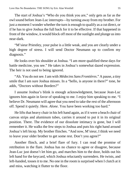The start of Joshua's "Who do you think you are," only gets as far as the owl sound before Jean-Luc interrupts—by turning away from my brother. For just a moment I wonder whether the turn is enough to qualify as a cut direct, or if he has to give Joshua the full back for it to be effective. If that happened in front of the window, it would block off most of the sunlight and plunge us into near-dark.

"M'sieur Priestley, your pulse is a little weak, and you are clearly under a high degree of stress. I will send Doctor Neumann up to confirm my diagnosis."

He looks over his shoulder at Joshua. "I am more qualified these days for battle medicine, you see." He takes in Joshua's somewhat dazed expression. The heir is not used to being ignored.

"Ah. You do not see. I am with *Médecins Sans Frontières*." A pause, a tiny smile that I am sure Joshua misses. In a "hello, is anyone in there?" tone, he adds, "Doctors without Borders?"

I assume Joshua's blink is enough acknowledgment, because Jean-Luc ignores him again in favor of speaking to me. I *enjoy* him speaking to me. "I believe Dr. Neumann will agree that you need to take the rest of the afternoon off. Spend it quietly. Here. *Alone*. You have been working too hard."

He lifts that heavy chair in his left hand again, as if it were a beach chair of canvas strips and aluminum tubes, carries it around to put it in its original position. There. The evidence of our dissolute intimacy is gone, but I will remember it. He walks the few steps to Joshua and puts his right hand around Joshua's left bicep. My brother flinches. "And now, M'sieur, I think we need to leave your older brother to get some rest. Don't you agree?"

Another flinch, and a brief flare of fury. I can read the promise of retribution in the flare. Joshua has no chance to agree or disagree, because Jean-Luc just doesn't let him go, and marches him to the door, holds out his left hand for the keycard, which Joshua reluctantly surrenders. He twists, and left-handed, tosses it to me. No one in the room is surprised when I clutch at it and miss, watching it flutter to the floor.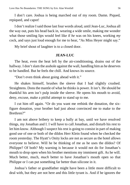I don't care. Joshua is being marched out of my room. Damn. Piqued, repiqued, and capot!

I don't realize I said those last four words aloud, until Jean-Luc, Joshua all the way out, puts his head back in, wearing a wide smile, making me wonder what those smiling lips would feel like if *he* was on his knees, working *my* cock, and says just loud enough for me to hear, "As Miss Heyer might say."

My brief shout of laughter is to a closed door.

### **JEAN-LUC**

The heat, even the heat left by the air-conditioning, drains out of the hallway. I don't slam the asshole against the wall, handling him as he deserves to be handled. But he feels the chill. And knows its source.

"Don't even think about going ahead with it."

He shakes himself, brushes the sleeve that I had slightly crushed. Straightens. Dons the mantle of what he thinks is power. It isn't. He should be thankful his arm isn't pulp inside the sleeve. He opens his mouth to avoid, deny, excuse, make a pitiful attempt to stand up to me.

I cut him off again. "Or do you want me rethink the donation, the sixfigure donation, your brother had just about convinced me to make to the Brethren?"

I am not above bribery to keep a bully at bay, until we have resolved things, my Jonathan and I. I will have to call Jonathan, and disturb his rest to let him know. Although I suspect his rest is going to consist in part of making good use of one or both of the dildos Herr Klein found when he checked the room yesterday. The Hyatt's Onity locks are not as secure as the hotel allows everyone to believe. Will he be thinking of me as he uses the dildos? Of Philippe? Of both? My warning is because it would not do for Jonathan's mouth to drop open when his brother mentions my imminent gift. As he will. Much better, much, *much* better to have Jonathan's mouth open so that Philippe or I can put something far better than silicone in it.

Joshua's father or grandfather might have been a little more difficult to deal with, but they are not here and this little tyrant is. And if he ignores the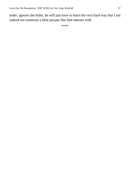order, ignores the bribe, he will just have to learn the very hard way that I am indeed not someone a little pissant like him messes with.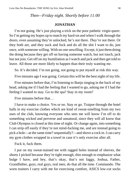*Then—Friday night. Shortly before 11:00*

### **JONATHAN**

I'm not going. He's just playing a trick on the poor pathetic virgin queer. So I'm getting my hopes up to match my hard-on and when I walk through the doors, even assuming they're unlocked, he's not there. *They're* not there. Or they both are, and they suck and fuck and do all the shit I want to do, just once, with someone willing. With no one unwilling. Except, it just them doing the doing because they get off on having someone watch, but not touch, jack but not join. Get off on my humiliation as I watch and jack and then get told to leave. All those are more likely to happen than their truly wanting *me*.

So. It's decided. I'm not going, not going to put myself at risk this way.

Five minutes ago I was going. Certain this will be the best night of my life.

Five minutes before that, I'm listening to Banjo singing in the back of my head, asking me if I had the feeling that I wanted to go, asking me if I had the feeling I wanted to stay. Go to the spa? Stay in my room?

Five minutes before that…

I have to make a choice. Yes or no. Stay or go. Traipse through the hotel halls in my exercise clothes which are kind of sweat-smelling from my two uses of the club, knowing everyone who sees me will know I'm off to do something wicked and perverse and unnatural, since they will all know that Club Olympus is closed at this time of night. Or change again, into something I can strip off easily if they're not mind-fucking me, and are instead going to pick a hole—at the same time? sequentially?—and shove a cock in. I can carry my gym clothes wrapped in a towel in case it's only exercise after all.

Fuck it, fuck them.

I put on my sweat-stained tee with ragged holes instead of sleeves, the shorts I picked because they're tight enough, thin enough to emphasize what bulge I have, and hey, that's okay, that's not faggy, Joshua, Father, Grandfather, guys, real guys, real men, do that all the time. Commando. The worn trainers I carry with me for exercising comfort, ASICS low-cut socks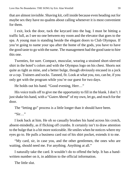that are almost invisible. Shaving kit, cell inside because even heading out for maybe sex they have no qualms about calling whenever it is most convenient for them.

I exit, lock the door, tuck the keycard into the bag. I must be hitting a traffic lull, as I see no one between my room and the elevator that goes to the spa. A young man is standing beside the elegant doors to Club Olympus. If you're going to name your spa after the home of the gods, you have to have the good taste to go with the name. The management had the good taste to hire this one.

Twenties, for sure. Compact, muscular, wearing a strained short-sleeved shirt in the hotel's colors and with the Olympus logo on his chest. Shorts not quite as tight as mine, and a better bulge, though obviously encased in a jock or a cup. Trainers and socks. Tanned, fit. Look at what you, too, can be, if you only get with the program while you're our guest for two days.

He holds out his hand. "Good evening, Herr…"

His voice trails off to give me the opportunity to fill in the blank. I don't. I just shake his hand, with a "*Guten Abend*" of my own, let go, and reach for the door.

The "letting go" process is a little longer than it should have been.

"Sir…"

I look back at him. He oh so casually brushes his hand across his crotch, absent-mindedly, as if flicking off crumbs. It certainly isn't to draw attention to the bulge that is a bit more noticeable. He smiles when he notices where my eyes go to. He pulls a business card out of his shirt pocket, extends it to me.

"My card, sir, in case you, and the other gentlemen, the ones who are waiting, should need me. For anything. Anything at all."

I naturally take the card. It wouldn't do to offend the help. It has a handwritten number on it, in addition to the official information.

The little slut.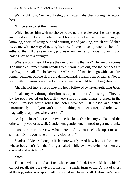Well, right now, *I'm* the only slut, or slut-wannabe, that's going into action here.

"I'll be sure to let them know."

Which leaves him with no choice but to go to the elevator. I enter the spa and the door clicks shut behind me. I hope it is locked, as I have no way of knowing, short of going out and shutting it and yanking, which would then leave me with no way of getting in, since I have no cell phone numbers for either of them. If they even carry phones when they're… maybe… planning on having sex with a stranger.

Where would I go if I were the one planning that sex? The weight room? Too much equipment with handles to put your eyes out, and the benches are too few, too small. The locker room? All sorts of fantasies to go with that, plus longer benches, but the floors are damned hard. Steam room or sauna? Not to start with. Obviously not the lobby or someone would be sucking already.

Ah. The hot tub. Stress-relieving heat, followed by *stress*-relieving *heat*.

I make my way through the dimness, open the door. Almost right. They're by the pool, seated on hopefully very sturdy lounge chairs, dressed in the thick, ultra-soft white robes the hotel provides. All closed and belted unfortunately, but if you can't hope that things will get better, and robes will magically evaporate, where are you?

As I get closer I notice the two ice buckets. One has my vodka, and the other… my vodka as well. Gentlemen, gentlemen, no need to get me drunk.

I stop to admire the view. What there is of it. Jean-Luc looks up at me and smiles. "Don't you have too many clothes on?"

Shades of Dieter, though a little more wordy. And how hot is it for a man whose body isn't "all that" to get naked while two Vesuvius-hot men are covered and watching?

Very.

The one who is not Jean-Luc, whose name I think I was told, but which I cannot recall, sits up, swivels to his right, stands, turns to me. A hint of chest at the top, sides overlapping all the way down to mid-calf. Below, he's bare.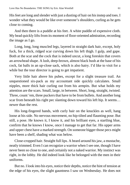His feet are long and slender with just a dusting of hair on his instep and toes. I wonder what they would be like over someone's shoulders, curling as he gets close to coming.

And then there is a puddle at his feet. A white puddle of expensive cloth. My head quickly lifts from its moment of floor-oriented admiration, recording the image as I go.

Long, long, long muscled legs, layered in straight dark hair, except, holy fuck, for a thick, ridged scar curving down his left thigh. I gulp, and gape. Both at the scar and the cock that is indeed uncut, a long foreskin that covers an arrowhead shape. A lush, deep-brown, almost black bush at the base of his cock, fat balls in an up-close sack, which is also hairy. I'd like to visit for a while but the tour director is going to get impatient.

Very little hair above his pubes, except for a slight treasure trail. An unquestioned six-pack as my accountant side quickly calculates. Small nipples, more thick hair curling out from his armpits. But what holds my attention are the scars. Small, large, in between. Short, long, straight, twisted. Three, count 'em, three puckers that have to be from bullets. And another long scar from beneath his right pec slanting down toward his left hip. It seems… newer than the rest.

His long-fingered hands, with curly hair on the knuckles as well, hang loose at his side. No nervous movement, no hip-tilted and flaunting pose. But still, a pose. He knows it, I know it, and his brilliant eyes, a startling blue, confirm that he knows I know, once I manage to get that far. His upper arms and upper chest have a marked strength. On someone bigger those pecs might have been a shelf, shading what was below.

Close-cropped hair. Straight full lips. A beard around his jaw, a mustache, neatly trimmed. Even I can recognize a warrior when I see one, though I have never been so close to one, and certainly not a naked warrior. My instinct was right, in the lobby. He did indeed look like he belonged with the men in their uniforms.

But no. I look into his eyes, notice their depths, notice the hint of tension at the edge of his eyes, the slight gauntness I saw on Wednesday. He does not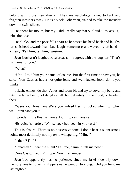belong with those men after all. They are watchdogs trained to bark and frighten intruders away. He is a sleek Doberman, trained to take the intruder down in swift silence.

He opens his mouth, but my—did I really say that out loud?—"Cassius," wins the race.

He blinks, and the pose falls apart as he tosses his head back and laughs, turns his head towards Jean-Luc, laughs some more, and waves his left hand in a clear, "Tell him, tell him," gesture.

Jean-Luc hasn't laughed but a broad smile agrees with the laughter. "That's his name for you."

"What?"

"Until I told him your name, of course. But the first time he saw you, he said, 'Yon Cassius has a not-quite lean, and well-fucked look, don't you think?"

I flush. Almost do that Venus and foam bit and try to cover my belly and bits, the latter being not dangly at all, but definitely in the mood, or heading there.

"Were you, Jonathan? Were you indeed freshly fucked when I… when we… first saw you?"

I wonder if the flush is worse. Don't… can't answer.

His voice is harder. "Whose cock had been in your ass?"

This is absurd. There is no possessive tone. I don't hear a silent strong voice, most definitely not my own, whispering, "Mine."

Is there? Do I?

"Jonathan." I hear the silent "Tell me, damn it, tell me now."

Does Cass… no… Philippe. Now I remember.

Jean-Luc apparently has no patience, since my brief side trip down memory lane to collect Philippe's name went on too long. "Did you lie to me last night?"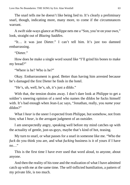The snarl tells me he doesn't like being lied to. It's clearly a preliminary snarl, though, indicating more, many more, to come if the circumstances warrant.

A swift side-ways glance at Philippe nets me a "Son, you're on your own," look, straight out of *Blazing Saddles*.

"It… it was just Dieter." I can't tell him. It's just too damned embarrassing.

"Dieter"

How does he make a single word sound like "I'll grind his bones to make my bread?"

"Where is he? Who is he?"

Okay. Embarrassment is good. Better than having him arrested because he's damaged the first Dieter he finds in the hotel.

"He's, uh, well, he's, uh, it's just a dildo."

With that, the tension drains away. I don't dare look at Philippe to get a soldier's sneering opinion of a nerd who names the dildos he fucks himself with. It's bad enough when Jean-Luc says, "Jonathan, really, you *name* your dildos?"

What I *hear* is the sneer I expected from Philippe, but somehow, not from him; what I *hear*, is the arrogant judgment of an outsider.

I am unexpectedly angry, speaking well before my mind catches up with the actuality of gentle, just-us-guys, maybe that's kind of hot, teasing.

My turn to snarl, or what passes for a snarl in someone like me. "Who the *fuck* do you think you are, and what *fucking* business is it of yours if I have no…"

This is the first time I have ever used that word aloud, to anyone, about anyone.

And then the reality of his tone and the realization of what I have admitted catch up with me at the same time. The self-inflicted humiliation, a pattern of my private life, is too much.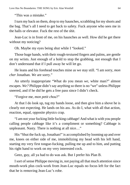"This was a mistake."

I turn my back on them, drop to my haunches, scrabbling for my shorts and the bag. That's all I need to get back to safety. Fuck anyone who sees me in the halls or elevator. Fuck the rest of the shit.

Jean-Luc is in front of me, on his haunches as well. How did he get there without my noticing?

Oh. Maybe my eyes being shut while I "looked."

Those huge hands, with their rough-textured fingers and palms, are gentle on my wrists. Just enough of a hold to stop the grabbing, not enough that I don't understand that if I pull away he will let go.

He leans and his forehead touches mine as we stay still. "I am sorry, *mon cher* Jonathan. *We* are sorry."

An utterly inappropriate "What do you mean *we*, white man?" almost escapes. *We?* Philippe didn't say anything so there is no "we" unless Philippe sneered, and if he did he gets a free pass since I didn't check.

"Forgive me, *mon petit chou*?"

At that I do look up, tug my hands loose, and then give him a shove he is clearly not expecting. He lands on his ass. As do I, what with all that action, reaction, equal, opposite physics crap.

"I am not your fucking little fucking cabbage! And what is with you people calling people cabbage like it's a compliment or something? Cabbage is unpleasant. Nasty. There is nothing at all nice…"

His "Shut the fuck up, Jonathan!" is accomplished by looming up and over me, knees on either side of me, immobilizing my head with his left hand, starting my very first tongue-fucking, pulling me up and to him, and putting his right hand to work on my very interested cock.

Geez, guy, all ya had to do was ask. But I prefer his Plan B.

I sort of sense Philippe moving in, not paying all that much attention since mouth-work plus cock-work from Jean-Luc equals no focus left for the fact that he is removing Jean-Luc's robe.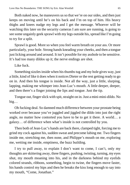Both naked now, he maneuvers us so that we're on our sides, and then just keeps on moving until he's on his back and I'm on top of him. His heavy thighs and knees nudge my legs and I get the message. Whoever will be watching this later on the security cameras I am sure are running, is going to see some ungainly geek sprawl with my legs outside his, spread like I'm going to try for a split.

Sprawl is good. More so when you feel warm breath on your ass. Or more particularly, your hole. Strong hands kneading your cheeks, and then a tongue just licking around and around. It isn't possible for my asshole to be sensitive. It's had too many dildos up it; the nerve endings are shot.

Like fuck.

Something sizzles inside when his thumbs tug and my hole gives way, just a little, kind of like it does when it notices Dieter or the rest getting ready to go on in. And then his tongue is inside. Not all the way, just a little, slurping, lapping, making me whimper into Jean-Luc's mouth. A little deeper, deeper, and then there's a finger joining the lips and tongue. Just the tip.

Tongue out, finger slick with spit, straight on in. Just a mini-mini-dildo. No big…

Oh fucking deal. So damned much difference between your prostate being worked over because you've juggled and jiggled the dildo into just the right angle, no matter how contorted you have to be to get it there. A world… a galaxy… of difference when what's inside is not controlled by you.

Then both of Jean-Luc's hands are back there, clamped tight, forcing me to grind my cock against his, sudden sweat and precome lubing me. Two fingers inside me, stretching me, then none, and Philippe's mouth on me, exploring me, wetting me inside, emptiness, the buzz building.

I try to pull away, to explain I don't want to come, I can't, only my thoughts are skittering away, three fingers, pushing, twisting, turning, my eyes shut, my mouth moaning into his, and in the darkness behind my eyelids colored strands, ribbons, something, begin to twine, the fingers move faster, his hands control my hips and then he breaks the kiss long enough to say into my mouth, "Come, Jonathan."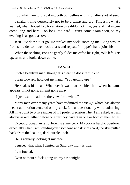I do what I am told, soaking both our bellies with shot after shot of seed.

I shake, trying desperately not to be a wimp and cry. This isn't what I wanted, what I hoped for. A variation on a dildo fuck, fun, yes, and making me come long and hard. Too long, too hard. I can't come again soon, so my evening is as good as over.

Jean-Luc doesn't let go. He strokes my back, soothing me. Long strokes from shoulder to lower back to ass and repeat. Philippe's hand joins his.

When the shaking stops he gently slides me off to his right, rolls left, gets up, turns and looks down at me.

### **JEAN-LUC**

Such a beautiful man, though it's clear he doesn't think so.

I lean forward, hold out my hand. "You getting up?"

He shakes his head. Whatever it was that troubled him when he came appears, if not gone, at least gone away.

"I just want to admire the view for a while."

Many men over many years have "admired the view," which has always meant admiration centered on my cock. It is unquestionably worth admiring. All nine point two-five inches of it. I prefer precision when I am asked, as I am always asked, either before or after they have it in one or both of their holes.

Except… Jonathan is not looking at my cock. My cock is hard to overlook, especially when I am standing over someone and it's this hard, the skin pulled back from the leaking, dark purple knob.

He is actually looking at my face.

I suspect that what I denied on Saturday night is true.

I am fucked.

Even without a dick going up my ass tonight.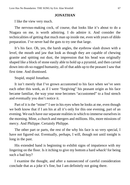### **JONATHAN**

I like the view very much.

The nervous-making cock, of course, that looks like it's about to do a Niagara on me, is worth admiring. I do admire it. And consider the technicalities of getting that much man up inside me, even with years of dildo preparation. I've never had the guts to try one that large.

It's his face. Oh, yes, the harsh angles, the eyebrow slash drawn with a level, the mouth and jaw that look as though they are capable of chewing granite and spitting out dust, the impression that his head was originally shaped like a block of stone easily able to hold up a pyramid, and then carved down into oh-so-rugged humanity, all of that adds up to the peasant I saw that first time. And dismissed.

Stupid, stupid Jonathan.

It isn't merely that I've grown accustomed to his face when we've seen each other this week, as if I were "forgiving" his peasant origin as his face became familiar, the way your nose becomes "accustomed" to a foul stench and eventually you don't notice it.

Part of it is the "mine!" I see in his eyes when he looks at me, even though we both know that if I am his at all it's only for this one evening, part of an evening. We each have our separate realities in which to immerse ourselves in the morning. Mine, a church and mergers and millions. His, more missions of mercy. And Philippe. Certainly Philippe.

The other part or parts, the rest of the why his face is so very special, I have not figured out. Eventually, perhaps, I will, though not until tonight is long in the past.

His extended hand is beginning to exhibit signs of impatience with my lingering on the floor. Is it itching to give my bottom a hard *whack!* for being such a bad boy?

I examine the thought, and after a nanosecond of careful consideration conclude that as a joke it's fine, but I am definitely not going there.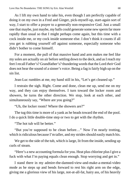As I lift my own hand to take his, even though I am perfectly capable of doing it on my own in a Fred and Ginger, pick-myself-up, start-again sort of way, I start to offer a prayer to a generally non-responsive God. Just a small one that maybe, just maybe, my balls could generate some new sperm far more rapidly than usual so that I might perhaps come again, but this time with a cock inside me, or my cock inside someone else. I don't think it counts if all you get is rubbing yourself off against someone, especially someone who didn't bother to come himself.

For a moment, the pull of that massive hand and arm makes me feel like my soles are actually on air before settling down to the deck, and as I reach my feet I recall Father's? Grandfather's? thundering words that the Lord *their* God does not hear the sound of a sinner's voice. Being a fag is fairly high up on the sin list.

Jean-Luc rumbles at me, my hand still in his, "Let's get cleaned up."

I restrain the sigh. Right. Come and done, clean me up, send me on my way, and they can enjoy themselves. I turn toward the locker room and showers, he turns the other direction. We stop, look at each other, and simultaneously say, "Where are you going?"

"Uh, the locker room? Where the showers are?"

The tug this time is more of a yank as he heads toward the end of the pool. I do a quick little double-time step or two to get with the rhythm.

"The hot tub will be better."

"But you're supposed to be clean before…" Now I'm nearly trotting, which is ridiculous because I'm taller, and my strides should easily match his.

We get to the side of the tub, which is large, lit from the inside, sending up curls of steam.

"Here's a new accounting formula for you. Heat plus chlorine plus I give a fuck with what I'm paying equals clean enough. Stop worrying and get in."

I stand there in my admire-the-damned-view-and-make-a-mental-video mode as he steps up and bends forward to rest his right arm on the edge, giving me a glorious view of his large, not-at-all-fat, hairy ass, of his heavily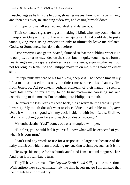muscled legs as he lifts the left one, showing me just how low his balls hang, and then he's over, in, standing sideways, and easing himself down.

Philippe follows, all scarred and sleek and dangerous.

Their contented sighs are orgasm-making. I blink when my cock twitches in response. Only a little, not Lazarus risen quite yet. But it could also be just a taunt, giving me a rising expectation only to ultimately leave me deflated. God… or Someone… has done that before.

I stop worrying and get in. Seated, slumped so that the bubbling water is up to our pits, our arms extended on the sides, but not quite touching, we form a neat triangle on our separate shelves. We sit in silence, enjoying the heat. But not for long, as Jean-Luc and Philippe move in on me, sitting now on either side.

Philippe pulls my head to his for a slow, deep kiss. The second time in my life a man has kissed me is only the tiniest measurement less than my first from Jean-Luc. All seventeen, perhaps eighteen, of their hands—I seem to have lost some of my ability to do basic math—are caressing me and contributing to the moans I'm breathing into Philippe's mouth.

He breaks the kiss, leans his head back, rubs a warm thumb across my wet lower lip. My mouth doesn't want to close. "Such an adorable mouth, *mon cher*. It will look so good with my cock inside it, with Jean-Luc's. Shall we take turns fucking your face and teach you deep-throating?"

My enthusiastic "Yes!" comes out as a strangled whimper.

"But first, you should feel it yourself, know what will be expected of you when it is your turn."

I can't find any words to use for a response, in large part because of the hairy thumb on which I am practicing my sucking technique, such as it isn't.

He swaps his tongue for his thumb, and I find I am a natural tongue sucker. And then it is Jean-Luc's turn.

They'll have to remake *The Day the Earth Stood Still* just one more time. With entirely new subject matter. By the time he lets me go I am amazed that the hot tub hasn't boiled dry.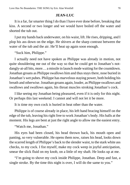## **JEAN-LUC**

It is a far, far smarter thing I do than I have ever done before, breaking that kiss. A second or two longer and we would have boiled off the water and shorted the tub out.

I put my hands back underwater, on his waist, lift. He rises, dripping, and I plop his ass down on the edge. He shivers at the sharp contrast between the water of the tub and the air. He'll heat up again soon enough.

"Suck him, Philippe."

I actually need not have spoken as Philippe was already in motion, not quite shouldering me out of the way so that he could get to Jonathan's notdangly-at-all bits, more… a missile in launch mode waiting for the countdown. Jonathan groans as Philippe swallows him and thus stays there, nose buried in Jonathan's wet pubes. Philippe has marvelous staying power, both holding his breath and otherwise. Jonathan groans again, louder, as Philippe swallows and swallows and swallows again, his throat muscles stroking Jonathan's cock.

I like seeing my Jonathan being pleasured, even if it is only for this night. Or perhaps this last weekend. I cannot and will not let it be more.

It is time my own cock is buried in heat other than the water.

Philippe is of course already in place, his left hand bracing himself on the edge of the tub, leaving his right free to work Jonathan's body. His balls at the moment. His legs are bent at just the right angle to allow me the easiest entry.

"Watch me, Jonathan."

His eyes had been closed, his head thrown back, his mouth open and panting, so very vulnerable. He opens them now, raises his head, looks down the scarred length of Philippe's back to the slender waist, to the stark white ass checks, to my cock. I fist myself, make my cock weep in joyful anticipation, smear the slick fluid on my knob, on a little of my shaft. He looks up at me.

"I'm going to shove my cock inside Philippe, Jonathan. Deep and fast, a single stroke. By the time this night is over, I will do the same to you."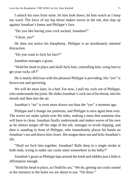I unlock his eyes from mine, let him look down, let him watch as I keep my word. The force of my hip thrust makes waves in the tub, that slap up against Jonathan's knees and Philippe's face.

"Do you like having your cock sucked, Jonathan?"

"Christ, yes!"

He does not notice his blasphemy. Philippe is an inordinately talented distraction.

"Do you want to fuck his face?"

Jonathan manages a grunt.

"Hold his head in place and skull-fuck him, controlling him, using him to get your rocks off?"

He is nearly delirious with the pleasure Philippe is providing. His "yes" is drawn-out and quivering.

We will do more later, in a bed. For now, I pull my cock out of Philippe, who understands the point. He slides Jonathan's cock out of his throat, into his mouth and then into the air.

Jonathan's "no" is even more drawn out than the "yes" a moment ago.

Philippe and I change our positions, and Philippe is once again bent over. The waves we make splash over the sides, making a mess that someone else will have to clean. Jonathan finally understands and makes waves of his own as he almost lunges off the edge of the tub, manages to avoid slipping, and then is standing in front of Philippe, who immediately places his hands on Jonathan's ass and draws him closer. His tongue darts out and licks Jonathan's slit.

"Shall we fuck him together, Jonathan? Balls deep in a single stroke at both ends, trying to make our cocks meet somewhere in his belly?"

Jonathan's grunt as Philippe laps around the knob and nibbles just a little is affirmation enough.

"Hold his head in place, as I hold his ass." We do, getting our cocks seated at the entrance to the holes we are about to use. "On three."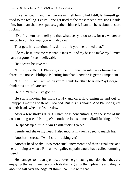It is a fast count, and then we are in. I tell him to hold still, let himself get used to the feeling. Let Philippe get used to the most recent intrusions inside him. Jonathan shudders, pauses, gathers himself. I can tell he is about to start fucking.

"Did I remember to tell you that whatever you do to us, for us, whatever we do to you, for you, you will also do?"

That gets his attention. "I… don't think you mentioned that."

I do my best, or some reasonable facsimile of my best, to make my "I must have forgotten" seem believable.

He doesn't believe me.

"If I, ah, skull-fuck Philippe, ah, he…" Jonathan interrupts himself with three little noises. Philippe is letting Jonathan know he is getting impatient.

"He… or I… will skull-fuck you." I think Jonathan hears the "by George, I think he's got it" sarcasm.

He did. "I think I've got it."

He starts moving his hips, slowly and carefully, easing in and out of Philippe's mouth and throat. Too bad. But it is his choice. And Philippe gives superb head, whether fast or slow.

After a few strokes during which he is concentrating on the view of his cock making use of Philippe's mouth, he looks at me. "Skull fucking, huh?"

He speeds up a little. "Am I skull-fucking yet?"

I smile and shake my head. I also modify my own speed to match his.

Another increase. "Am I skull-fucking yet?"

Another head-shake. Two more small increments and then a final one, and he is moving at what a Roman war galley captain would have called ramming speed.

He manages to lift an eyebrow above the grimacing men do when they are enjoying the warm wetness of a hole that is giving them pleasure and they're about to fall over the edge. "I think I can live with that."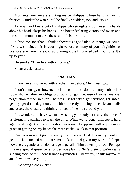Moments later we are erupting inside Philippe, whose hand is moving frantically under the water until he finally shudders, too, and lets go.

Jonathan and I ease out of Philippe who straightens up, raises his hands above his head, clasps his hands like a boxer declaring victory and twists and turns for a moment to ease the strain of his position.

"This time, Jonathan, I think a shower is a good idea. Although we could, if you wish, since this is your night to lose as many of your virginities as possible, stay here, instead of adjourning to the king-sized bed in our suite. It's up to you."

He smirks. "I can live with king-size."

Smart aleck bastard.

# **JONATHAN**

I have never showered with another man before. Much less two.

I don't count gym showers in school, or the occasional country club locker room shower after an obligatory round of golf because of some financial negotiation for the Brethren. That was just get naked, get scrubbed, get rinsed, get dry, get dressed, get out, all without overtly noticing the cocks and balls and asses, the chests and thighs and feet, of the men around you.

It is wonderful to have two men washing your body, or really, the three of us alternating pairings to wash the third. When we're done, Philippe is hard again, and he gently pushes my shoulders down. I suppose I will acquire more grace in getting on my knees the more cocks I suck in that position.

I'm nervous about going directly from the very first dick in my mouth to getting skull-fucked with that same dick. But I'd given my word. Philippe, however, is gentle, and I do manage to get all of him down my throat. Perhaps I have a special queer gene, or perhaps playing "let's pretend we're really sucking dick" with silicone trained my muscles. Either way, he fills my mouth and I swallow every drop.

I *like* being a cocksucker.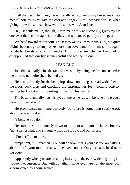I tell them so. Their laughter is friendly as I swivel on my knees, making a mental note to investigate the cost and longevity of kneepads for use when giving blow jobs, to see how well I can do with Jean-Luc.

He just hauls me up, though, kisses me briefly and strongly, gives my ass one swat that echoes against the tiles, and tells me to get my ass in gear.

We head toward their room. Those two wear skimpy swim suits, not quite bikinis but enough to emphasize more than cover, and I'm in my shorts again, no shirts, towels around our necks. I'm not certain whether I'm glad or disappointed that our trip is uneventful and we see no one.

### **JEAN-LUC**

Jonathan actually wins the race that wasn't, by being the first one naked as the door to our suite shuts behind us.

He heads directly for the bed, plops down on it, legs spread wide, feet on the floor, cock alert and checking the surroundings for incoming activity, leaning back a bit and supporting himself on his palms.

The bastard actually bats his eyes at me as he says, "I believe I owe you a blow job, Jean-Luc."

He pronounces my name perfectly, but there is something subtly erotic about the way he does it.

"I believe you do."

He starts to slide sinuously down to the floor and onto his knees, but my "no" startles him, and sinuous winds up sloppy, and on his ass.

"Fucker," he mutters.

"Impatient, my Jonathan? You will be soon, if it's your ass you are talking about. If it's your mouth, that will be even sooner. On your back, head over the edge."

Apparently when you are breaking in a virgin, the eyes-widening thing is a frequent occurrence. But with Jonathan, wide eyes are for the most part accompanied by acquiescence.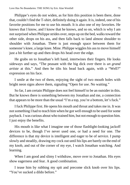Philippe's eyes do not widen, as for him this position is been there, done that, couldn't find the T-shirt, definitely doing it again. It is, indeed, one of his favorite positions for me to use his mouth. It is also one of my favorites. He knows that I know, and I know that he knows, and so on, which is why I am not surprised when Philippe strides over, steps up on the bed, walks toward the other side, drops on his ass, and then falls back to land almost shoulder to shoulder with Jonathan. There is just enough space between them for someone's knee, a large knee. Mine. Philippe wiggles his ass to move himself just a bit further up and then drops *his* head over the edge.

He grabs on to Jonathan's left hand, intertwines their fingers. He looks sideways and says, "The peasant with the big dick over there is *un grand artiste* at this." And then he tilts his head back again, with a "Well?" expression on his face.

I smile at the two of them, enjoying the sight of two mouth holes with bright neon signs above them, signaling "Open for use. No waiting."

So far, I am certain Philippe does not feel himself to be an outsider in this. But he knows there is something between my Jonathan and me, a connection that appears to be more than the usual "I'm a top, you're a bottom, let's fuck."

I fuck Philippe first. He opens his mouth and throat and takes me in. It was not something I had to teach him when he got well enough to be used for some payback. I was curious about who trained him, but not enough to question him. I just enjoy the benefits.

His mouth is like what I imagine one of those flashlight-looking jackoff devices to be, though I've never used one, or had a need for one. The difference is that my device is intelligent and eager to be of service. I pump slowly and steadily, drawing my cock out until his lips are barely on the end of my knob, and out of the corner of my eye, I watch Jonathan watching. And learning.

When I am good and slimy I withdraw, move over to Jonathan. His eyes show eagerness and fear. A good combination.

I tease him by rubbing my spit and precome slick knob over his lips. "You've sucked a dildo before."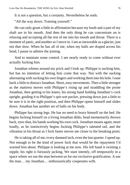It is not a question, but a certainty. Nevertheless he nods.

"All the way down. Training yourself."

He can only grunt a little in affirmation because my knob and a part of my shaft are in his mouth. And then the only thing he can concentrate on is relaxing and accepting all the rest of me into his mouth and throat. There is a moment of panic, and another as I move in. I am as inexorable as a glacier, just not *that* slow. When he has all of me, when my balls are draped across his head, I pause to admire the joining.

And to maintain some control. I am nearly ready to come without ever actually fucking him.

Jonathan whines around my prick and I look up. Philippe is sucking him, but has no intention of letting him come that way. Not with the sucking alternating with sucking his own fingers and working them into his hole. I ease back a little to distract Jonathan. Short, easy movements. Then a little stronger as the mattress moves with Philippe's rising up and straddling the prone Jonathan, then getting to his knees, his strong hand holding Jonathan's cock upright, guiding it to Philippe's spit-wet pucker, pressing down just a little to be sure it is in the right position, and then Philippe opens himself and slides down. Jonathan has another set of balls on his body.

Philippe has strong legs. He has no need to brace himself on the bed. He begins fucking himself on a living Jonathan dildo, head momentarily thrown back, eyes shut, his hands working his own cock. Jonathan moans again, more loudly, as he instinctively begins fucking Philippe's talented tail, and the vibration in his throat as I fuck faster moves me closer to the breaking point.

He is taking all of me, every damned inch, even the last quarter. I speed up. Not enough to be the kind of power fuck that would be the repayment I'd warned him about. Philippe is looking at me now. His left hand is twisting a nipple, his right is furiously jacking. We stare intently, off temporarily in a space where we use the man between us for our exclusive gratification. A use the man… my Jonathan… enthusiastically cooperates with.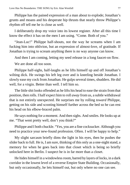Philippe has the pained expression of a man about to explode; Jonathan's grunts and moans and his desperate hip thrusts that nearly throw Philippe's rhythm off tell me he is close as well.

I deliberately drop my voice into its lowest register. After all this time I know the effect it has on the men I am using. "Come. Both of you."

"Jean-Luc!" Philippe half-shouts, not the way he screams when I am fucking him into oblivion, but an expression of almost-love, of gratitude. If Jonathan is trying to scream anything there is no way anyone can know.

And then I am coming, letting my seed release in a long faucet-on flow.

We are done all too soon.

Philippe half-sighs, half-laughs as he lifts himself up and off Jonathan's wilting dick. He swings his left leg over and is kneeling beside Jonathan. I slowly ease my cock from Jonathan. He gulps several times, shudders. He did well, for a virgin. Better than well. I tell him so.

The little shit looks offended as he lifts his head to ease the strain from that position, then rolls. I half expect him to roll *away* from us, a subtle withdrawal that is not entirely unexpected. He surprises me by rolling *toward* Philippe, getting on his side and scooting himself further across the bed so he can rest his head on his elbow-braced palm.

He says nothing for a moment. And then sighs. And smiles. He looks up at me. "That went pretty well, don't you think?"

Philippe and I both chuckle. "Yes, you are a fine cocksucker. Although you need to practice your new-found profession. Often. I will be happy to help."

My slight sarcasm briefly dims the light in his eyes, then he pushes the slider back to full. He is, I am sure, thinking of this only as a one-night stand, a memory for when he goes back into that closet which is being so briefly unlocked here in Berlin. I suspect he is in far more than a closet.

He hides himself in a windowless room, barred by layers of locks, in a dark corridor in the lowest level of a reverse Empire State Building. Occasionally, but only occasionally, he lets himself out, but only where no one can see.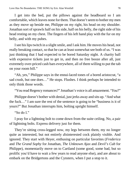I get into the bed, put the pillows against the headboard so I am comfortable, which leaves none for them. That doesn't seem to bother my men as they move up beside me, Philippe on my right, his head on my shoulder. Jonathan sort of sprawls half on his side, half on his belly, the right side of his head resting on my chest. The fingers of his left hand play with the fur on my belly, and with my pubes.

I see his lips twitch in a slight smile, and I ask him. He moves his head, not really breaking contact, so that he can at least somewhat see both of us. "I was just thinking that I had expected to be bored Saturday night. A charity ball with expensive tickets just to get in, and then no free booze after all, just extremely over-priced cash bars everywhere, all of them willing to put the tab on your room bill."

"Ah, yes," Philippe says in the ennui-laced tones of a bored aristocrat, "a sad crush, but one does…" He stops. Flushes. I think perhaps he intended to only think those words.

"You read Regency romances?" Jonathan's voice is all amazement. "*You*?"

Philippe doesn't bother with denial, just jerks away and sits up. "And what the fuck…" I am sure the rest of the sentence is going to be "business is it of yours?" But Jonathan interrupts him, bolting upright himself.

"So do I."

I pray for a lightning bolt to come down from the suite ceiling. No, a pair of lightning bolts. Express delivery just for them.

They're sitting cross-legged now, my legs between them, my no longer quite as interested, but not entirely *dis*interested cock plainly visible. And ignored. They start with Heyer, enthusing on particular favorites (*Frederica* and *The Grand Sophy* for Jonathan, *The Unknown Ajax* and *Devil's Cub* for Philippe), momentarily move on to Cartland (some good, some bad, but so prolific you'd have to wait a few years to read anyone else), and are about to embark on the Bridgertons and the Cynsters, when I put a stop to it.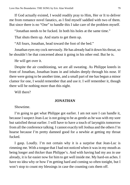If God actually existed, I would readily pray to Him, Her or It to deliver me from romance novel fanatics, as I find myself saddled with two of them. But since there is no "One" to handle this I take care of the problem myself.

"Jonathan needs to be fucked. In both his holes at the same time."

That shuts them up. And starts to get them up.

"All fours, Jonathan, head toward the foot of the bed."

Jonathan eyes my cock nervously. He has already had it down his throat, so he shouldn't be that concerned about it going in his other end. But he is.

He will get over it.

Despite the air conditioning, we are all sweating. As Philippe kneels in front of Jonathan, Jonathan leans in and inhales deeply through his nose. If there were going to be another time, and a small part of me has begun a minor clamor for one, I would remember that and use it. I *will* remember it, though there will be nothing more than this night.

Will there?

# **JONATHAN**

# Showtime.

I'm going to get what Philippe got earlier. I am not sure I can handle it, because I suspect Jean-Luc is not going to be as gentle as he was with my sore but satisfied throat earlier. I will have to have a touch of laryngitis tomorrow from all the conference talking. I cannot exactly tell Joshua and the others I'm hoarse because I'm pretty damned good for a newbie at getting my throat fucked.

I gasp. Loudly. I'm not certain why it is a surprise that Jean-Luc is rimming me. With a tongue that I had not noticed when it was in my mouth as being longer and thicker than Philippe's. And with having had my ass in use already, it is far easier now for him to get well inside me. My hard-on aches. I have no idea why or how I'm getting hard and coming so often tonight, but I won't stop to count my blessings in case the counting cuts them off.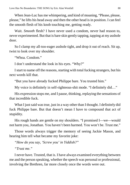When Jean-Luc has me whimpering, and kind of moaning, "Please, please, please," he lifts his head away and then the other head is in position. I can feel the smooth flesh of his knob touching me, getting ready.

Wait. *Smooth* flesh? I have never used a condom, never had reason to, never experimented. But that is bare skin gently tapping, tapping at my asshole door.

So I clamp my all-too-eager asshole tight, and drop it out of reach. Sit up, twist to look over my shoulder.

"Whoa. Condom."

I don't understand the look in his eyes. "Why?"

I start to name off the reasons, starting with total fucking strangers, but his next words kill that.

"But you have already fucked Philippe bare. You trusted him."

My voice is definitely in self-righteous-shit mode. "I definitely did…"

His expression stops me, and I pause, thinking, replaying the sensations of that incredible fuck.

What I just said was true, just in a way other than I thought. I definitely did fuck Philippe bare. But that doesn't mean I have to compound that act of stupidity.

His rough hands are gentle on my shoulders. "I promised I—we—would not harm you, Jonathan. You haven't been harmed. You won't be. Trust me."

Those words always trigger the memory of seeing Jackie Mason, and hearing him tell what became my favorite joke:

*"How do you say, 'Screw you' in Yiddish?"*

*"Trust me."*

I never have. Trusted, that is. I have always examined everything between me and the person speaking, whether the speech was personal or professional, involving the Brethren, far more closely once the words were out.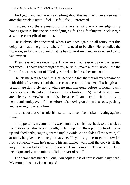And yet… and yet there is something about this man I will never see again after this week is over. I feel… safe. I feel… protected.

I agree. And the expression on his face is not one acknowledging my having given in, but one acknowledging a gift. The gift of my real-cock-virgin ass, the greater gift of my trust.

He is obviously concerned, when I am once again on all fours, that this delay has made me go dry, where I most need to be slick. He remedies the situation, so long and so well that he has to swat my hand away when I try to jack myself.

Then he is in place once more. I have never had reason to pray during sex, not since… I shove that thought away, bury it. I make a joyful noise unto the Lord, if a sort of shout of "God, yes!" when he breaches me counts.

He lets me gets used to him. Get used to the fact that for all my preparation with dildos I've never had the nerve to use one in his size. His length and breadth are definitely going where no man has gone before, although I will never, ever say that aloud. However, his definition of "get used to" and mine are clearly somewhat at odds, because I am certain it is only a hemidemisemiquaver of time before he's moving on down that road, pushing and rearranging to suit him.

It turns out that what suits him suits me, once I feel his balls resting against mine.

Philippe turns my attention away from my so-full ass back to the cock at hand, or rather, the cock at mouth, by tapping it on the top of my head. I raise up and obediently, eagerly, spread my lips wide. As he slides all the way in, all at once, he gives me some good advice. "If you're going to get a blow job from someone while he's getting his ass fucked, wait until the cock is all the way in that ass before inserting your cock in his mouth. The wrong fucking technique and you're minus a dick, or part of one."

The semi-sarcastic "*Oui, oui, mon capitan,*" is of course only in my head. My mouth is otherwise occupied.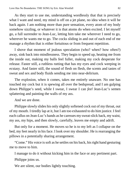As they start to use me, understanding wordlessly that that is precisely what I want and need, my mind is off on a jet plane, no idea when it will be back again. I am nothing more than pure sensation, every atom of my body somehow sizzling, or whatever it is that atoms do when excited. I let myself go, a full surrender to Jean-Luc, letting him take me wherever I need to go, wherever he wants me to go. The cocks sliding in and out of each end of me manage a rhythm that is either fortuitous or from frequent repetition.

I shove that moment of jealous speculation (who? when? how often?) away, sink back into mindlessness. They begin to speed up, heating me from the inside out, making my balls feel fuller, making my cock desperate for release. Faster still, a ruthless rutting that has my eyes and cock weeping in ecstasy. And faster still, the sound of flesh on flesh, the scents and tastes of sweat and sex and body fluids sending me into near-delirium.

The explosion, when it comes, takes me entirely unaware. No one has touched my cock but it is spewing all over the bedspread, and I am gulping down Philippe's seed, while I swear, I swear I can *feel* Jean-Luc's semen splattering and painting the walls of my ass.

And we are done.

Philippe slowly slides his only slightly softened cock out of my throat, out of my mouth. I tiredly lap at it, but I am too exhausted to do him justice. I feel each callus on Jean-Luc's hands as he caresses my sweat-slick back, my waist, my ass, my hips, and then slowly, carefully, leaves me empty and adrift.

But only for a moment. He moves so he is to my left as I collapse on the bed, my feet nearly in his face. I look over my shoulder. He is rearranging the pillows in a potentially sharing arrangement.

"Come." His voice is soft as he settles on his back, his right hand gesturing me to move to him.

I manage to do it without kicking him in the face or any pertinent part.

Philippe joins us.

We are silent, our bodies lightly touching.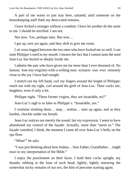A part of me wants to just stay here, satiated, until someone on the housekeeping staff finds my desiccated remains.

I have fucked a stranger without a condom. I have let another do the same to me. I should be terrified. I am not.

Not now. Yes, perhaps later. But now…

I get up, turn yet again, and they shift to give me room.

I sit cross-legged between the two men who have fucked me so well. I can taste Philippe's seed in my mouth. I mourn the fact that I cannot taste the seed Jean-Luc has buried so deeply inside me.

I admire the pair who have given me far more than I ever dreamed of. No fantasy lose-my-virginity-with-a-willing-man scenario was ever remotely close to the joy I have had tonight.

I stretch out my left hand, curl my fingers around the length of Philippe; reach out with my right, curl around the girth of Jean-Luc. Their cocks stir, lengthen, even if only a bit.

Philippe sighs. "These former virgins, they are insatiable, no?"

Jean-Luc's sigh is as false as Philippe's. "Insatiable, yes."

I continue stroking them… stop… realize… start up again, and as they harden, chuckle under my breath.

Jean-Luc notices not merely the sound, but my expression. I seem to have abandoned my control of the façade. Actually, more than "seem to." The façade vanished, I think, the moment I came all over Jean-Luc's belly on the spa floor.

"What?" he asks

"I was just thinking about how Joshua… how Father, Grandfather… might react to my interpretation of the Bible."

I enjoy the puzzlement on their faces. I hold their cocks upright, my thumbs rubbing at the base of each head, lightly, lightly smearing the somewhat sticky remains of our sex, the hint of precome starting again.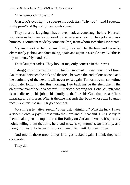"The twenty-third psalm."

Jean-Luc's eyes light. I squeeze his cock first. "Thy rod"—and I squeeze Philippe—"and *thy* staff, they comfort me."

They burst out laughing. I have never made anyone laugh before. Not real, spontaneous laughter, as opposed to the necessary reaction to a joke, a quasihumorous comment made by someone (me) from whom something is wanted.

My own cock is hard again. I might as well be thirteen and secretly, obsessively jacking and fantasizing, again and again in a single day. But this is my moment. My hands still.

Their laughter fades. They look at me, only concern in their eyes.

I struggle with the realization. This *is* a moment… a moment out of time. An interval between the tick and the tock, between the end of one second and the beginning of the next. It will never exist again. Tomorrow, no, sometime soon, later tonight, later this morning, I go back inside the shell that is the chief financial officer of a powerful American-heading-for-global church, who is so dedicated to his job, to his family, to the Lord his God, that he sacrifices marriage and children. What is the line that ends that book whose title I cannot recall? *I enter into hell*. Or go back to it.

My smile is tentative, rueful. "I was just… thinking." What the fuck. I have a decent voice, a joyful noise unto the Lord and all that shit. I sing softly to them, making no attempt to do a Jim Bailey on Garland's voice. It's just my voice, telling them that this, here and now, is *my* moment, *my* destiny, and though it may only be just this once in my life, I *will* do great things.

And one of those great things is to get fucked again. I think they will cooperate.

They do.

\*\*\*\*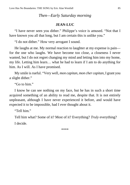# *Then—Early Saturday morning*

### **JEAN-LUC**

"I have never seen you dither." Philippe's voice is amused. "Not that I have known you all that long, but I am certain this is unlike you."

"I do not dither." How very arrogant I sound.

He laughs at me. My normal reaction to laughter at my expense is pain for the one who laughs. We have become too close, a closeness I never wanted, but I do not regret changing my mind and letting him into my home, my life. Letting him learn… what he had to learn if I am to do anything for him. As I will. As I have promised.

My smile is rueful. "Very well, *mon capitan, mon cher capitan*, I grant you a slight dither."

"Go to him."

I know he can see nothing on my face, but he has in such a short time acquired something of an ability to read me, despite that. It is not entirely unpleasant, although I have never experienced it before, and would have expected it to be impossible, had I ever thought about it.

"Tell him."

Tell him what? Some of it? Most of it? Everything? *Truly* everything? I decide.

\*\*\*\*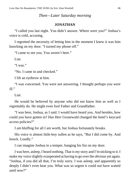### *Then—Later Saturday morning*

### **JONATHAN**

"I called you last night. You didn't answer. Where were you?" Joshua's voice is cold, accusing.

I regretted the necessity of letting him in the moment I knew it was him knocking on my door. "I turned my phone off."

"I came to see you. You weren't here."

Liar.

"I was."

"No. I came in and checked."

I lift an eyebrow at him.

"I was concerned. You were not answering. I thought perhaps you were ill."

Liar.

He would be believed by anyone who did not know him as well as I regrettably do. He might even fool Father and Grandfather.

"I was here, Joshua, as I said. I would have heard you. And besides, how could you have gotten in? Has Herr Grunewald changed the hotel's keycard access policies?"

I am bluffing for all I am worth, but Joshua fortunately breaks.

His voice is almost little-boy sullen as he says, "But I did come by. And knock. Loudly."

I can imagine Joshua in a temper, banging his fist on my door.

I was here, asleep, I heard nothing. That is my story and I'm sticking to it. I make my voice slightly exasperated at having to go over the obvious yet again. "Joshua, if you did all that, I'm truly sorry. I was asleep, and apparently so deeply I didn't even hear you. What was so urgent it could not have waited until now?"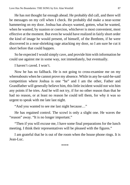He has not thought far enough ahead. He probably did call, and there will be messages on my cell when I check. He probably did make a near-scene hammering on my door. Joshua has always wanted, gotten, what he wanted, when he wanted, by suasion or coercion, whichever is most convenient, most effective at the moment. But even he would have realized in fairly short order the kind of image he would present, of himself, of the Brethren, if he were discovered in a near-shrieking rage attacking my door, so I am sure he cut it short before that could happen.

So he expected I would simply cave, and provide him with information he could use against me in some way, not immediately, but eventually.

I haven't caved. I won't.

Now he has no fallback. He is not going to cross-examine me on my whereabouts when he cannot prove my absence. While in any he-said-he-said competition where Joshua is one "he" and I am the other, Father and Grandfather will generally believe him, this little incident would not win him any points if he tries. And he will not try, if for no other reason than that he had no reason, or at least no reason he could tell them, for why it was so urgent to speak with me late last night.

"And you wanted to see me last night because…"

He has regained control. The scowl is only a slight one. He waves the "reason" away. "It is no longer important."

"Then if you will excuse me, I have some final preparations for the lunch meeting. I think their representatives will be pleased with the figures."

I am grateful that he is out of the room when the house phone rings. It is Jean-Luc.

\*\*\*\*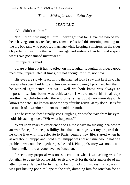## *Then—Mid-afternoon, Saturday*

#### **JEAN-LUC**

"You didn't tell him."

"No, I didn't fucking tell him. I never got that far. Have the two of you been having some secret Regency romance festival this morning, making me the big bad rake who proposes marriage while keeping a mistress on the side? Or perhaps doesn't bother with marriage and instead of an heir and a spare wants two goddamned mistresses?"

Philippe falls apart.

I glare at him but it has no effect on his laughter. Laughter is indeed good medicine, unparalleled at times, but not enough for him, not now.

His eyes are slowly reacquiring the haunted look I saw that first day. The pressure has been building, and tiny cracks are showing. I promised him that if he worked, got better—not well, well we both knew was always an impossibility, but better was achievable—I would make his final days worthwhile. Unfortunately, the end time is near. Just two more days. He knows the date. Has known since the day after his arrival at my door. He is far too much of a warrior still, not to be told the truth.

The bastard shithead finally stops laughing, wipes the tears from his eyes, holds his aching sides. "Wh-what happened?"

Years upon years of experience and I almost have no fucking idea how to answer. Except for one possibility. Jonathan's outrage over my proposal that he come live with me, relocate to Paris, begin a new life, started when he asked about Philippe and I told him Philippe was not an issue, would not be a problem, we could be together, just he and I. Philippe's story was not, is not, mine to tell, not to anyone, even to Jonathan.

It seems my proposal was not sincere, that what I was asking was for Jonathan to be my bit on the side, to sit and wait for the dribs and drabs of my attention in a flat paid for by me. To be my fucking mistress! Or no, wait, I was just kicking poor Philippe to the curb, dumping him for Jonathan for no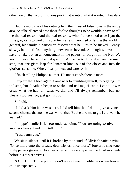other reason than a promiscuous prick that wanted what it wanted. How dare I?

But the rapid rise of his outrage held the tiniest of false notes in the angry aria. As if he'd latched onto those foolish thoughts so he wouldn't have to tell me the real reason. And the real reason… what I understood once I put the little grey cells to work… is that he is afraid. Terrified of letting the world in general, his family in particular, discover that he likes to be fucked. Gently, slowly, hard and fast, anything between or beyond. Although we wouldn't have to take out an announcement in the papers, or blog it on the Net. We wouldn't even have to be that specific. All he has to do is take than one small step, that one giant leap for Jonathan-kind, out of the closet and into the glorious sunshine. Where I can protect and care for him.

I finish telling Philippe all that. He understands there is more.

I explain that I tried again. Came near to humbling myself, to begging him to listen, but Jonathan began to shake, and tell me, "I can't, I can't, it was great, what we had, uh, what we did, and I'll always remember, but, no, please, stop, just go, just go, just go!"

So I did.

"I did ask him if he was sure. I did tell him that I didn't give anyone a second chance, that no one was worth that. But he told me to go. I did want he wanted."

Philippe's smile is far too understanding. "You are going to give him another chance. Find him, tell him."

"Yes, damn you."

We sit in silence until it is broken by the sound of Olivier's voice saying, "Once more unto the breach, dear friends, once more." Jouvert's ring-tone. Philippe recognizes it, too, becomes still as a sniper in the final moments before his target arrives.

"*Oui*." Curt. To the point. I don't waste time on politeness when Jouvert calls unexpectedly.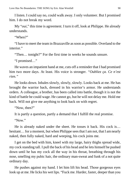I listen. I could say no, could walk away. I only volunteer. But I promised him. I do not break my word.

My "*oui*," this time is agreement. I turn it off, look at Philippe. He already understands.

"When?"

"I have to meet the team in Brazzaville as soon as possible. Overland to the interior."

"Then… tonight?" For the first time in weeks he sounds unsure.

"I promised…"

He waves an impatient hand at me, cuts off a reminder that I had promised him two more days. At least. His voice is stronger. *"Oubliez ça. Ce n'est rien."*

He looks down. Inhales slowly, slowly, slowly. Looks back at me. He has brought the warrior back, dressed in his warrior's armor. He understands orders. A colleague, a brother, has been called into battle, though it is not the kind of battle he could wage. He cannot go, but he will not delay me. Hold me back. Will not give me anything to look back on with regret.

"Now, then?"

It is partly a question, partly a demand that I fulfill the real promise.

"Now"

He is already naked under the sheet. He tosses it back. His cock is… hesitant... for a moment, but when Philippe sees that I am not, that I am nearly naked, then fully naked, hard and weeping, his cock joins me.

I get on the bed with him, kneel with my large, hairy thighs spread wide, my cock standing tall. I pull the back of his head and he lets himself be pushed down until he has my cock all the way in his throat, breathing through his nose, smelling my pubic hair, the ordinary man-sweat and funk of a not quite ordinary day.

He pushes against my hand. I let him lift his head. Those gorgeous eyes look up at me. He licks his wet lips. "Fuck me. Harder, faster, deeper than you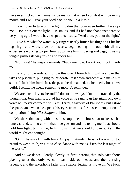have ever fucked me. Come inside me so that when I cough it will be in my mouth and I will give your seed back to you in a kiss."

I reach over to turn out the light, to dim the room even further. He stops me. "Don't put out the light." He smiles, and if I had not abandoned tears so very long ago, I would have wept at its beauty. "And then, put out the light."

I give him what he wants. My fingers nearly bruise his thighs as I lift his legs high and wide, dive for his ass, begin eating him out with all my experience working to open him up, to have him shivering and begging as my tongue pushes its way inside and fucks him.

"No more!" he gasps, demands. "Fuck me now. I want your cock inside me."

I rarely follow orders. I follow this one. I breach him with a stroke that takes no prisoners, plunging roller-coaster fast down and down and make him shout. I fuck him hard, fast, deep, as he demanded, as he needs, but as we build, I realize he needs something more. A reminder.

We are music lovers, he and I. I do not allow myself to be distracted by the thought that Jonathan is, too, of his voice as he sang to us last night. My own voice will never compete with Bryn Terfel, a favorite of Philippe's, but I slow the pace, and when he opens his eyes from his furious contemplation of completion, I sing *Miss Saigon* to him.

We share that song with the solo saxophone, the brass that makes such a lonely sound, telling us still that love goes on and on, telling me I that should hold him tight, telling me, telling… *us*, that we should… dance. As if the world might end tonight.

"Oh." His eyes fill with tears. Of joy, gratitude. He is not a warrior too proud to weep. "Oh, yes, *mon cher*, dance with me as if it's the last night of the world."

And so we dance. Gently, slowly, at first, hearing that solo saxophone playing tunes that only we can hear inside our heads, and then a rising urgency, and the saxophone fades into silence, letting us move on. We fuck.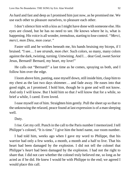As hard and fast and deep as I promised him just now, as he promised me. We use each other to pleasure ourselves, to pleasure each other.

I don't silence him with a kiss as I might have done with someone else. His eyes are closed, but he has no need to see. He knows where he is, what is happening. His voice is all wonder, tremulous, starting to lose control. *"Merci, merci, mon Dieu, mon coeur."*

Faster still and he writhes beneath me, his hands bruising my biceps, if I bruised. "I see… I see *strands*, *mon cher*. Such colors, so many, many colors against the dark, twisting, turning. Untwining. And I… dear God, sweet Savior Jesus, Bernard! Bernard, my heart, my love!"

He calls out "Bernard!" a last time as he comes, spraying us both, and I follow him over the edge.

I loom above him, panting, ease myself down, still inside him, clasp him to my chest as the last two days shimmer… and fade away. He eases into that good night, as I promised. I hold him, though he is gone and will not know. And only I will know. But I hold him so that *I* will know that for a while, so brief a while, I cared. Even loved.

I ease myself out of him. Straighten him gently. Pull the sheet up so that to the unknowing the relaxed, peace found at last expression is of a man sleeping well.

Duty.

I rise. Get my cell. Punch in the call to the Paris number I memorized. I tell Philippe's colonel, "It is time." I give him the hotel name, our room number.

I had told him, weeks ago when I gave my word to Philippe, that his warrior had only a few weeks, a month, a month and a half to live. That his heart had been damaged by the explosion. I did not tell the colonel that Philippe's *heart* had been damaged by the explosion. I had not the right to share that. I did not care whether the colonel truly believed me, so long as he acted as if he did. He knew I would be with Philippe to the end; we agreed I would place this call.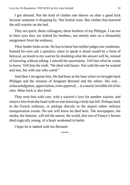I got dressed. Not the kind of clothes one throws on after a good fuck because someone is dropping by. Not formal wear. But clothes that honored the still warrior on the bed.

They are quick, these colleagues, these brothers of my Philippe. I can see in their eyes they are indeed his brothers, not merely men on a distasteful assignment from the embassy.

Their leader looks at me. He has to know but neither judges nor condemns. Instead his eyes ask a question, since to speak it aloud would be a form of betrayal, an insult to my warrior by doubting what the answer will be, instead of knowing without asking. I smooth his uncertainty. Tell him what he wants to know. Tell him the truth. "He died with honor. Not with the one he wanted and lost, but with one who cared."

And then I recognize him. He had been at the base when we brought back Philippe and the remains of Sergeant Bernard and the others. His nod… acknowledgment, appreciation, even approval… is a nearly invisible tilt of his chin. Mine back is also brief.

They treat him with care, with a warrior's love for another warrior, and remove him from the hotel with no one knowing a body has left. Perhaps back to the French embassy, or perhaps directly to the airport where military transportation awaits. No one will know he died here. The newspapers, the media, the Internet, will tell the nation, the world, that one of France's heroes died tragically young, of a heart weakened in battle.

I hope he is indeed with his Bernard.

\*\*\*\*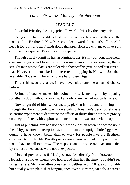*Later—Six weeks, Monday, late afternoon*

#### **JEAN-LUC**

Powerful Priestley the petty prick. Powerful Priestley the petty prick.

I've got the rhythm right as I follow Joshua over the river and through the woods of the Brethren's New York complex towards Jonathan's office. All I need is Dorothy and her friends doing that precision step with me to have a bit of fun at his expense. *More* fun at his expense.

Though I freely admit he has an admirable ass, it's my opinion, long-held, over many years and based on an inordinate amount of experience, that a straight man whose slacks are tailored to show off his gym-honed butt isn't all that. However, it's not like I'm interested in tapping it. Not with Jonathan available. Not even if Jonathan plays hard to get. Again.

This is his second chance. I have never given anyone a second chance before.

Joshua of course makes his point—*my* turf, my right—by opening Jonathan's door without knocking. I already knew he had not called ahead.

Now to get rid of him. Unfortunately, picking him up and throwing him through the floor to ceiling windows behind Jonathan's desk, purely as a scientific experiment to determine the effects of thirty-three stories of gravity on an ego inflated with copious amounts of hot air, was not a viable option.

Just as punching him had not been a viable option when he showed up in the lobby just after the receptionist, a more-than-a-bit uptight little faggot who ought to have known better than to work for people like the Brethren, explained to me that Mr. Priestley never saw anyone without an appointment. I would have to call tomorrow. The response and the once-over, accompanied by the restrained sneer, were not unexpected.

I looked precisely as if I had just traveled directly from Brazzaville to Newark in a bit over twenty-two hours, and then had the limo he couldn't see bring me here. My travel attire consisted of beltless, worn 501s, a comfortable but equally-worn plaid shirt hanging open over a grey tee, sandals, a scarred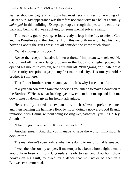leather shoulder bag, and a floppy hat most recently used for warding off African sun. My appearance was therefore not conducive to a belief I actually *belonged* in this building. Except, perhaps, through the peasant's entrance, back and behind, if I was applying for some menial job as a janitor.

The security guard, young, serious, ready to leap in the fray to defend God and the Priestleys and the Brethren from this uncouth invasion, had his hand hovering about the gun I wasn't at all confident he knew much about.

"What's going on, Royce?"

Royce-the-receptionist, also known as the self-important twit, relaxed. He could hand off the very large problem in the lobby to a higher power. He opened his mouth to explain, but I cut him off. "I'm 'going on,' Joshua." A little security-receptionist gasp at my first-name audacity. "I assume your older brother is still here."

That "older brother" remark annoys him. It is why I use it so often.

"So you can con him again into believing you intend to make a donation to the Brethren?" He uses that fucking eyebrow crap to look me up and look me down, mostly down, given his height advantage.

He is actually entitled to an explanation, much as I would prefer the punch and then roaming the hallways floor by floor, doing a not-very-good Brando imitation, with T-shirt, without being soaking wet, pathetically yelling, "Hey, Jonathan."

"I had to go on a mission. It was unexpected."

Another sneer. "And did you manage to save the world, muh-shoor le dock-tour?"

The man doesn't even realize what he is doing to my original language.

I keep the reins on my temper. If my temper had been a horse right then, it would have been a furious Clydesdale, ready to rear and drop both those hooves on his skull, followed by a dance that will never be seen in a Budweiser commercial.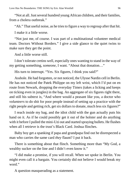"Not at all. Just several hundred young African children, and their families, from a cholera outbreak."

"Ah." That useful noise, as he tries to figure a way to regroup after that hit.

I make it a little worse.

"Not just me, of course. I was part of a multinational volunteer medical team. Doctors Without Borders." I give a side glance to the quiet twins to make sure they get the point.

And a little worse still.

I don't tolerate cretins well, especially ones wanting to stand in the way of my getting something, *someone*, I want. "About that donation…"

His turn to interrupt. "Yes. Six figures, I think you said?"

Asshole. He had forgotten, or not noticed, the Ulysse Nardin cell in Berlin. He has not noticed the Patek Philippe on my left wrist, which I'd put on en route from Newark, dropping the everyday Timex (takes a licking and keeps on ticking even in jungles) in the bag. An aggregate of six figures right there, and still his subtext is, "And where would a peasant like you, a doctor who *volunteers* to do shit for poor people instead of setting up a practice with the right people and getting rich, get six dollars to donate, much less six figures?"

I reach inside my bag, and the idiot child with the gun actually puts his hand on it. As if he could possibly get it out of the holster and do anything with it before I pulled the mini-Uzi out and started spraying bullets. He flushes when all I retrieve is the trust's Black Card. Joshua flinches.

Baby boy get a spanking if papa and grandpapa find out he disrespected a man who carries the same card *they* flaunt? I put it back.

There is something about that flinch. Something more than "My God, a wealthy sucker on the line and I didn't even know it."

"I did make a promise, if you will recall. When we spoke in Berlin. You might even call it a bargain. You certainly did not believe I would break my word."

A question masquerading as a statement.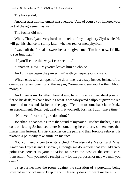The fucker did.

Another question-statement masquerade: "And of course you honored your part of the agreement as well."

The fucker did not.

Whoa, Thor. I yank very hard on the reins of my imaginary Clydesdale. He will get his chance to stomp later, whether real or metaphysical.

I wave off the formal answers he hasn't given me. "I'm here now. I'd like to see Jonathan."

"If you'll come this way, I can see to…"

"Jonathan. Now." My voice leaves him no choice.

And thus we begin the powerful-Priestley-the-petty-prick walk.

Which ends with an open office door, me just a step inside, Joshua off to one side after announcing on the way in, "Someone to see you, brother. About money."

And there is my Jonathan, head down, frowning at a spreadsheet printout flat on his desk, his hand holding what is probably a red ballpoint given the red notes and marks and slashes on the page. "Tell him to come back later. Make an appointment. Better yet, deal with it yourself, Joshua. I don't have time."

"Not even for a six-figure donation?"

Jonathan's head whips up at the sound of my voice. His face flushes, losing control, letting Joshua see there is something here, there, somewhere, that makes him furious. His fist clenches on the pen, and then forcibly relaxes. He plasters a pointedly fake smile on his face.

"Do you need a pen to write a check? We also take MasterCard, Visa, American Express and Discover, although we do request that you add twopoint-five percent to your donation to cover the cost of the credit card transaction. Will you need a receipt now for tax purposes, or may we mail you one?"

I step further into the room, against the sensation of a portcullis being lowered in front of me to keep me out. He really does not want me here. But I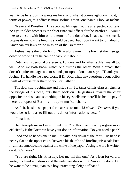want to be here. Joshua wants me here, and when it comes right down to it, in terms of power, this office is more Joshua's than Jonathan's. I look at Joshua.

"Reverend Priestley." His eyebrow lifts again at the unexpected courtesy. "As your older brother is the chief financial officer for the Brethren, I would like to consult with him on the terms of the donation. I have some specific proposals on how the funding should be used, but I don't want to run afoul of American tax laws or the mission of the Brethren."

Joshua hears the underlying, "Run along now, little boy, let the men get down to work." But he can't do jack shit about it.

Duty *versus* personal preference. I understand Jonathan's dilemma all too well. And we both know which one trumps the other. With a breath that doesn't quite manage not to sound put-upon, Jonathan says, "Thank you, Joshua. I'll handle the paperwork. If Dr. Picard has any questions about policy I will of course refer them to you, or Father."

The door shuts behind me and I stay still. He takes off his glasses, pinches the bridge of his nose, puts them back on. He gestures toward the chair opposite the desk, and something in his eyes tells me there'll be hell to pay if there is a repeat of Berlin's not-quite-musical chairs.

As I sit, he slides a paper form across to me. "*M'sieur le Docteur*, if you would be so kind as to fill out this donor information sheet…"

"Jonathan…"

He interrupts me as I interrupted him. "Sir, this meeting will progress more efficiently if the Brethren have your donor information. Do you need a pen?"

I nod and he hands one to me. I finally look down at the form. His hand is nearly flat on the upper edge. Between his thumb and forefinger is a pale Postit, almost unnoticeable against the white of the paper. A single word is written on it. "Cameras."

"You are right, Mr. Priestley. Let me fill this out." As I lean forward to write, his hand withdraws and the note vanishes with it. Smoothly done. Did he want to be a magician as a boy, practicing sleight of hand?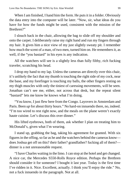When I am finished, I hand him the form. He puts it in a folder. Obviously the data entry into the computer will be later. "Now, sir, what ideas do you have for how the funds might be used, consistent with the mission of the Brethren?"

I slouch back in the chair, allowing the bag to slide off my shoulder and onto the carpet. I deliberately raise my right hand and run my fingers through my hair. It gives him a nice view of my just slightly sweaty pit. I remember how much the scent of a man, of two men, turned him on. He remembers it, as well, if the "you bastard" in his eyes is any indication.

All the watchers will see is a slightly less than fully filthy, rich fucking traveler, scratching his head.

I drop my hand to my lap. Unless the cameras are directly over this chair, it's unlikely the fact that my thumb is touching the right side of my cock, near the base, and my forefinger is touching my balls, the other fingers resting on my thigh muscles with only the tiniest of caressing movements, will be seen. Jonathan can't see me, either, not across that desk, but the repeat silent "bastard" lets me know he knows what I'm doing.

"You know, I just flew here from the Congo. Layovers in Amsterdam and Paris. Been *up* for about thirty hours." No hard-on innuendo there, no, indeed. "I'm too wired to rest right now, and the meals on the plane weren't exactly haute cuisine. Let's discuss this over dinner."

His lifted eyebrows, both of them, ask whether I plan on treating him to McDonald's, given what I'm wearing.

I stand up, grabbing the bag, taking his agreement for granted. With six figures in the offing, so far as he and the watchers behind the cameras know does Joshua get off on this? their father? grandfather? fucking all of them? dinner is a not unreasonable request.

"I have Charles waiting in the limo. I can stop at the hotel and get changed. A nice car, the Mercedes S550-Rolls Royce edition. Perhaps the Brethren should consider it for someone? I bought it last year. Today is the first time I've ridden in it. Nice. Excellent, actually. I think you'll enjoy the ride." No, not a fuck innuendo in the paragraph. Not at all.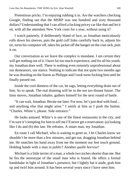Pretentious pricks. I'm enjoying rubbing it in. Are the watchers checking Google, finding out that the MSRP was one hundred and sixty thousand dollars? Understanding that I can afford a fucking pricey car like that and let it sit, with all the attendant New York costs for a year, without using it?

I watch patiently, if deliberately bland of face, as Jonathan meticulously rolls down his sleeves, puts the gold cuff links carefully back in, adjusts his tie, turns his computer off, takes his jacket off the hanger on the coat rack, puts it on.

Our conversation as we leave the complex is mundane. I am certain they will get nothing out of it. I have far too much experience, and for all his youth, my Jonathan does well. There is nothing even remotely unprofessional about our demeanors, our stance. Nothing to indicate that not quite two months ago he was drooling on the linens as Philippe and I took turns fucking him until he finally passed out.

Inside the cool dimness of the car, he sags, letting everything drain out of him. So to speak. The real draining will be in the not too distant future. The limo moves, Jonathan inhales, gathers himself for the next round of battle.

"It can wait, Jonathan. Berate me later. For now, let's just deal with food… and anything else that might arise." I smirk at him as I push the button. "Charles. White's, please. Side entrance."

He looks amused. White's is one of the finest restaurants in the city, and I'm sure it's tempting for him to tell me I'll never get a reservation: (a) looking like I do and (b) this late. He refrains. A smart man, my Jonathan.

En route I call Michael, who is waiting to greet us. I let Charles know we shouldn't be more than a few minutes, and get out, dragging Jonathan behind me. He snatches his hand away from me the moment our feet touch ground. Holding hands with a man in public? Another *quelle horreur*!

Michael is a little terrier of a man, a whole two inches shorter than me. But he fits the stereotype of the small man who is feared. He offers a formal handshake in light of Jonathan's presence, but I lightly bat it aside, grab him up and twirl him around. It has been several years since I have seen him.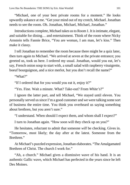"Michael, one of your best private rooms for a moment." He looks upwardly askance at me. "Get your mind out of my crotch, Michael. Jonathan needs to see the room. Oh. Jonathan, Michael, Michael, Jonathan."

Introductions complete, Michael takes us to Room 1. It is intimate, elegant, and suitable for dining… and entertainment. Think of the room where Nicky Arnstein tells Fannie Brice, "You are woman, I am man, let's kiss." Then make it classy.

I tell Jonathan to remember the room because there might be a quiz later, then turn again to Michael. "We arrived at seven at the private entrance; you greeted us, took us here. I ordered my usual. Jonathan, would you eat, let's say, French onion soup to start with, a small salad with raspberry vinaigrette, boeuf bourguignon, and a nice merlot, but you don't recall the name?"

"What?"

"If I ordered that for you would you eat it, enjoy it?"

"Yes. Fine. Wait a minute. What? Take-out? From *White's*?"

I ignore the latter part, and tell Michael, "We stayed until eleven. You personally served us since I'm a good customer and we were talking some sort of business the entire time. You think you overheard us saying something about brethren, but you aren't sure."

"I understand. When should I expect them, and whom shall I expect?"

I turn to Jonathan again. "How soon will they check up on you?"

He hesitates, reluctant to admit that someone *will* be checking. Gives in. "Tomorrow, most likely; the day after at the latest. Someone from the Brethren<sup>"</sup>

At Michael's puzzled expression, Jonathan elaborates. "The Amalgamated Brethren of Christ. The church I work for."

"Ah, a church." Michael gives a dismissive wave of his hand. It is an authentic Gallic wave, which Michael has perfected in the years since he left Des Moines.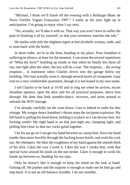"Michael, I think we'll finish off the evening with a Bollinger Blanc de Noirs Vieilles Vignes Françaises 1997." I smile as his eyes light up in anticipation. I'm going to enjoy what I say next.

"No, actually, we'll take it with us. That way you won't have to suffer the pain of drinking it all by yourself, so that your inventory matches the tale."

He smiles with only the slightest regret at lost alcoholic ecstasy, nods, and is soon back with the bottle.

In short order, we're in the limo, heading to my place. Poor Jonathan is suffering in silence, at least for the moment. I can sense the several repetitions of "What the fuck?" building up inside so that when he finally lets them all out, one right after the other, the last will be a roar. The eruption… the *wrong* eruption… is imminent when Charles drives into the garage below my building. The trust actually owns it, through several layers of companies. I pay rent on a very comfortable apartment, though it is not leased in my own name.

I tell Charles to be back at 10:45 and to ring me when he arrives, escort Jonathan upstairs, open the door and for all practical purposes, shove him through. He does that little stumble-dance, recovers, and turns around to unleash the WTF barrage.

I've already carefully set the wine down. Care is indeed in order for *that* vintage. My tongue down Jonathan's throat stops the incipient explosion. My left hand is pulling his head down, holding it in place so I can devour him. Six fucking *weeks*! My right hand is on that just-right ass, clamping tight, and pulling him close so that our cocks grind together.

I let his ass go so I can get my hand between us, unzip him, force my hand inside, then more forcibly through the fucking boxer briefs, and work his cock out. He whimpers. He likes the roughness of my hand against the smooth flesh of his dick. Likes the way I work it. Likes the way I stroke him, with that special twist around his knob on the out-stroke. Likes it enough to work his hands up between us, heading for my nips.

Only he doesn't like it enough to keep his mind on the task at hand. Getting off. He pushes and the surprise is enough to make me let him go and step back. It is not an off-balance stumble. I do not stumble.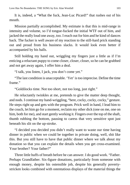It is, indeed, a "What the fuck, Jean-Luc Picard!" that rushes out of his mouth.

Mission partially accomplished. My estimate is that this is mid-range in intensity and volume, so I'd tongue-fucked the initial WTF out of him, and jacked the really loud one away, too. I reach out for him and he kind of dances back. The fucker is well aware of my reaction to the still-hard prick standing out and proud from his business slacks. It would look even better if accompanied by his balls.

Still holding my hand out, wriggling my fingers just a little as if I'm enticing a reluctant puppy to come closer, closer, closer, so he can be grabbed and not get away again, I offer him a deal.

"I talk, you listen, I jack, you don't come yet."

"The last condition is unacceptable. 'Yet' is too imprecise. Define the time frame."

"Goldilocks time. Not too short, not too long, just right."

He reluctantly twinkles at me, pretends to give the matter deep thought, and nods. I continue my hand-wriggling, "here, cocky, cocky, cocky," gesture. He steps right up and gets with the program. Prick well in hand, I lead him to the couch, let him go for a moment, reclaim my other dick (one on me, one on him, both for me), and start gently working it. Fingers over the top of the shaft, thumb rubbing the bottom, pausing to caress that very sensitive spot just beneath his slit on the up-stroke.

"I decided you decided you didn't really want to waste our time having dinner in public when we could be together in private doing, well, shit like this. But you still have to have that public dinner where we talk about my donation so that you can explain the details when you get cross-examined. Your brother? Your father?"

Three little huffs of breath before he can answer. I do good work. "Father. Perhaps Grandfather. Six-figure donations, particularly from someone with enough money, despite his ostensible job, despite his generally povertystricken looks combined with ostentatious displays of the material things the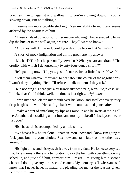Brethren inveigh against and wallow in… you're slowing down. If you're slowing down, I'm not talking."

I resume my more capable stroking. Even my ability to multitask seems affected by the nearness of him.

"Those kinds of donations, from someone who might be persuaded to let us dip the bucket in the well again, are rare. They'll want to know."

"And they will. If I asked, could you describe Room 1 at White's?"

A snort of mock indignation and a little groan are my answer.

"Michael? The fact he personally served us? What you ate and drank? The crudity with which I devoured my twenty-four-ounce sirloin?"

He's panting now. "Uh, yes, yes, of course. Just a little faster. *Please*?"

"Tell them whatever they want to hear about the course of the negotiations, I won't deny anything. Hell, I'll refuse to talk to them if they ask."

He's nodding his head just a bit frantically now. "Uh, Jean-Luc, please, uh, I think, dear God I think, well, the time is just right… *right now*!"

I drop my head, clamp my mouth over his knob, and swallow every tasty drop he gifts me with. He can't go back with come-stained pants, after all.

I make a point of smacking my lips as I raise up and he swats at me. "Tell me, Jonathan, does talking about food and money make all Priestleys come, or just you?"

His "bastard" is accompanied by a little smile.

"We have a few hours alone, Jonathan. You know and I know I'm going to fuck you, but it's your choice. Sex now and talk later, or the other way around."

His light dims, and his eyes shift away from my face. He looks so very sad that for a moment there is a temptation to say the hell with everything on my schedule, and just hold him, comfort him. I resist. I'm giving him a second chance. I don't give anyone a second chance. My memory is flawless and so I know that I never have, no matter the pleading, no matter the reasons given. But for him I am.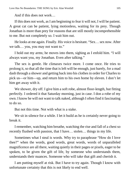And if this does not work…

If this does not work, as I am beginning to fear it will not, I will be patient. A great cat can be patient, lying motionless, waiting for its prey. Though Jonathan is more than prey for reasons that are still mostly incomprehensible to me. But not completely so. I wait him out.

He looks at me again. Finally. His voice is hesitant. "Sex… sex now. After we talk… you, you may not want to."

I hold out my arms; he moves into them, sighing as I enfold him. "I will always want you, my Jonathan. Even after talking."

The sex is gentle. He climaxes twice more. I come once. He tries to prolong it, so that all the time that is left will be enough, just barely, for a mad dash through a shower and getting back into his clothes in order for Charles to pick us—or him—up, and return him to his own home by eleven. I don't let him get away with it.

We shower, dry off. I give him a soft robe, almost floor-length, but fitting perfectly. I ordered it that Saturday morning, just in case. I don a robe of my own. I know he will not want to talk naked, although I often find it fascinating to do so.

But not this time. Not with what is a stake.

We sit in silence for a while. I let it build as he is certainly never going to break it.

I remember, watching him breathe, watching the rise and fall of a chest so recently flushed with passion, that I have… stolen… things in my life.

Sometimes what I steal is words. Why try to paraphrase "How do I love thee?" when the words, good words, great words, words of unparalleled magnificence are all there, waiting quietly in their pages or pixels, eager to be spoken, to be given the gift of life, by someone who understands them, understands their nuances. Someone who will take that gift and cherish it.

I am putting myself at risk. But I have to try again. Though I know with unfortunate certainty that this is not likely to end well.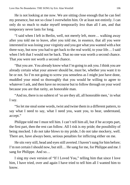He is not looking at me now. We are sitting close enough that he can feel my presence, but not so close I overwhelm him. Or at least not entirely. I can only do so much to make myself temporarily *less* than all I am, and that temporary never lasts for long.

"I said when I left in Berlin, well, not merely left, more… walking away after you told me to leave, after you told me, in essence, that all you were interested in was losing your virginity and you got what you wanted with a hot three-way, but now you had to get back to the real world, to your life… I said when I left that I would not be back. That no one was worth a second chance. That *you* were not worth a second chance.

"But you are. You already know what I'm going to ask you. I think you are already certain what your answer should be, must be, whether you want it to be or not. So I'm not going to screw you senseless as I might just have done, muddled your mind so thoroughly that you would be willing to agree to whatever I ask, and then have no recourse but to follow through on your word because you are that rarity, an honorable man.

"And no, there is no subtext of 'so are they all, all honorable men,' in what I say.

"So let me steal some words, twist and twine them in a different pattern, to say what I need to say, what I need you, want you, to hear, understand, accept."

Philippe told me I must tell him. I can't tell him all, but if he accepts part, the first part, then the rest can follow. All I risk is my pride; the possibility of being mocked. I do not take blows to my pride, I do not take mockery, well. There are, have always been, serious penalties for inflicting either on me.

He sits very still, head and eyes still averted. I haven't sung for him before; I'm not certain I should now, but still… He sang for me, for Philippe and me. I sang for Philippe. And so…

I sing my own version of "If I Loved You," telling him that since I love him, I have tried, over and again I have tried to tell him all I wanted him to know.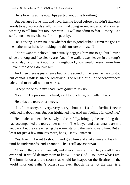He is looking at me now, lips parted, not quite breathing.

But because I love him, and never having loved before, I couldn't find easy words to say, no words at all, just my mind going around and around in circles, wanting to tell him, but too uncertain… I will not admit to fear… to try. And so I almost let my chance for him pass by.

He is crying. I have no idea whether that is good or bad. Damn the gods to the nethermost hells for making me this unsure of myself!

I don't want to believe I am actually begging him not to go, but I must, since the song and I so clearly are. And if he walks away, leaves in the song's mist of day, or brilliant noon, or midnight dark, how would he ever know how I love him? And I do love him.

And then there is just silence but for the sound of the tears he tries to stop but cannot. Endless silence otherwise. The length of all of Scheherazade's tales, and more, all without words.

Except the ones in my head. *He's going to say no*.

"I can't." He puts out his hand, as if to touch me, but pulls it back.

He dries the tears on a sleeve.

"I… I am sorry, so very, very sorry, about all I said in Berlin. I never believed it about you. But *you* frightened me. And my feelings *terrified* me."

He inhales and exhales slowly and carefully, bringing the trembling that had accompanied the tears under control. The lawyer and accountant are not yet back, but they are entering the room, starting the walk toward him. But at least for just a few minutes more, he is just *my* Jonathan.

Yes. Even if I want to shout it and grab him and shake him and kiss him until he understands, and I cannot… he is still *my Jonathan*.

"They… they are, still and all, and after all, my family. They are all I have ever had. It would destroy them to know… dear God… to know what I am. The humiliation and the scorn that would be heaped on the Brethren if the world finds out Father's oldest son, even though he is not the heir, is a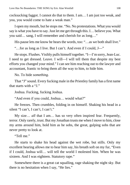cocksucking faggot. I cannot do that to them. I am… I am just too weak, and you, you would come to hate a weak man."

I open my mouth, but he stops me. "No. No protestations. What you would say is what you have to say. Just let me get through this. I… believe you. What you said… sang, I will remember and cherish for as long…"

His pause lets me know he hears the words, too: "…as we both shall live."

"…for as long as I live. But I can't. And even if I could, J—"

He stops. Flushes. Visibly pulls himself together. "I—I'm sorry, Jean-Luc. I need to get dressed. Leave. I will—I will tell them that despite my best efforts you changed your mind." I can see him reaching out to the lawyer and accountant, frantic to bring them all the way to him, to hide him.

No. To hide *something*.

That "J" sound. Every fucking male in the Priestley family has a first name that starts with a "J."

Joshua. Fucking, fucking Joshua.

"And even if you could, Joshua… would what?"

He freezes. Then crumbles, folding in on himself. Shaking his head in a silent "I can't, I can't, I can't."

My size… *all* that I am… has so very often inspired fear. Frequently, terror. Only rarely, trust. But my Jonathan trusts me when I move to him, close my arms around him, hold him as he sobs, the great, gulping sobs that are never pretty to look at.

"Tell me."

He starts to shake his head against the wet robe, but stills. Only my excellent hearing allows me to hear him say, his breath soft on my fur, "Even if I could, Joshua will… will tell the world I molested him. When he was sixteen. And I was eighteen. Statutory rape."

Somewhere there is a great cat squalling, rage shaking the night sky. But there is no hesitation when I say, "He lies."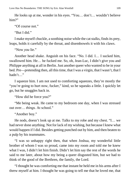He looks up at me, wonder in his eyes. "You… don't… wouldn't believe him?"

"Of course not."

"But I did."

I make myself chuckle, a soothing noise while the cat stalks, finds its prey, leaps, holds it carefully by the throat, and disembowels it with his claws.

"Now *you* lie."

Another head shake. Anguish on his face. "No. I did. I… I sucked him, swallowed him. He… he fucked me. So, oh, Jean-Luc, I didn't give you and Philippe anything at all in Berlin. Just another queer who wanted to be in your bed. Pre—pretending then, all this time, that I was a virgin, that I wasn't, that I hadn't…"

I squeeze him. I am not used to comforting squeezes, they're mostly the "you're going to hurt now, fucker," kind, so he squeaks a little. I quickly let go, but he snuggles back in.

"How did he force you?"

"Me being weak. He came to my bedroom one day, when I was stressed out over… *things.* At school."

"Another boy."

He nods, doesn't look up at me. Talks to my robe and my chest. "I… we had never done anything. Not for lack of my wishing, but because I knew what would happen if I did. Besides getting punched out by him, and then beaten to a pulp by his teammates.

"I was so unhappy right then, that when Joshua, my wonderful little brother of whom I was so proud, came into my room and told me he knew what I was, I didn't let him finish. Didn't let him say the rest of the words he said to me later, about how my being a queer disgusted him, but we had to think of the good of the Brethren, the family, the Lord.

"I thought he was comforting me that instant he held me in his arms after I threw myself at him. I thought he was going to tell me that he loved me, that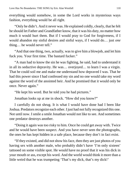everything would somehow, in some the Lord works in mysterious ways fashion, everything would be all right.

"Only he didn't. And it never was. He explained coldly, clearly, that he felt he should let Father and Grandfather know, that it was his duty, no matter how much it would hurt them. But if I would pray to God for forgiveness, if I would abandon my sinful desires and sinful ways, if I would do… just *one* thing… he would never tell."

"And that one thing, two, actually, was to give him a blowjob, and let him fuck you. Your first time. The bastard fucker."

"A man had to know the sin he was fighting, he said, had to understand it in all its seductive depravity. He was… overjoyed… to learn I was a virgin. That he could soil me and make me understand how depraved I was. That he had this power since I had confessed my sin and no one would take my word against the word of the anointed heir. And he promised that it would only be once. Never again."

"He kept his word. But he told you he had pictures."

Jonathan looks up at me in shock. "How did you know?"

I carefully do not shrug. It is what I would have done had I been like Joshua. Predators recognize each other. I just had not fully recognized this one. Not until now. I smile a smile Jonathan would not like to see. And sometimes one predator destroys another.

"Doing it again was too risky to him. Once he could get away with. Twice and he would have been suspect. And you have never seen the photographs, the ones he has kept hidden in a safe place, because they don't in fact exist.

"If they existed, and did not show his face, then they are just photos of you having sex with another male, who probably didn't have 'I'm only sixteen' tattooed on some visible spot. He would have no proof that it was his dick in your mouth or ass, except his word. And the world would think it more than a little weird that he was trumpeting 'That's my dick, that's my dick!'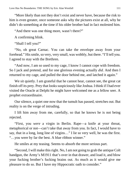"More likely than not they don't exist and never have, because the risk to him is even greater, once someone asks why the pictures exist at all, why he didn't do something at the time if his older brother had in fact molested him.

"And there was one thing more, wasn't there?"

A confirming blink.

"Shall I tell you?"

"No, oh great Carnac. You can take the envelope away from your forehead." His smile, so very, very small, was wobbly, but there. "I'll tell you. I agreed to stay with the Brethren.

"And now, I am so used to my cage, I know I cannot cope with freedom. So I jack and pretend, and for one glorious evening actually *did*. And then I returned to my cage, and pulled the door behind me, and latched it again."

We sit quietly. I am grateful that he cannot hear, cannot see, the great cat finish off its prey. Prey that looks suspiciously like Joshua. I think if I had ever visited the Oracle at Delphi he might have welcomed me as a fellow seer. A prophet extraordinaire.

Our silence, a quiet one now that the tumult has passed, stretches out. But reality is on the verge of intruding.

I lift him away from me, carefully, so that he knows he is not being rejected.

"First, you *were* a virgin in Berlin. Rape—a knife at your throat, metaphorical or not—can't take that away from you. In fact, I would have to say, that in a long, long line of virgins…" I lie so very well, he was the first. "…you were by far the best. A blue ribbon winner."

He smiles at my teasing. Seems to absorb the more serious part.

"Second, I will make this right. No, I am not going to grab the antique Colt handgun, the Army's M1911 that's over in that drawer, and load it, and blow your fucking brother's fucking brains out. As much as it would give me pleasure to do so. But I have my Hippocratic oath to consider."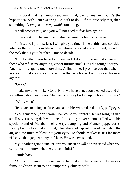It is good that he cannot read my mind, cannot realize that it's the hypocritical oath I am swearing. An oath to do… if not precisely that, then something. A *long*, and *very painful* something.

"I will protect you, and you will not need to fear him again."

I do not ask him to trust me on this because his fear is too great.

"Third, and I promise last, I will give you time. Time to think and consider whether the rest of your life will be cabined, cribbed and confined, bound to the rock that is your brother. Time to decide.

"But Jonathan, you have to understand. I do not give second chances to those who refuse me anything, vast or infinitesimal. But I did tonight, for you. And I will try again, one more time. A final time. I promise you that when I ask you to make a choice, that will be the last choice. I will not do this ever again."

"Okay."

I make my tone brisk. "Good. Now we have to get you cleaned up, and do something about your eyes. Michael is terribly broken up by his clumsiness."

"Wh… what?"

He is back to being confused and adorable, with red, red, puffy, puffy eyes.

"You remember, don't you? How could you forget? He was bringing in a small silver serving dish with one of those tiny silver spoons, filled with his special blend of Malabar, Tellicherry, Lampong and Muntak peppercorns, freshly but not too finely ground, when the idiot tripped, tossed the dish in the air, and the mixture blew into your eyes. He should market it. It's far more effective than pepper spray or Mace. He was devastated."

My Jonathan grins at me. "Don't you mean he *will* be devastated when you call to let him know what he did last night?"

I smile back.

"And you'll owe him even more for making the owner of the worldfamous White's seem to be a temporarily clumsy oaf."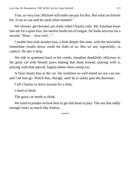True, so very true. Michael will make me pay for this. But what are friends for, if not to use and be used when needed?

We shower, get dressed, are ready when Charles calls. My Jonathan leans into me for a quiet kiss, the merest modicum of tongue. He looks nervous for a second. "How… how will…"

I soothe him with another kiss, a little deeper this time, with the inevitable immediate results down south for both of us. But we are, regretfully, in control. He lets it drop.

We ride in quietness back to his condo, Jonathan thankfully oblivious to the great cat with bloody paws batting that head around, playing with it, playing with that special, hugely-better-than-catnip toy.

A final chaste kiss in the car, the windows so well-tinted no one can see, and I let him go. Watch him, though, until he is safely past the doorman.

I tell Charles to drive around for a little.

I need to think.

The great cat needs to think.

We need to ponder on how best to get that head in play. The one that oddly enough looks so much like Joshua.

\*\*\*\*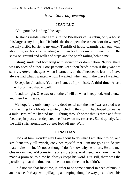## *Now—Saturday evening*

#### **JEAN-LUC**

"You gotta be kidding," he says.

He stands inside what I am sure the Priestleys call a cabin, only a house this large is anything but. He holds the door open, the screen door (in winter!) the only visible barrier to my entry. Tendrils of house-warmth reach out, wrap about me, each coil alternating with bands of moon-cold bouncing off the snow on ground and walk and steps and the porch railing behind me.

I shrug, smile, not bothering with seduction or domination. *Before*, there was no need of either. Poor peasants keep their heads down if they want to survive. *After*… ah, *after*, when I learned… all that I needed to learn… I have always had what I wanted, whom I wanted, when and in the ways I wanted.

Except for Jonathan. Yet here I am, as I promised. A third time. A last time. I promised that as well.

It ends tonight. One way or another. I will do what is required. And then… and then I will leave.

My hopefully only temporarily dead rental car, the one I was assured was just the thing for a Montana winter, including the storm I had hoped to beat, is a mile? two miles? behind me. Fighting through snow that is three and four feet deep in places has depleted me. I draw on my reserves. Stand quietly. Let the chill swirl around me but not feed off me. Wait.

#### **JONATHAN**

I look at him, wonder why I am about to do what I am about to do, and simultaneously tell myself, convince myself, that I am not going to do just that: invite him in. It's not as though I don't know why he is here. He told me. One more time; he'd come to me one more time. And then… no more time. He made a promise, told me he always keeps his word. But still, there was the possibility that this time would be that one time that he didn't.

I did not run that first time, in order to be some damsel in need of pursuit and rescue. Perhaps with pillaging and raping along the way, just to keep his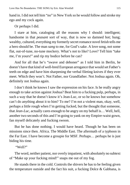hand in. I did not tell him "no" in New York so he would follow and stroke my ego and my cock again.

Or perhaps I did.

I stare at him, cataloging all the reasons why I should: intelligent; handsome in that *peasant* sort of way, that is now so damned hot; hung; wealthy, cultured, everything my formerly secret romance novel fetish tells me a hero should be. The man *sang* to me, for God's sake. A love song, not some flat, out-of-tune, no-tune mockery. What's not to like? Love? Tell him "take me, I'm yours!" and rip my bodice before he can?

And for all that he's "swave and deboner" as I told him in Berlin, he doesn't have that kind of well-bred European arrogance that would set Father's teeth on edge and have him sharpening the verbal fileting knives if they ever meet. Which they won't. Not Father, nor Grandfather. Not Joshua again. Oh, definitely not Joshua again.

I don't think he knows I saw the expression on his face. Is he really angry enough to take action against Joshua? Beat him to a fucking pulp, perhaps, in such a way that he doesn't know it's Jean-Luc, or so he knows but somehow can't do anything about it to him? To me? I'm not a violent man, okay, well, perhaps a little rough when I'm getting fucked, but the thought that someone, that *Jean-Luc*, actually cares enough to be angry on my behalf is… Well, hell, another two seconds of this and I'm going to yank on my Empire-waist gown, fan myself delicately and fucking swoon.

But he has done nothing. I would have heard. Though he has been on missions since then. Africa. The Middle East. The aftermath of a typhoon in the Far East. I have become a groupie for MSF. Perhaps… perhaps he is just biding his time.

"Well?"

The word, neither patient, nor overly impatient, with absolutely no subtext of "Make up your fucking mind!" snaps me out of my fog.

He stands there in the cold. Controls the shivers he has to be feeling given the temperature outside and the fact his suit, a fucking Dolce  $\&$  Gabbana, is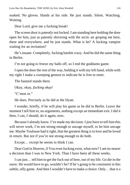soaked. No gloves. Hands at his side. He just stands. Silent. Watching. Waiting.

Dear Lord, give me a fucking break!

The screen door is patently not locked. I am standing here holding the door open for him, just as patently shivering with the arctic air groping me here, there and everywhere, and he just stands. What is he? A fucking vampire waiting for an invitation?

He's insane. Completely, fucking batshit crazy. And he did the same thing in Berlin.

I'm not going to freeze my balls off, so I end the goddamn game.

I open the door the rest of the way, holding it with my left hand, while with my right I make a sweeping gesture to indicate he is free to enter.

The bastard stands there.

Okay, okay, *fucking okay*!

"C'mon in."

He does. Precisely as he did at the Hyatt.

I wonder, briefly, if he will play his game as he did in Berlin. Leave the moment I tell him to, no arguments, nothing except an immediate exit. I did it then, I can, I should, do it again, now.

Because I already know. I've made my decision. I just have to tell him this will never work, I'm not strong enough to uncage myself, to let him uncage me. Maybe Toulouse had it right, that the greatest thing *is*to love and be loved in return. But not if you're not strong enough to do both.

Except… except he seems to think I can.

Dear God in Heaven, if You even fucking exist, what now? I am no nearer a decision than I was in New York. Than I have been all these weeks.

I can just… tell him to get the fuck out of here, out of my life. Go die in the snow. He would have to go, wouldn't he? If he's going to be consistent in this subtle, silly game. And then I wouldn't have to make a choice. Only… that *is* a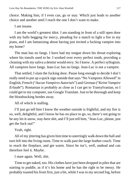choice. Making him, if I even can, go or stay. Which just leads to another choice and another until I reach the one I don't want to make.

I am insane.

I am the world's greatest idiot. I am standing in front of a still open door with my balls begging for mercy, pleading for a match to light a fire in my jeans, and I am fantasizing about having just invited a fucking vampire into my home?

The man has no fangs. I have had my tongue down his throat exploring where his tonsils used to be. I worked over every perfect tooth, providing a cleaning with my saliva a dentist would envy. So I know. A perfect syllogism. All vampires have fangs. Jean-Luc has no fangs. Jean-Luc is not a vampire.

That settled, I slam the fucking door. Pause long enough to decide I don't really need to put up a quick sign outside that says "No Vampires Allowed" in English, French ("*Aucun Vampires Autorisés*") and German ("*Keine Vampire Erlaubt*"). Romanian is probably as close as I can get to Transylvanian, so I could get to my computer, use Google Translate. Just to be thorough and keep the bloodsucking hordes away.

All of which is stalling.

I'll just go tell him I know the weather outside is frightful, and my fire is so, well, delightful, and I know he has no place to go, so, there's not going to be any let-it-snow, stay-here shit, and I'll just tell him, "Jean-Luc, please, just get the fuck out!"

Yeah, right.

All of my jittering has given him time to unerringly walk down the hall and turn left into the living room. Time to walk past the large leather couch. Time to reach the fireplace, and get warm. Since he isn't, well, undead and can therefore feel it. Maybe.

I stare again. Well, shit.

Time to get naked, too. His clothes have just been dropped in piles that are starting to puddle, as if it's his home and he has the right to be messy. He probably toasted his front first, just a bit, while I was in my second fog, before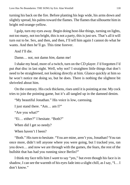turning his back on the fire. Before planting his legs wide, his arms down and slightly spread, his palms toward the flames. The flames that silhouette him in bright red-orange-yellow.

I gulp, turn my eyes away. Begin doing host-like things, turning on lights, not too many, not too bright, this is not a party, this is just sex. That's all it will turn out to be. Sex, and then, and then, I'll tell him again I cannot do what he wants. And then he'll go. This time forever.

And I'll die.

Damn… not, not damn *him*, damn me!

I shake my head, more of a twitch, turn on the CD player. I'd forgotten I'd put *that* disc in last night. Well, why not? I straighten little things that don't need to be straightened, not looking directly at him. Glance quickly at him so he won't notice me doing so, but he does. There is nothing the slightest bit shriveled about him.

On the contrary. His cock thickens, rises until it is pointing at me. My cock tries to join the pointing game, but it's all tangled up in the damned denim.

"My beautiful Jonathan." His voice is low, caressing.

I just stand there. "Am… am I?"

"Are you what?"

"Ei… either?" I hesitate. "Both?"

When did I get so needy?

When haven't I been?

"Both." His turn to hesitate. "You are mine, aren't you, Jonathan? You ran once more, didn't tell anyone where you were going, but I tracked you, ran you down… and now we are through with the games, the fears, the rest of the bullshit that has had you running since Berlin?"

I think my face tells him I *want* to say "yes," but even though his face is in shadow, I can see the warmth of his eyes fade into a slight chill, as I say, "I… I don't know."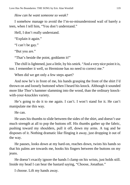*How can he want someone so weak?*

I somehow manage to avoid the I'm-so-misunderstood wail of barely a teen, when I tell him, "You don't understand."

Hell, I don't really understand.

"Explain it again."

"I can't be gay."

"But you are."

"That's beside the point, goddamn it!"

The chill is lightened, just a little, by his smirk. "And a very nice point it is, too. I remember it well, so Hermione has no need to correct me."

When did we get only a few steps apart?

And now he's in front of me, his hands grasping the front of the shirt I'd thrown on and loosely buttoned when I heard his knock. Although it sounded more like Thor's hammer slamming into the wood, than the ordinary knockwith-your-knuckles variety.

He's going to do it to me again. I can't. I won't stand for it. He can't manipulate me this way.

He can.

He uses his thumbs to slide between the sides of the shirt, and doesn't use much strength at all to pop the buttons off. His thumbs gather up the fabric, pushing toward my shoulders, pull it off, down my arms. A tug and he disposes of it. Nothing dramatic like flinging it away, just dropping it out of the way.

He pauses, looks down at my hard-on, reaches down, twists his hands so that his palms are towards me, hooks his fingers between the buttons on my jeans.

He doesn't exactly ignore the hands I clamp on his wrists, just holds still. Inside my head I can hear the bastard saying, "Choose, Jonathan."

I choose. Lift my hands away.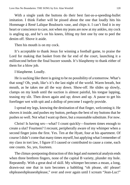With a single yank the buttons do their best fast-as-a-speeding-bullet imitation. I think Father will be pissed about the one that loudly hits his Hommage á René Lalique Boulouris vase, and chips it. I can't find it in my heart or conscience to care, not when my jeans are now at my ankles, my cock is angling up, and he's on his knees, lifting my feet one by one to peel the denim off. Shove it aside.

Then his mouth is on my cock.

It's acceptable to thank Jesus for winning a football game, to praise the Lord for making that basket from the far end of the court, launching it a millisecond before the final buzzer sounds. It's blasphemy to thank either of them for a blow job.

I blaspheme. Loudly.

He is sucking like there is going to be no possibility of a tomorrow. What's that song? Oh, yeah, like's it's the last night of the world. Warm breath, hot mouth, as he takes me all the way down. Show-off. He slides up slowly, clamps on my knob until the suction is almost painful, his tongue lapping, teasing my slit. Then down again and up; down and up. A pause to get his forefinger wet with spit and a dollop of precome I eagerly provide.

I spread my legs, knowing the destination of that finger, welcoming it. He shoves it inside, and pushes my button, perhaps the best of my buttons that he pushes so well. Not what I want up there, but a reasonable substitute. For now.

Christ! Is having sex—what? I count quickly—fourteen times enough to create a slut? Fourteen? I recount, peripherally aware of my whimper when a second finger joins the first. Yes. Ten at the Hyatt, four at his apartment. Of course I didn't come that many times myself, but applying what I remember of my class in tort law, I figure if I caused or contributed to cause a come, each one counts. So, yes, fourteen.

The climax-postponing distraction of this legal and numerical analysis ends when three brethren fingers, none of the capital B variety, plunder my hole. Repeatedly. With a great deal of skill. My whimper becomes a moan, a long, drawn-out one that in turn becomes a babbling "oh please, oh! please! ohpleaseohpleaseohplease," over and over again until I scream "Jean-Luc!"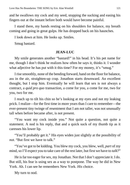and he swallows my cock and my seed, stopping the sucking and easing his fingers out at the instant before both would have become painful.

I stand there, my hands resting on his shoulders for balance, my breath coming and going in great gulps. He has dropped back on his haunches.

I look down at him. He looks up. Smiles.

Smug bastard.

#### **JEAN-LUC**

My smile generates another "bastard!" in his head. It's his pet name for me, though I don't think he realizes how often he says it, thinks it. I wonder what adjective he has put with it this time? For my money, it's "smug."

I rise smoothly, none of the bending forward, hand on the floor for balance, ass in the air, straighten-up crap. Jonathon starts downward. An excellent thought, but I stop him. Eventually he will learn that sex is not always a contract, a *quid pro quo* transaction, a come for you, a come for me, two for you, two for me.

I reach up to tilt his chin so he's looking at my eyes and not my leaking prick. I realize—for the first time in more years than I care to remember—the ever-present tiny twinge of resentment that I am not taller, was not unusually tall when before became after, is not present.

"You want my cock inside you." Not quite a question, not quite a statement. A nod is his reply, that and a quick suck of my thumb tip as it caresses his lower lip.

"You'll probably get it." His eyes widen just slightly at the possibility of *not*. "But first we have to talk."

"You've got to be kidding. You blew my cock, you blew, well, *part* of my mind, so I'll expect you to take care of the rest later, but first we have to *talk*?"

He is far too eager for sex, my Jonathan. Not that I don't appreciate it. I do. But still, his fear is using sex as a way to postpone. The way he did in New York. Ah. I can see he remembers New York. *His* choice.

My turn to nod.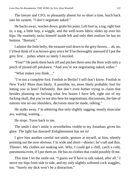The lawyer and CFO, so pleasantly absent for so short a time, leach back into his system. "I don't negotiate naked."

He backs away, reaches down, grabs his jeans. Left foot in, a tug, right foot in, a tug, a little hop, a wiggle, and the well-worn fabric slides up over his hips. He routinely tucks himself inside left and only then realizes he has no buttons. "Bastard."

I admire the little belly, the treasure trail down to the grey-brown… ah, no, I'd best think of it as brown-grey since he'll be thoroughly annoyed if I put the grey first… pubes where so lately I nuzzled.

"Fine!" He peels them back off and pitches them onto the floor with only a pinch of pissed-off petulance. "And you're not negotiating naked, either."

"What makes you think…"

"I'm not a complete fool. Foolish in Berlin? I still don't know. Foolish in New York? More than likely. A possible, no, more likely probable, fool for letting you in here? Definitely. But don't even bother trying to claim that besides planning on fucking what few brains I have left, right out of my fucking skull, that you're not also here for negotiations, discussions, the fate of nations rest on our shoulders, decisions must be made, talking."

He stalks away. I'm admiring that only slightly sagging, mostly muscular ass, waiting, waiting…

He stops. Turns back to me.

The smile I don't smile is nevertheless visible to my Jonathan, given his glare. The light has dawned! Enlightenment has set in!

I give him another careful not-smile, gesture at myself, at him, silently pointing out the now obvious. I'm wide and short—short*er*; he's tall and thin. Thin*ner*. My clothes are soaking wet. Why, I could get a chill, catch a cold, pneumonia even, if I put them on. He has no clothes that could possibly fit me.

This time I let the smile out. "I guess we'll have to talk naked, after all." I move my hips from side to side, and my only slightly softened cock waggles, too. "Surely my dick won't be a distraction."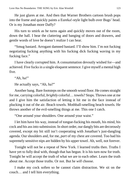He just glares at me. And then that Warner Brothers cartoon brush pops into the frame and quickly paints a Eureka!-style light bulb over Bugs' head. Or is my Jonathan more Daffy?

His turn to smirk as he turns again and quickly moves out of the room, down the hall. I hear the clattering and banging of doors and drawers, and gentle words of love he doesn't realize I can hear.

"Smug bastard. Arrogant damned bastard. I'll show him. I'm not fucking negotiating fucking anything with his fucking dick fucking waving in my fucking face."

I have clearly corrupted him. A consummation devoutly wished for—and achieved. Five fucks in a single eloquent sentence. I give myself a mental high five.

"Ah, ha!"

He actually says, "Ah, ha?"

Another bang. Bare footsteps on the smooth wood floor. He comes straight for me, carrying colorful, *brightly* colorful… towels? Stops. Throws one at me and I give him the satisfaction of letting it hit me in the face instead of plucking it out of the air. Beach towels. Mothball-smelling beach towels. He throws another of the evil-smelling things at me. This one I catch.

"One around your shoulders. One around your waist."

I let him have his way, instead of tongue-fucking his mouth, his mind, his cock and his ass into submission. In short order, our dangly bits are decorously covered, except my bit still isn't cooperating with Jonathan's just-dangling agenda. Our shoulders and, for me, *part* of my chest are covered. Too bad his supremely sensitive nips are hidden by his upper towel. Ah, well, not forever.

Tonight will not be a repeat of New York. I learned truths then. Truths I have yet to fully deal with, though that has begun. It is his turn now for truth. Tonight he will accept the truth of what we are to each other. Learn the truth about me. Accept those truths. Or not. But he *will* choose.

I make my cock soften so he cannot claim distraction. We sit on the couch… and I tell him everything.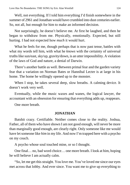Well, not everything. If I told him everything I'd finish somewhere in the summer of 2961 and Jonathan would have crumbled into dust centuries earlier. So, not all, but enough for him to make an informed decision.

Not surprisingly, he doesn't believe me. At first he laughed, and then he began to withdraw from me. Physically, emotionally. Expected, but still hurting. I had not expected how *much* it would hurt.

What he feels for me, though perhaps that is now past tense, battles with what my words tell him, with what he *knows* with the certainty of universal truths like sun/east, sky/up, gravity/down, is an utter impossibility. A violation of the laws of God and nature, a denial of Darwin.

There's another battle as well. Between primal fear and the garden variety fear that a variation on Norman Bates or Hannibal Lecter is at large in his home. The home he willingly opened up to the monster.

When I stop, he takes several deep, slow breaths. A calming device. It doesn't work very well.

Eventually, while the music waxes and wanes, the logical lawyer, the accountant with an obsession for ensuring that everything adds up, reappears.

One more breath.

### **JONATHAN**

Batshit crazy. Certifiable. Neither comes close to the reality. Joshua, Father, all of them who have shown I am not good enough, will never be more than marginally good enough, are clearly right. Only someone like me would have let someone like *him* in my life. And now I'm trapped here with a psycho on my couch.

A psycho whose soul touched mine, or so I thought.

One final… no, bad word choice… one more breath. I look at him, hoping he will believe I am actually calm.

"So, let me get this straight. You love me. You've loved me since our eyes met across that lobby. And ever since. You want me to give up everything to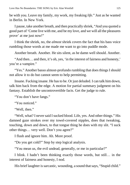be with you. Leave my family, my work, my freaking *life.*" Just as he wanted in Berlin. In New York.

I pause, take another breath, and then practically shriek, "And you quoted a good part of 'Come live with me, and be my love, and we will all the pleasures prove' at me just now!"

I think the shriek, no, the *almost* shriek covers the fact that his bass voice rumbling those words at me made me want to go into puddle mode.

Another breath. Another. He sits silent, as he damn well should. Another.

"And then… and then, it's oh, yes, 'in the interest of fairness and honesty,' you're a vampire."

"Yes." Another basso almost-profundo rumbling that does things I should not allow it to do but cannot seem to help permitting.

Insane. Fucking insane. He has to be. Or just deluded. I can talk him down, talk him back from the edge. A motion for partial summary judgment on his fantasy. Establish the uncontrovertible facts. Get the judge to rule.

"You don't have fangs."

"You noticed."

"Well, then."

"Well, what? I never said I sucked blood. Life, yes. And other things." His damned gaze strokes over my towel-covered nipples, does that tweaking, touching, down and down, to that tongue thing he does with my slit. "I suck other things… very well. Don't you agree?"

I flush and ignore him. Ah. More proof.

"Do you get cold?" Step by step logical analysis.

"You mean us, the evil undead, generally, or me in particular?"

I blink. I hadn't been thinking exactly those words, but still… in the interest of fairness and honesty, I nod.

His brief laughter is sarcastic, wounding, a sound that says, "Stupid child."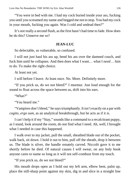"You were in bed with me. I had my cock buried inside your ass, fucking you until you screamed my name and begged me not to stop. You had my cock in your mouth, fucking you again. Was I cold and undead then?"

It's not really a second flush, as the first hasn't had time to fade. How does he do this? Unnerve me so?

### **JEAN-LUC**

So delectable, so vulnerable, so confused.

I will not just haul his ass up, bend his ass over the damned couch, and fuck him until he collapses. And then does what I want… what I *need*… him to do. To make the right choice.

At least not yet.

I will before I leave. At least once. No. More. Definitely more.

"If you prick us, do we not bleed?" I murmur. Just loud enough for the sound to float across the space between us, drift into his ears.

"What?"

"You heard me."

"Vampires don't bleed," he says triumphantly. It isn't exactly on a par with *cogito, ergo sum*, as an analytical breakthrough, but he acts as if it is.

I can't help it if my "Stay," sounds like a command to a recalcitrant puppy, as I stand, look around the room, do not find what I need. Ah, well, I brought what I needed in case this happened.

I walk over to my jacket, pull the small, sheathed blade out of the pocket, walk back, sit down. I hold it out to him, pull off the sheath, drop it between us. The blade is silver, the handle ornately carved. Niccolò gave it to me shortly before he died. Of natural causes I will swear, on any holy book anyone cares to name so long as it will not self-combust from my touch.

"If you prick us, do we not bleed?"

His mouth drops open as I hold out my left arm, elbow bent, palm up, place the still-sharp point against my skin, dig in and slice in a straight line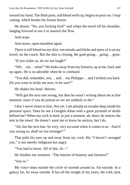toward my hand. The flesh parts, and blood wells up, begins to pour out. I stop cutting, which breaks his frozen horror.

He shouts, "No, you fucking fool!" and whips the towel off his shoulder, lunging forward to use it to staunch the flow.

And stops.

And stares, open-mouthed again.

There is still blood on my skin, wet streaks and blobs and spots of it on my towel, on the couch. But the skin is closing, the gash going… going… gone.

"If you tickle us, do we not laugh?"

"Wh… wh… what?" He looks away from my forearm, up at me, back and up again. He is so adorable when he is confused.

"You did, remember, you… and… my Philippe… and I tickled you back. Do you want to tickle me now, to be sure?"

He shakes his head. Shivers.

"Will got the next one wrong, but then he wasn't writing about me at that moment, since if you do poison us we are unlikely to die."

I don't move closer to him. Not yet. I am already an invader deep inside his personal space. Does he see a Genghis Khan with a great pyramid of skulls behind me? When my cock is hard, in just a moment, ah, there, he notices the tent in the towel. He doesn't want me to know he notices, but I do.

"Ah, but the next line. So very, very accurate when it comes to us. 'And if you wrong us, shall we not revenge?'"

That pulls his eyes up and away from my cock. His "*I* haven't wronged *you*," is not merely indignant but angry.

"You had to know. All of this. In—"

He finishes my sentence. "The interest of honesty and fairness?"

"Just so."

My voice steps outside the circle of warmth around us. Far outside. In a galaxy far, far away outside. It has all the weight of my years, the cold, dark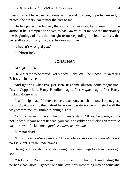mass of what I have been and done, will be and do again, to protect myself, to protect the others. No matter the cost to me.

He has pulled the lawyer, the astute businessman, back around him, as armor. If he is tempted to shiver, to back away, to let me see the uncertainty, the beginnings of fear, the outright terror depending on circumstances, that generally accompany my tone, he does not give in.

"*I* haven't wronged *you*."

Stubborn fuck.

## **JONATHAN**

Arrogant fuck.

He *wants* me to be afraid. Not bloody likely. Well, hell, now I'm swearing Brit-style in my head.

And ignoring what I've just seen. It's some illusion, some magic trick. David Copperfield, Harry Houdini magic. Not *magic* magic. Not Harryfucking-Hogwarts.

I can't help myself. I move closer, reach out, snatch the towel open, grasp his prick. Apparently the undead have a temperature after all. I stroke all the way toward me, my thumb rubbing his slit.

"You're warm." I have to help him understand. "If you're warm, you're not undead. If you're not undead, you can't possibly be a fucking vampire. A vampire who fucked me. *Quod erat demonstrandum*."

"I'm not dead."

"But you say you're a vampire." The whole *you thorough-going whack-job* part is silent. But he understands.

He sighs. The sigh of a father having to explain things to a less-than-bright son.

"Stoker and Rice have much to answer for. Though I am finding that perhaps that whole Argeneau one true love, soul mate thing may be somewhat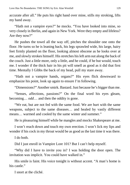accurate after all." He puts his right hand over mine, stills my stroking, lifts my hand away.

"Hath not a vampire eyes?" he mocks. "You have looked into mine, so very closely in Berlin, and again in New York. Were they empty and lifeless? Are they now?"

He pushes the towel all the way off, pitches the shoulder one onto the floor. He turns so he is leaning back, his legs sprawled wide, his large, hairy feet firmly planted on the floor, looking almost obscene as he looks over at me, and slowly strokes himself. His stretches his left arm out along the back of the couch. Just a little more, only a little, and he could, if he but would, touch me. I wonder if the thick hair in his pit will smell as good as it did that first time. Mentally I Gibbs the back of my head, pull my stare away.

"Hath not a vampire hands, organs?" His eyes flick downward to emphasize his point, look up again to ensure I'm following.

"Dimensions?" Another smirk. Bastard. Just because he's bigger than me.

"Senses, affections, passions?" On the final word his eyes gleam, becoming… *odd*… and then the oddity is gone.

"We eat, but are not fed with the same food. We are hurt with the same weapons, subject to the same diseases… and healed by vastly different means… warmed and cooled by the same winter and summer."

He is pleasuring himself while he mangles and mocks Shakespeare at me.

I won't reach down and touch my own erection. I won't lick my lips and wonder if his cock in my throat would be as good as the last time it was there.

I do both.

Did I just enroll in Vampire Lore 101? But I can't help myself.

"Why did I have to invite you in? I was holding the door open. The invitation was implicit. You could have walked in."

His smile is faint. His voice tonight is without accent. "A man's home is his castle."

I snort at the cliché.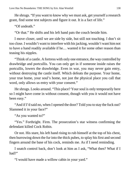He shrugs. "If you want to know why we must ask, get yourself a research grant, find some test subjects and figure it out. It is a fact of life."

"Of undeath."

"Or that." He shifts and his left hand pats the couch beside him.

I move closer, until we are side by side, but still not touching. I don't sit too close. I wouldn't want to interfere with his jacking, wouldn't want him not to have a hand readily available if he… wanted it for some other reason than teasing his nipples.

"Think of a castle. A fortress with only one entrance, the way controlled by drawbridge and portcullis. You can only get in if someone inside raises the portcullis, lowers the drawbridge. Even in war, you may never gain entry, without destroying the castle itself. Which defeats the purpose. Your home, your true home, your soul's home, not just the physical place you call that word, only allows us entry with your consent."

He shrugs. Looks around. "This place? Your soul is only temporarily here so I might have come in without consent, though with you it would not have been easy."

"And if I'd said no, when I opened the door? Told you to stay the fuck out? Slammed it in your face?"

"As you wanted to?"

"Yes." Forthright. Firm. The prosecution's star witness confirming the defendant killed Cock Robin.

Or not. His stare, his left hand rising to rub himself at the top of his chest, then burrowing down the fur into the thick pubes, to splay his first and second fingers around the base of his cock, reminds me. As if I need reminding.

I snatch control back, don't look at him as I ask, "What then? What if I had?"

"I would have made a willow cabin in your yard."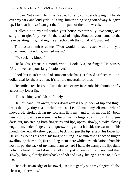I groan. Not again. He is inexorable. I briefly consider clapping my hands over my ears, and loudly "la-la-la-ing" him in a sing-song sort of way, but give up. I look at him so I can get the full impact of the train wreck.

"Called out to my soul within your house. Written silly love songs, and sung them gleefully even in the dead of night. Shouted your name to the reverberating hills, making the air echo with the sound of 'Jonathan!'"

The bastard smirks at me. "You wouldn't have rested well until you surrendered, pitied me, invited me in."

"To suck my blood."

He laughs. Opens his mouth wide. "Look, Ma, no fangs." He pauses. "Aren't we past your fang fixation yet?"

I nod, but it isn't the nod of someone who has just closed a fifteen-milliondollar deal for the Brethren. It's far too uncertain for that.

He smiles, reaches out. Cups the side of my face, rubs his thumb briefly across my lower lip.

"But sucking you? Oh, definitely."

His left hand lifts away, drops down across the joinder of hip and thigh, leaps the tiny, tiny chasm which was all I could make myself make when I moved. He strokes down my forearm, lifts my hand to his mouth. My body twists to follow the movement as he brings my fingers to his lips. His tongue darts out, moistening both fingertips and lips, opens, slowly, slowly, slowly engulfs my index finger, his tongue swirling about it inside the warmth of his mouth, then equally slowly pulling back until just the tip rests on his lower lip. He smiles, bends his head, his tongue pulling up an unresisting second finger, swallowing them both, just holding them there while tiny exhalations from his nostrils pat the back of my hand. I am so hard I hurt. He clamps his lips tight, bobs his head up and down rapidly for just a couple of strokes, and then slowly, slowly, slowly slides back and off and away, lifting his head to look at me.

He picks up an edge of his towel, uses it to gently wipe my fingers. "I also clean up afterwards."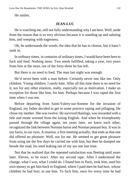He smiles.

### **JEAN-LUC**

He is watching me, still not fully understanding why I am here. Well, aside from the reason that is so very obvious because it is standing up and saluting him, and weeping with eagerness.

Oh, he understands the words, the idea that he has to choose, but it hasn't sunk in.

In ordinary times, in centuries of ordinary times, I would have been here to fuck and feed. Nothing more. Two needs fulfilled, taking a year, two years from him at the most, out of the forty-three he has left.

But there is no need to feed. The man last night was enough.

He'd never been with a man before. Certainly never one like me. Only children. Young children. I rarely hate. After all this time there is no need for it, nor for any other emotion, really, especially not as motivation. I make an exception for those like him, for him. Perhaps because I was raped the first time when I was ten.

Before departing from Saint-Valery-sur-Somme for the invasion of England, my father decided to get in some practice raping and pillaging. He chose my mother. She was twelve. He survived Hastings, was rewarded with a title and estate wrested from the losing English. And when he triumphantly passed through the village again, ten years later, we knew each other, recognized the link between Norman baron and Norman peasant boy. It was in our faces, in our eyes. A reunion, a first meeting actually, that ends as that one did offered no pleasure. Well, not for me. *He* seemed to get great pleasure from using me the few days he carried me with him, but then he dumped me beside the road, his seed leaking out of my ass one last time.

Not that he realized that the repeated satisfaction was fleeting until years later. Eleven, to be exact. After my second rape. After I understood the change, what I was, what I could do. I found him in Paris, took him, used his own money to get him back to England, where I paid men he had hurt, whose children he had hurt, to use him. To fuck him, once for every time he had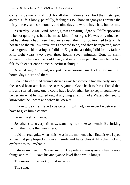come inside me, a final fuck for all the children since. And then I stripped away his life. Slowly, painfully, feeling his soul howl in agony as I drained the thirty-three years, six months, and nine days he would have had, but for me.

Yesterday. Edgar. Kind, gentle, glasses-wearing Edgar, skillfully appearing to be not quite right, but a harmless kind of not-right. He was only nineteen, but had already had three. Two were dead, the third too terrified to talk. He boasted to the "fellow-traveler" I appeared to be, and then he regretted, more than regretted, his sharing, as I did for Edgar the last thing I did for my father. Fifty-eight years, two days, three hours, seven minutes. Gone in shrill screaming where no one could hear, and in far more pain than my father had felt. With experience comes superior technique.

A satisfying, *full* meal, not just the occasional snack of a few minutes, hours, days, here and there.

I could have turned around, driven away, let someone find the body, mourn the so-sad heart attack in one so very young. Gone back to Paris. Ended that life and started a new one. I could have let Jonathan be. Except I could never be certain what he figured out, if anything at all. I had a Watergate need to know what he knows and when he knew it.

I have to be sure. Have to be certain I will not, can never be betrayed. I have to give him a chance.

Give myself a chance.

Jonathan sits so very still now, watching me stroke so intently. But lurking behind the lust is the uneasiness.

I did not recognize what "this" was in the moment when first his eye I eyed across that people-packed space. I smile and he catches it, lifts that fucking eyebrow to ask "What?"

I shake my head in "Never mind." He pretends annoyance when I quote things at him. I'll leave his annoyance level flat a while longer.

The music in the background intrudes.

The song.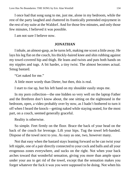I once had that song sung to me, just me, alone in my bedroom, while the rest of the party laughed and chattered its frantically pretended enjoyment in the rest of my suite at the Waldorf. And for those few minutes, and only those few minutes, I believed it was possible.

I am not sure I believe now.

## **JONATHAN**

I inhale, an almost-gasp, as he turns left, making me scoot a little away. He lays his leg flat on the couch, his thickly-haired knee and shin rubbing against my towel-covered hip and thigh. He leans and twists and puts both hands on my nipples and tugs. A bit harder, a tiny twist. The almost becomes actual. Smug bastard.

"Get naked for me."

A little more wordy than Dieter, but then, this is real.

I start to rise up, but his left hand on my shoulder easily stops me.

In my porn collection—the one hidden so very well on the laptop Father and the Brethren don't know about, the one sitting on the nightstand in the bedroom, open, a video probably over by now, as I hadn't bothered to turn it off when I heard the knock—getting naked while staying seated, for the most part, on a couch, seemed generally graceful.

Reality is otherwise.

So simple. Feet firmly on the floor. Brace the back of your head on the back of the couch for leverage. Lift your hips. Tug the towel left-handed. Dispose of the towel next to you. As easy as one, two, however many.

Not that easy when the bastard stays leaning forward so he can twist your left nipple, one of a pair directly connected to your cock and balls and all your erogenous zones everywhere, and sucks on the right. Not when your back arches toward that wonderful sensation, giving you more than ample space under your ass to get rid of the towel, except that the sensation makes you forget whatever the fuck it was you were supposed to be doing. Not when his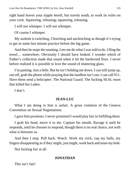right hand leaves your nipple bereft, but travels south, to work its wiles on your cock. Squeezing, releasing; squeezing, releasing.

I will not whimper. I will not whimper.

Of course I whimper.

My asshole is twitching. Clenching and unclenching as though it's trying to get in some last minute practice before the big game.

And then he stops the taunting. Lets me do what I was told to do. I fling the towel… somewhere. Obviously I should have looked. I wonder which of Father's collection made that sound when it hit the hardwood floor. I never before realized it is possible to love the sound of shattering glass.

I'm panting. Just a little. But he isn't holding me down. I can still jump up, run off, grab the phone while praying that the landline isn't out. I can call 911. Have them send a helicopter. The National Guard. The fucking SEAL team that killed bin Laden.

I don't.

## **JEAN-LUC**

What I am doing to him is unfair. A gross violation of the Geneva Convention on Sexual Negotiations.

I gave him promises. I never promised I would play fair in fulfilling them.

I grab his head, move it to me. Capture his mouth. Ravage it until he responds, until he chooses to respond, though there is no real choice, not with what is between us.

And then I stop. Pull back. Watch. Work my cock, cup my balls, my fingers disappearing as if they might, just might, work back and tease my hole.

Not fucking fair at all.

# **JONATHAN**

This isn't fair!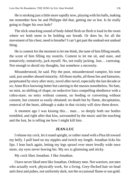He is stroking just a little more rapidly now, playing with his balls, making me remember how he and Philippe did that, getting me so hot. Is he really going to finger his own hole?

The slick smacking sound of body-lubed flesh on flesh is loud in the room where we both seem to be holding our breath. Or does he, for all the movement of his chest, need to breathe? I can't get past the undead-not undead thing.

He is content for the moment to let me think, the taste of him filling mouth, the scent of him filling my nostrils. Content to let me sit, and stare, and tentatively, tentatively, jack myself. No, not really jacking. Just… caressing. Not enough to derail my thoughts, but somehow a necessity.

Misunderstood, he said. Pity the poor, misunderstood vampire, his tone said, just another abused minority. All those myths, all those lies and fantasies, perpetuated by story after story, novel after novel, especially the last decade or so; Anne Rice knowing better but catering to the masses nonetheless. No bats, no mist, no shifting of shape; no seductive liars compelling obedience with a cobra-stare; no entry without consent, no feeding or converting without consent, but consent so easily obtained; no death but by flame, decapitation, removal of the heart, although a stake in that vicinity will slow them down.

A moment ago I was kissing this… man… so deeply both our bodies trembled, and right after that kiss, surrounded by the music and the touching and the lust, he is telling me how I might kill him.

### **JEAN-LUC**

I release my cock, let it stand upright, or rather stand with a Pisa tilt toward my belly. I pull hard on my nipples and twitch my length. Jonathan licks his lips. I lean back again, letting my legs sprawl ever more lewdly wide once more, my eyes never leaving his. My sex is glistening and sticky.

My cock likes Jonathan. I like Jonathan.

I have never liked men like Jonathan. Ordinary men. Not warriors, not men who actually *work*, physically work, for a living. Grey-flecked hair on head and chest and pubes, not uniformly dark, not the occasional flame or sun gold.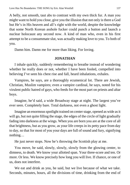A belly, not smooth, taut abs to contrast with my own thick fur. A man you might want to hold you close, give you the illusion that not only is there a God but He's in His heaven and all's right with the world, despite the knowledge that some North Korean asshole fucker could punch a button and launch a nuclear holocaust any second now. A kind of man who, even in his first attempt to be a consummate slut, was actually making love to you. To both of you.

Damn him. Damn me for more than liking. For loving.

### **JONATHAN**

I inhale quickly, suddenly remembering to breathe instead of wondering whether he really does or not, whether I have been fooled, compelled into believing I've seen his chest rise and fall, heard inhalations, exhales.

Vampires, he says, are a thoroughly ecumenical lot. There are Jewish, Christian, Muslim vampires; even a vampire cardinal, he says, noted for his virulent public hatred of gays, who feeds for the most part on priests and altar boys.

Imagine, he'd said, a wide Broadway stage at night. The largest you've ever seen. Completely bare. Total darkness, not even a ghost light.

Imagine an enormous spotlight trained on center stage, opened as wide as it will go, but not quite filling the stage, the edges of the circle of light gradually fading into darkness at the wings. When you are born you are at the core of all that brightness, but as you grow, as your life creeps in its petty pace from day to day, so that for most of you your days are full of sound and fury, signifying nothing…

He just never stops. Now he's throwing the Scottish play at me.

You move, he said, slowly, slowly, slowly from the glowing center, to dimness, to death. We know your allotted span. Your three-score and ten. Or more. Or less. We know precisely how long you will live. If chance, or one of us, does not interfere.

We eat and drink as you, he said, but we live because of what we take. Seconds, minutes, hours, all the divisions of time, drinking from the end of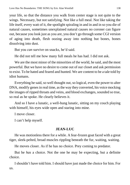your life, so that the distance you walk from center stage is not quite to the wings. Necessary, but not satisfying. Not like a full meal. Not like taking the life itself, every watt of it, the spotlight spiraling in and in and in so you die of natural causes, sometimes unexplained natural causes no coroner can figure out, because you look just as you are, you don't go through some CGI version of aging into death, flesh oozing away into nothing but bones, bones dissolving into dust.

But you *can* survive on snacks, he'd said.

He did not tell me how many full meals he has had. I did not ask.

We are the most minor of the minorities of the world, he said, and the most powerful. But we have no desire to come out of our closet and ask permission to exist. To be hated and feared and hunted. We are content to be a tale told by idiot humans.

Everything he said, so well thought out, so logical, even the power to alter DNA, modify genes in real time, as the way they converted, his voice mocking the images of ripped throats and veins, and blood exchanges, sounded so true, so real as he spoke. He clearly believes it.

And so I have a lunatic, a well-hung lunatic, sitting on my couch playing with himself, his eyes wide open and staring into mine.

I move closer.

I can't help myself.

## **JEAN-LUC**

He was motionless there for a while. A fear-frozen goat faced with a great tiger, sleek-pelted, broad muscles rippling beneath the fur, waiting, waiting.

He moves closer. As if he has no choice. Prey coming to predator.

But he *has* a choice. Not the one he may be expecting, but a definite choice.

I shouldn't have told him. I should have just made the choice for him. For us.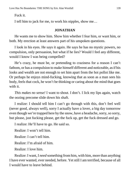Fuck it.

I tell him to jack for me, to work his nipples, show me…

### **JONATHAN**

He wants me to show him. Show him whether I fear him, or want him, or both. My erection at least answers part of his unspoken questions.

I look in his eyes. He says it again. He says he has no mystic powers, no compulsion, only persuasion, but what if he lies? Would I feel any different, would I know I was being compelled?

He's crazy, he must be, or pretending to craziness for a reason I can't fathom, or has a compulsion to make himself different and noticeable, as if his looks and wealth are not enough to set him apart from the hoi polloi like me. Or perhaps he enjoys mind-fucking, knowing that as soon as a man sees his body, feels that cock, he won't be thinking or caring about the mind that goes with it.

*This makes no sense!* I want to shout. I don't. I lick my lips again, watch the oozing precome slide down his shaft.

I realize: I should tell him I can't go through with this, don't feel well (never good, always well), sorry I actually have a lover, a big day tomorrow even though we're trapped here by the snow, have a headache, sorry, so sorry, but please, just fucking please, get the fuck up, get the fuck dressed and go.

I realize: He'll have to go. He said so.

Realize: I won't tell him.

Realize: I can't tell him.

Realize: I'm afraid of him.

Realize: I love him.

Realize: I want, I *need* something from him, with him, more than anything I have ever wanted, ever needed, before. Yet still I am terrified, because of all I would have to leave behind.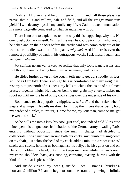Realize: If I give in and help him, go with him and "all those pleasures prove, that hills and valleys, dale and field, and all the craggy mountains yield," I will destroy myself, my family, my life. A Catholic excommunication is a mere bagatelle compared to what Grandfather will do.

There is no one to explain, to tell me why this is happening, why me. No one to ask. So I ask myself. With all the men he could pick from, who would be naked and on their backs before the credit card was completely out of his wallet, or his dick was out of his pants, *why me?* And if there is even the remotest possibility of truth in his outrageous words, I ask myself again, and yet again, *why me?*

My self has no answer. Except to realize that only fools want reasons, and fool though I am for loving him, I am wise enough not to ask.

He slides further down on the couch, tells me to get up, straddle his legs, sit. I do as I am told. There is no sign he's uncomfortable with my weight as I rest my butt just north of his knees, my balls touching the inside of his almost pressed-together thighs. He reaches behind me, grabs my cheeks, makes me scoot up until my the head of my cock slides over the underside of his own.

Both hands reach up, grab my nipples, twist *hard!* and then relax when I gasp and whimper. He pulls me down to him, by the fingers that expertly hold my hardened nipples, murmurs, "Come for me, my Jonathan, come on me, get me wet and slick."

As he pulls me into a kiss, his cool (just cool, not undead cold!) lips push mine open, his tongue does its imitation of the German army invading Paris, entering without opposition since the man in charge had decided to collaborate. I wrap my hand around both our cocks, my thumb pressing down on my shaft, just below the head of my cock, adding minute extra pressure as I stroke and stroke, holding us both against his belly. The kiss goes on and on. He is not holding my head, but still he keeps me there, while his hands roam my chest, shoulders, back, ass, rubbing, caressing, teasing, hurting with the kind of hurt that is pleasurable.

And inside (inside my head!), inside I see... strands—hundreds? thousands? millions? I cannot begin to count the strands—glowing in infinite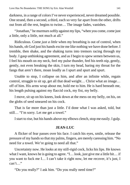darkness, in a range of colors I've never experienced, never dreamed possible. One strand, then a second, a third, each so very far apart from the other, drifts out from all the rest, begins to twine… The image fades, vanishes.

"Jonathan," he murmurs softly against my lips, "when you come, come just a little, only a little, not much at all."

Ridiculous. Come *just a little* when my breathing is out of control, when his hands, oh God just his hands excite me like nothing we have done before. I tremble, then shake, and the shaking turns into tremors racing through my body. I gasp unthinking agreement, and as I begin to spew semen between us, I feel his mouth on my neck, feel my pulse thunder, feel his teeth nip, gently, gently, not even breaking the skin, I turn my head, baring my throat for the fangs that aren't there, moan loudly as I spurt and spurt and spurt.

Unable to stop, I collapse on him, and after an infinite while, regain control, struggle to sit up, get all that dead weight… Christ what an image… off of him. His arms wrap about me, hold me to him. He is hard beneath me, his length pulsing against my flaccid cock, my fist, my belly.

I move, sit up on his knees, look down at the mess on my belly, on his, on the globs of seed smeared on his cock.

That is far more than just a little. I'd done what I was asked, told, but still… "I'm sorry. Let me get a towel."

I start to rise, but his hands above my elbows clench, stop me easily. I gulp.

### **JEAN-LUC**

A flicker of fear passes over his face. I catch his eyes, smile, release the pressure of my hands so that my palms, fingers, are merely caressing him. "No need for a towel. We're going to need all that."

Uncertainty now. He looks at my still-rigid cock, licks his lips. He knows what I want, knows he is going to agree. "I… look, just give me a little bit… if you want to fuck me I… I can't take it right now, let me recover, it's just, I can't…"

"Do you really?" I ask him. "Do you really need time?"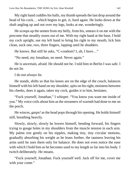My right hand cuddles his balls, my thumb spreads the last drop around the head of his cock… which begins to get, *is*, hard again. He looks down at the shaft angling up and out over my legs, looks at me, wonderingly.

He scoops up the semen from my belly, from his, smears it on me with the precome that steadily oozes out of me. With my right hand at the base, I hold my cock upright, use my left hand to bring his right to my mouth, lick him clean, suck one, two, three fingers, lapping until he shudders.

He knows. But still he asks, "C-condom? I, uh, I have…"

"No need, my Jonathan, no need. Never again."

He is uncertain, afraid. He should not be. I told him in Berlin I was safe. I do not lie.

I do not *always* lie.

He stands, shifts so that his knees are on the edge of the couch, balances himself with his left hand on my shoulder, spits on his right, moistens between his cheeks, does it again, takes my cock, guides it to him, hesitates.

"Fuck yourself, Jonathan," I whisper. "You know you want me inside of you." My voice coils about him as the streamers of warmth had done to me on the porch.

He winces, *gasps!* as the head pops through his opening. He holds himself still, breathing heavily.

Slowly, slowly, slowly he lowers himself, bending forward, his fingers trying to gouge holes in my shoulders from the muscle tension in each arm. My palms rest gently on his nipples, making tiny, tiny circular motions, gradually absorbing his weight as he leans further, the tautness leaving his arms until he uses them only for balance. He does not even notice the ease with which I hold him as he becomes used to my length so far into his body. I twitch deliberately. He moans.

"Fuck yourself, Jonathan. Fuck yourself well. Jack off for me, cover me with your come."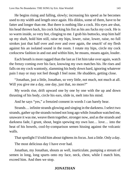He begins rising and falling, slowly; increasing his speed as he becomes used to my width and length once again. His dildos, some of them, have to be fatter and longer than me. But there is nothing like a cock. His eyes are shut, his head thrown back, his cock fucking his fist as his ass fucks my cock. He is so warm inside, so very hot, clinging to me. I grab his buttocks, stop him half up my shaft, hold him still, raise my hips, lower, raise, lower, raise, no full strokes just that half over and over and over again, the *smack!* of my flesh against his an isolated sound in the room. I rotate my hips, circle my cock corkscrew fashion in and out and within him, he moans, moans again, louder.

Each breath is more ragged than the last as I let him take over again, watch the frenzy coming over his face, knowing my own matches his. He rises and falls on my cock wantonly, slamming his body down hard, ignoring whatever pain I may or may not feel though I feel none. He shudders, getting close.

"Jonathan, just a little, Jonathan, so very little, not much, not much at all. Will you give me a day, one day, just that, no more?"

My words rise, drift upward one by one by one with the up and down thrusting of his body, circle his ears, slide in, melt into his mind.

And he says "yes," a frenzied consent in words I can barely hear.

Strands… infinite strands glowing and singing in the darkness. I select two strands, gather up the strands twined not long ago while Jonathon watched me, unaware it was me, weave them together, stronger now, and as the strands and darkness fade, I grunt, shout, begin spewing my own lust… love… into the heat of his bowels, cool-by-comparison semen hissing against the volcanic walls.

That spotlight I'd told him about tightens its focus. Just a little. Only a day.

The most delicious day I have ever had.

Jonathan, my Jonathan, shouts as well, inarticulate, pumping a stream of semen in long, long spurts onto my face, neck, chest, while I match him, exceed him. And then we stop.

# **JONATHAN**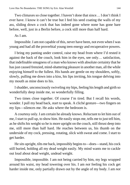Two climaxes so close together. I haven't done that since… I don't think I ever have. I know it can't be true but I feel his seed coating the walls of my ass, sliding down a cock that has indeed gone where none has gone bare before, well, just in a Berlin before, a cock still more than half hard.

As I am.

Impossible. I am not capable of this, never have been, not even when I was young and had all the proverbial young teen energy and recuperative powers.

I bring my panting under control, raise my head from where I'd rested it against the back of the couch, look him in the eyes, see only… satisfaction, that indefinable smugness of a man who knows with absolute certainty that he has just caused frenzied, mind-shattering pleasure in another man, all the while enjoying himself to the fullest. His hands are gentle on my shoulders, softly, slowly, pulling me down into a kiss, his lips inviting, his tongue delving into my mouth as mine does to his.

I shudder, unconsciously swiveling my hips, feeling his length and girth so wonderfully deep inside me, so wonderfully filling.

Two times close together. Of course I'm tired. But I recall his words, wonder. I pull my head back, start to speak. A cliché gesture—two fingers on my lips—silences me. He asks where the bedroom is.

A courtesy only. I am certain he already knows. Reluctant to let him out of me, I start to pull up, to show him. He easily stops me, tells me to just tell him, as he shifts his weight so he is more upright on the couch, still thrust deep into me, still more than half hard. He reaches between us, his thumb on the underside of my cock, pressing, rotating, slick with sweat and come. I start to get harder.

He sits upright, tilts me back, impossibly begins to—does—stand, his cock still buried, holding all my dead weight easily. My mind wants me to cackle out loud about dead weight, undead weight.

Impossible, impossible. I am not being carried by him, my legs wrapped around his waist, my head towering over his. I am *not* feeling his cock get harder inside me, only partially drawn out by the angle of my body. I am *not*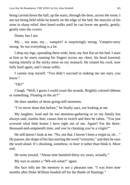being carried down the hall, up the stairs, through the door, across the room. I am *not* being held while he kneels on the edge of the bed, the muscles of his arms in sharp relief, then kneel-walks until he can lower me gently, gently, gently onto the covers.

Damn, but I am.

My… my man, my… vampire? is surprisingly strong. Vampire-story strong. So not everything is a lie.

I drop my legs, spreading them wide, bent, my feet flat on the bed. I stare at him as he starts running his fingers across my chest, his head lowered, staring intently at the sticky mess on my stomach. He rotates his cock, now fully hard again, and I moan softly.

I cannot stop myself. "You didn't succeed in making me see stars, you know."

"Oh?"

I laugh. "Well, I guess I could count the strands. Brightly colored ribbons or something. Floating in the air?"

He does another of those going-still moments.

"I've never done that before," he finally says, not looking at me.

My laughter, loud and far too attention-gathering or so my family has always said, startles him, causes him to twitch and then he calms. "You just screwed what little brains I have right out of me. Again? For the threethousand-and-umpteenth time, and you're claiming you're a virgin?"

He still doesn't look at me. "No, not that. I haven't been a virgin in, oh…" He pauses, the shape of his lips starting the word "centuries," and then he says the word aloud. It's shocking, somehow, to *hear* it rather than think it. More real.

He turns inward. "About nine hundred thirty-six years, actually."

My turn to stutter a "Wh-wh-what?" again.

His face tells me the memory is not a pleasant one. "I was born nine months after Duke William headed off for the Battle of Hastings."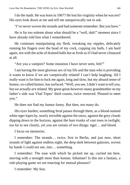I do the math. He was born in 1067? He lost his virginity when he was *ten*? His eyes look down at me and tell me unequivocally not to ask.

"I've never woven the strands and had someone remember. But you have."

He is far too solemn about what should be a "well, duh!" moment since I have already told him what I remembered.

He continues manipulating my flesh, tweaking my nipples, delicately running his fingers over the head of my cock, cupping my balls. I am hard again, not with the ache of drained balls but as fresh as if I had never climaxed at all.

"Are you a vampire? Some mutation I have never seen, felt?"

I am having the most glorious sex of my life and the man who is providing it wants to know if we are vampirically related! I can't help laughing. All I really want is for him to fuck me again, long and slow, but my absurd sense of humor, so-called humor, has surfaced. "Well, you see, I didn't want to tell you, but we actually *are* related. My great-great-however-many grandmother on my father's side was Vlad Tepes' third cousin, twice removed. Pleased to meet you."

He does not find my humor funny. But then, not many do.

His eyes harden; something feral passes through them, as a blood-stained white tiger lopes by, nearly invisible against the snow, against the grey clouds dipping down to the horizon, against the bare trunks of vast trees in twilight, too far to see clearly, yet you are certain of two things: tiger… and blood.

I focus on memories.

I remember: The strands… twice, first in Berlin, and just now, short strands of light against endless night, the deep dark between galaxies, woven by hands I could not see, into… something.

I remember: The ease with which he picked me up, carried me here, moving with a strength more than human. Inhuman? Is this not a fantasy, a role-playing game we are enacting for mutual pleasure?

I remember: My fear.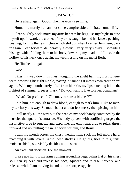### **JEAN-LUC**

He is afraid again. Good. Then he won't see mine.

Human… merely human, not some vampire able to imitate human life.

I lean slightly back, move my arms beneath his legs, use my thighs to push myself up, forward, the crooks of my arms caught behind his knees, pushing, pushing, forcing the few inches which slid out when I carried him here, back in again. I lean forward, deliberately, slowly… very, very slowly… spreading his legs wide, folding them to his body, lowering my head until I nuzzle the hollow of his neck once again, my teeth resting on his moist flesh.

He flinches… again.

Good.

I kiss my way down his chest, tonguing the slight hair, my lips, tongue, teeth, worrying his right nipple, teasing it, taunting it into its own erection yet again. With my mouth barely lifted from his skin, my lips touching it like the lightest of summer breezes, I ask, "Do you want to live forever, Jonathan?"

"What? No preface of 'C'mon, you sons a bitches?""

I nip him, not enough to draw blood, enough to mark him. I like to mark my territory this way. So much better and far less messy than pissing on him.

I pull nearly all the way out, the head of my cock barely contained by the muscles that guard his entrance. His body quivers with conflicting urges: the instinctive urge to squeeze and expel me, the emotional urge to relax, thrust forward and up, pulling me in. I decide for him, and thrust.

I trail my mouth across his chest, wetting him, suck his left nipple hard, matching it with several rapid, deep strokes. He grunts, tries to talk, fails, moistens his lips… visibly decides not to speak.

An excellent decision. For the moment.

I raise up slightly, my arms coming around his legs, palms flat on his chest so I can squeeze and release his pecs, squeeze and release, squeeze and release, while I am moving in and out in short, easy jabs.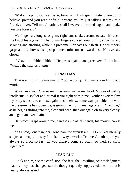"Make it a philosophical issue, Jonathan," I whisper. "Pretend you don't believe, pretend you aren't afraid, pretend you're just talking fantasy to a friend, a lover. Tell me, Jonathan, shall I weave the strands again and make you live forever?"

My fingers are long, strong, my right hand snakes around to catch his cock, my knuckles against his belly, my fingers curved around him, stroking and stroking and stroking while his precome lubricates our flesh. He whimpers, gasps a little, shoves his hips up to meet mine on an inward push. His eyes are closed.

"Weave… ahhhhhhhhhhh!" He gasps again, pants, recovers. It hits him. "Weave the strands *again*?"

### **JONATHAN**

That wasn't just my imagination? Some odd quirk of my exceedingly odd mind?

*What have you done to me?* I scream inside my head. Voices of coldly intellectual disbelief and primal terror fight within me. Neither overwhelms my body's desire to climax again, to somehow, some way, provide him with the pleasure he has given me, *is* giving me. I only manage a faint, "Tell me," as he begins sliding into me, slow and deep, then out again oh so very slowly, and again and yet again.

His voice wraps around me, caresses me as his hands, his mouth, caress me.

"As I said, Jonathan, dear Jonathan, the strands are… DNA. Not literally so, just an image, the way I think, the way it works. Tell me, Jonathan, are you always so erect so fast, do you always come so often, so well, so close together?"

#### **JEAN-LUC**

I look at him, see the confusion, the fear, the unwilling acknowledgment that his body has changed, see the thought quickly suppressed, the one that is nearly always asked.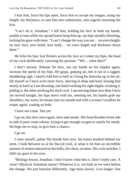I kiss him, force his lips open, force him to accept my tongue, using my length, my thickness, to ram him into submission, into eagerly returning the kiss.

"Can't do it, Jonathan," I tell him, holding his face in both my hands, unable to turn while my spread knees keep him up, my hips steadily thrusting, locking his gaze with mine. "I can't change the way you are… no extra height, no new face, new build, new body… no extra length and thickness down there."

He licks his lips; lust flickers across his face as I rotate my hips, the head of my cock deliberately caressing his prostate. "Wh… what then?"

I don't answer. Release his face, use my hands on his nipples again, increase the speed of my hips. He gasps, gulping air, lets it out in a ragged, shuddering sigh. I nearly fold him in half as I bring his buttocks up in the air, lift myself so I have even more force, shoving in deep and hard, kissing him nearly as hard as I am thrusting, one hand working his right nipple, twisting it, pulling it, the other stroking his slick cock. I am moving faster now than I have yet moved tonight, his hips move with me, meeting me, his hands grab my shoulders, my waist, he moans into my mouth and with a scream I swallow he erupts again, coating us both.

I have not come. Not yet.

I go on, but slow once again, slow and steady. His head thrashes from side to side in post-come release, trying to get enough oxygen to satisfy his needs. He begs me to stop, to give him a chance.

I go on.

I raise myself, palms flat beside him now, his knees hooked behind my arms. I look between us at his flaccid cock, at what is for him an incredible amount of semen smeared on his belly, his chest, on mine. His cock twitches. I shift my gaze to his eyes.

"Biology lesson, Jonathan. I don't know what this is. Don't really care. A virus? Mystical Atlantean nanos? Whatever it is, we look as we were before the change. We just function differently. Age more slowly. Live longer. Our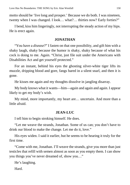motto should be 'live long and prosper.' Because we do both. I was nineteen, twenty when I was changed. I look… what?… thirties now? Early forties?"

I bend, kiss him lingeringly, not interrupting the steady action of my hips. He is erect again.

## **JONATHAN**

"You have a *disease*?" I fasten on that one possibility, and gift him with a shaky laugh, shaky because the humor is shaky, shaky because of what his cock is doing to me. Again. "Christ, just file suit under the Americans with Disabilities Act and get yourself protected."

For an instant, behind his eyes the ghosting silver-white tiger lifts its muzzle, dripping blood and gore, fangs bared in a silent snarl, and then it is gone.

He kisses me again and my thoughts dissolve in jangling disarray.

My body knows what it wants—him—again and again and again. I appear likely to get my body's wish.

My mind, more importantly, my heart are… uncertain. And more than a little afraid.

## **JEAN-LUC**

I tell him to begin stroking himself. He does.

"Let me weave the strands, Jonathan. Some of us can; you don't have to drink our blood to make the change. Let me do it, love."

His eyes widen. I said it earlier, but he seems to be hearing it truly for the first time.

"Come with me, Jonathan. I'll weave the strands, give you more than just testicles that refill with semen almost as soon as you empty them. I can show you things you've never dreamed of, show you…"

He's laughing.

Hard.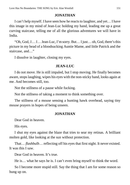## **JONATHAN**

I can't help myself. I have seen how he reacts to laughter, and yet… I have this image in my mind of Jean-Luc holding my hand, leading me up a great curving staircase, telling me of all the glorious adventures we will have in India.

"Oh, God, J… J… Jean-Luc, I'm sorry. But… I just… oh, God, there's this picture in my head of a bloodsucking Auntie Mame, and little Patrick and the staircase, and…"

I dissolve in laughter, closing my eyes.

## **JEAN-LUC**

I do not move. He is still impaled, but I stop moving. He finally becomes aware, stops laughing, wipes his eyes with the non-sticky hand, looks again at me. And becomes still, too.

Not the stillness of a pause while fucking.

Not the stillness of taking a moment to think something over.

The stillness of a mouse sensing a hunting hawk overhead, saying tiny mouse prayers in hopes of being unseen.

# **JONATHAN**

Dear God in heaven.

His eyes.

I shut my eyes against the blaze that tries to sear my retinas. A brilliant molten gold, like looking at the sun without protection.

That… *flashbulb*… reflecting off his eyes that first night. It never existed. It was this I saw.

Dear God in heaven. It's true.

He is… what he says he is. I can't even bring myself to think the word.

So I become more stupid still. Say the thing that I am for some reason so hung up on.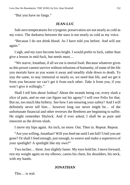"But you have no fangs."

#### **JEAN-LUC**

Sub-zero temperatures for cryogenic preservation are not nearly as cold as my voice. The darkness between the stars is not nearly as cold as my voice.

"Because I do not drink blood. As I have told you before. And will not again."

I sigh, and my eyes become less bright. I would prefer to fuck, rather than give a lesson in mid-fuck, but needs must…

"We starve, Jonathan, if all we eat is mortal food. Because whatever gives us this power cannot survive without infusions of humanity, of some of the life you mortals have as you waste it away and steadily slide down to death. To stay the same, to stay immortal or nearly so, we need that life, and we get it from you because we can't get it from each other. *Take* it from you, if you won't give it willingly."

Shall I tell him about Joshua? About the strands being cut, every slash a slice of pain, and no one can figure out his agony? I will owe Felix for that. But no, too much like bribery. See how I am ensuring your safety? And I will definitely never tell him… however long our never might be… of the unfortunate financial and other reverses the Brethren are beginning to suffer. He might remember Shylock. And if ever asked, I shall be as pure and innocent as the driven slush.

I move my hips again. An inch, no more. Out. Then in. Repeat. Repeat.

"Are you willing, Jonathan? Will you feed me until I am full? Until you are gone? Or shall I feed enough, just enough, to weave and make a supernova of your spotlight? A spotlight like my own?"

Two inches… three. Just slightly faster. My eyes hold his. I move forward, rest my weight again on my elbows, caress his chest, his shoulders, his neck, with my hands.

## **JONATHAN**

This… is real.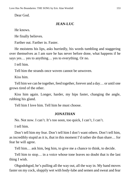Dear God.

### **JEAN-LUC**

He knows.

He finally believes.

Farther out. Farther in. Faster.

He moistens his lips, asks hurriedly, his words tumbling and staggering over themselves as I am sure he has never before done, what happens if he says yes… yes to anything… yes to everything. Or no.

I tell him.

Tell him the strands once woven cannot be unwoven.

Kiss him.

Tell him we can be together, feed together, forever and a day… or until one grows tired of the other.

Kiss him again. Longer, harder, my hips faster, changing the angle, rubbing his gland.

Tell him I love him. Tell him he must choose.

## **JONATHAN**

No. Not now. I can't. It's too soon, too quick, I can't, I can't.

I tell him.

Don't tell him my fear. Don't tell him I don't want others. Don't tell him, as incredibly stupid as it is, that in this moment I'd rather die than share… for fear he will agree.

Tell him… ask him, beg him, to give me a chance to think, to decide.

Tell him to stop… in a voice whose tone leaves no doubt that is the last thing I wish.

Ohgodohgod, he's pulling all the way out, all the way in. My hand moves faster on my cock, sloppily wet with body-lube and semen and sweat and fear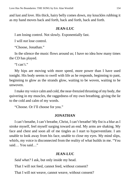and lust and love. His thick, hairy belly comes down, my knuckles rubbing it as my hand moves back and forth, back and forth, back and forth.

#### **JEAN-LUC**

I am losing control. Not slowly. Exponentially fast.

I will *not* lose control.

"Choose, Jonathan."

In the silence the music flows around us; I have no idea how many times the CD has played.

"I can't."

My hips are moving with more speed, more power than I have used tonight. His body seems to swell with life as he responds, beginning to pant, beginning to glow as the strands glow, waiting to be woven, waiting to be unwoven.

I make my voice calm and cold, the near-frenzied thrusting of my body, the quivering in my muscles, the raggedness of my own breathing, giving the lie to the cold and calm of my words.

"Choose. Or I'll choose for you."

## **JONATHAN**

I can't breathe, I can't breathe, Christ, I can't breathe! My fist is a blur as I stroke myself, feel myself surging toward an end. My arms are shaking. My face and chest and soon all of me tingles as I start to hyperventilate. I am unable to look away from his face, unable to close my eyes. My mind slips, whirls, my voice is disconnected from the reality of what builds in me. "You said… You said…"

## **JEAN-LUC**

*Said what?* I ask, but only inside my head.

That I will not feed, cannot feed, without consent?

That I will not weave, cannot weave, without consent?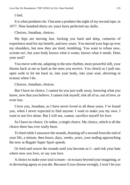I lied.

It is what predators do. I became a predator the night of my second rape, in 1077. Nine hundred thirty-six years have perfected my skills.

Choices, Jonathan, choices.

My hips are moving fast, fucking you hard and deep, centuries of experience used for my benefit, and now yours. You moved your legs up over my shoulders, but now they are tired, trembling. You want to refuse now, scream *no!*, but your body knows what it wants, knows what it needs. Does your soul?

You move with me, adapting to the new rhythm, more powerful still, your thrusts back at me as hard as the ones you receive. You clench as I pull out, open wide to let me back in, into your body, into your soul, shivering in ecstasy when I do.

Choices, Jonathan, choices.

But I have no choice. I cannot let you just walk away, knowing what you know, now that you believe. I cannot risk myself, risk all of us, out of love, or even lust.

I love you, Jonathan, as I have never loved in all these years. I've found you, when I never expected to find anyone. I want to make you my own. I want to not live alone. But I will not, cannot, sacrifice myself for love.

So I have no choice. Or rather, a single choice. My choice, which is all the choice there has ever really been.

To feed while I unweave the strands, draining off a second from the end of your life, a minute, then hours, days, weeks, years, your ending approaching the now at Bugatti Super Sport speeds.

Or feed and weave the strands until you become as I—and risk your hate where now you love, or say you love.

A choice to make your soul scream—in ecstasy beyond your imagining, or in devouring agony as you die. Because if you choose wrongly, I won't let you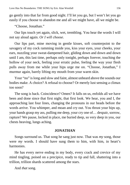go gently into that far from good night. I'll let you go, but I won't let you go easily if you choose to abandon me and all we might have, all we might be.

"Choose, Jonathan."

Our lips touch yet again, slick, wet, trembling. You hear the words I will not say aloud again. *Or I will choose.*

Our lips part, mine moving in gentle kisses, soft counterpoint to the savagery of my cock ramming inside you, kiss your eyes, your cheeks, your ears, nuzzling your sweat-dampened hair, gliding down and down and down until I am, this last time, perhaps only tonight, perhaps forever, touching the hollow of your neck, feeling your erratic pulse, feeling the way your flesh pulls away from me while your hips urge me on. "Choose, Jonathan," I murmur again, barely lifting my mouth from your warm skin.

Your "no" is long and slow and faint, almost unheard above the sounds our bodies make. A choice? A refusal to choose? Or merely lust sensing a climax too soon?

The song is back. Coincidence? Omen? It falls on us, enfolds all we have been and done since that first night, that first look. We hear, you and I, the approaching last four lines, changing the pronouns in our heads before the words arrive. You whimper, and moan and cry out. You thrust your hips up, your hands grasp my ass, pulling me deep, your cry one of… despair, sorrow, rapture? We pause, locked in place, me buried deep, so very deep in you, our chests heaving, lungs aching.

#### **JONATHAN**

Songs surround us. That song he sang just now. That was *my* song, those were *my* words. I should have sung them to him, with him, in heart's harmonies.

He has every nerve ending in my body, every crack and crevice of my mind tingling, poised on a precipice, ready to tip and fall, shattering into a trillion, trillion shards scattered among the stars.

And *that* song.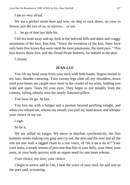I am so very afraid.

We are a perfect storm here and now, no ship to suck down, no crew to drown, just the two of us, to survive… or not.

I… let go of that last little bit.

I lift his head away and up, look at the beloved hills and dales and craggy mountains of his face, kiss him. "Since the invention of the kiss, there have only been five kisses that were rated the most passionate, the most pure." This kiss leaves those five, and the Dread Pirate Roberts, far behind in the dust.

I choose.

#### **JEAN-LUC**

You lift my head away from your neck with both hands, fingers buried in my hair, thumbs caressing. Your sweaty legs slide off my shoulders, down until your knees are caught once more in the crooks of my arms, holding you wide and open. Tears fill your eyes. They begin to run steadily from the corners, falling silently onto the nearly flattened pillow.

You have let go. At last.

You kiss me with a hunger and a passion beyond anything tonight, and when you release me, release my mouth, you pull my head down, and whisper your choice in my ear.

I sigh.

So be it.

We are stilled no longer. We move in absolute synchronicity, the first hammer stroke making you gasp and cry out, the next and the next and all the rest are met with a ragged chant in a raw voice, of "do it do it do it!" Your cock leaks, a steady stream of precome that flies to your belly, your chest, your arms, as your body quivers with an urgent need for one more release.

Your choice, my love, your choice.

I begin to weave and as I do, I hear the voice of your soul, far and wee as the poet said, screaming.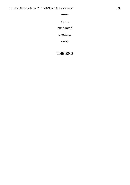\*\*\*\*

## Some

## enchanted

# evening.

\*\*\*\*

# **THE END**